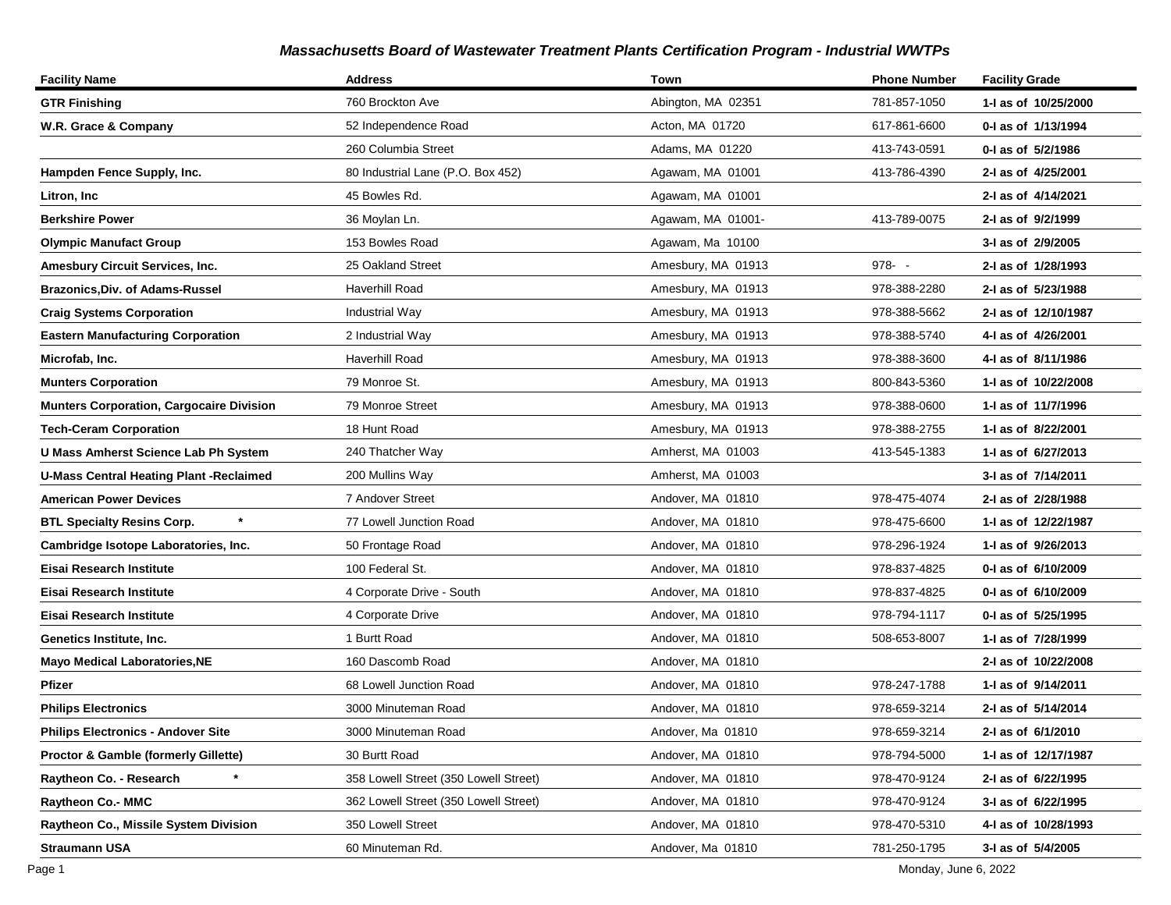| <b>Facility Name</b>                            | <b>Address</b>                        | Town               | <b>Phone Number</b> | <b>Facility Grade</b> |
|-------------------------------------------------|---------------------------------------|--------------------|---------------------|-----------------------|
| <b>GTR Finishing</b>                            | 760 Brockton Ave                      | Abington, MA 02351 | 781-857-1050        | 1-I as of 10/25/2000  |
| W.R. Grace & Company                            | 52 Independence Road                  | Acton, MA 01720    | 617-861-6600        | 0-I as of 1/13/1994   |
|                                                 | 260 Columbia Street                   | Adams, MA 01220    | 413-743-0591        | 0-I as of 5/2/1986    |
| Hampden Fence Supply, Inc.                      | 80 Industrial Lane (P.O. Box 452)     | Agawam, MA 01001   | 413-786-4390        | 2-I as of 4/25/2001   |
| Litron, Inc                                     | 45 Bowles Rd.                         | Agawam, MA 01001   |                     | 2-I as of 4/14/2021   |
| <b>Berkshire Power</b>                          | 36 Moylan Ln.                         | Agawam, MA 01001-  | 413-789-0075        | 2-I as of 9/2/1999    |
| <b>Olympic Manufact Group</b>                   | 153 Bowles Road                       | Agawam, Ma 10100   |                     | 3-I as of 2/9/2005    |
| Amesbury Circuit Services, Inc.                 | 25 Oakland Street                     | Amesbury, MA 01913 | $978 - -$           | 2-I as of 1/28/1993   |
| <b>Brazonics, Div. of Adams-Russel</b>          | Haverhill Road                        | Amesbury, MA 01913 | 978-388-2280        | 2-I as of 5/23/1988   |
| <b>Craig Systems Corporation</b>                | Industrial Way                        | Amesbury, MA 01913 | 978-388-5662        | 2-I as of 12/10/1987  |
| <b>Eastern Manufacturing Corporation</b>        | 2 Industrial Way                      | Amesbury, MA 01913 | 978-388-5740        | 4-I as of 4/26/2001   |
| Microfab, Inc.                                  | <b>Haverhill Road</b>                 | Amesbury, MA 01913 | 978-388-3600        | 4-I as of 8/11/1986   |
| <b>Munters Corporation</b>                      | 79 Monroe St.                         | Amesbury, MA 01913 | 800-843-5360        | 1-I as of 10/22/2008  |
| <b>Munters Corporation, Cargocaire Division</b> | 79 Monroe Street                      | Amesbury, MA 01913 | 978-388-0600        | 1-I as of 11/7/1996   |
| <b>Tech-Ceram Corporation</b>                   | 18 Hunt Road                          | Amesbury, MA 01913 | 978-388-2755        | 1-I as of 8/22/2001   |
| U Mass Amherst Science Lab Ph System            | 240 Thatcher Way                      | Amherst, MA 01003  | 413-545-1383        | 1-I as of 6/27/2013   |
| <b>U-Mass Central Heating Plant -Reclaimed</b>  | 200 Mullins Way                       | Amherst, MA 01003  |                     | 3-I as of 7/14/2011   |
| <b>American Power Devices</b>                   | 7 Andover Street                      | Andover, MA 01810  | 978-475-4074        | 2-I as of 2/28/1988   |
| <b>BTL Specialty Resins Corp.</b>               | 77 Lowell Junction Road               | Andover, MA 01810  | 978-475-6600        | 1-I as of 12/22/1987  |
| Cambridge Isotope Laboratories, Inc.            | 50 Frontage Road                      | Andover, MA 01810  | 978-296-1924        | 1-I as of 9/26/2013   |
| Eisai Research Institute                        | 100 Federal St.                       | Andover, MA 01810  | 978-837-4825        | 0-1 as of 6/10/2009   |
| Eisai Research Institute                        | 4 Corporate Drive - South             | Andover, MA 01810  | 978-837-4825        | 0-1 as of 6/10/2009   |
| Eisai Research Institute                        | 4 Corporate Drive                     | Andover, MA 01810  | 978-794-1117        | 0-I as of 5/25/1995   |
| Genetics Institute, Inc.                        | 1 Burtt Road                          | Andover, MA 01810  | 508-653-8007        | 1-I as of 7/28/1999   |
| <b>Mayo Medical Laboratories, NE</b>            | 160 Dascomb Road                      | Andover, MA 01810  |                     | 2-I as of 10/22/2008  |
| Pfizer                                          | 68 Lowell Junction Road               | Andover, MA 01810  | 978-247-1788        | 1-I as of 9/14/2011   |
| <b>Philips Electronics</b>                      | 3000 Minuteman Road                   | Andover, MA 01810  | 978-659-3214        | 2-I as of 5/14/2014   |
| <b>Philips Electronics - Andover Site</b>       | 3000 Minuteman Road                   | Andover, Ma 01810  | 978-659-3214        | 2-I as of 6/1/2010    |
| <b>Proctor &amp; Gamble (formerly Gillette)</b> | 30 Burtt Road                         | Andover, MA 01810  | 978-794-5000        | 1-I as of 12/17/1987  |
| Raytheon Co. - Research                         | 358 Lowell Street (350 Lowell Street) | Andover, MA 01810  | 978-470-9124        | 2-I as of 6/22/1995   |
| Raytheon Co.- MMC                               | 362 Lowell Street (350 Lowell Street) | Andover, MA 01810  | 978-470-9124        | 3-I as of 6/22/1995   |
| Raytheon Co., Missile System Division           | 350 Lowell Street                     | Andover, MA 01810  | 978-470-5310        | 4-I as of 10/28/1993  |
| <b>Straumann USA</b>                            | 60 Minuteman Rd.                      | Andover, Ma 01810  | 781-250-1795        | 3-I as of 5/4/2005    |

Page 1 Monday, June 6, 2022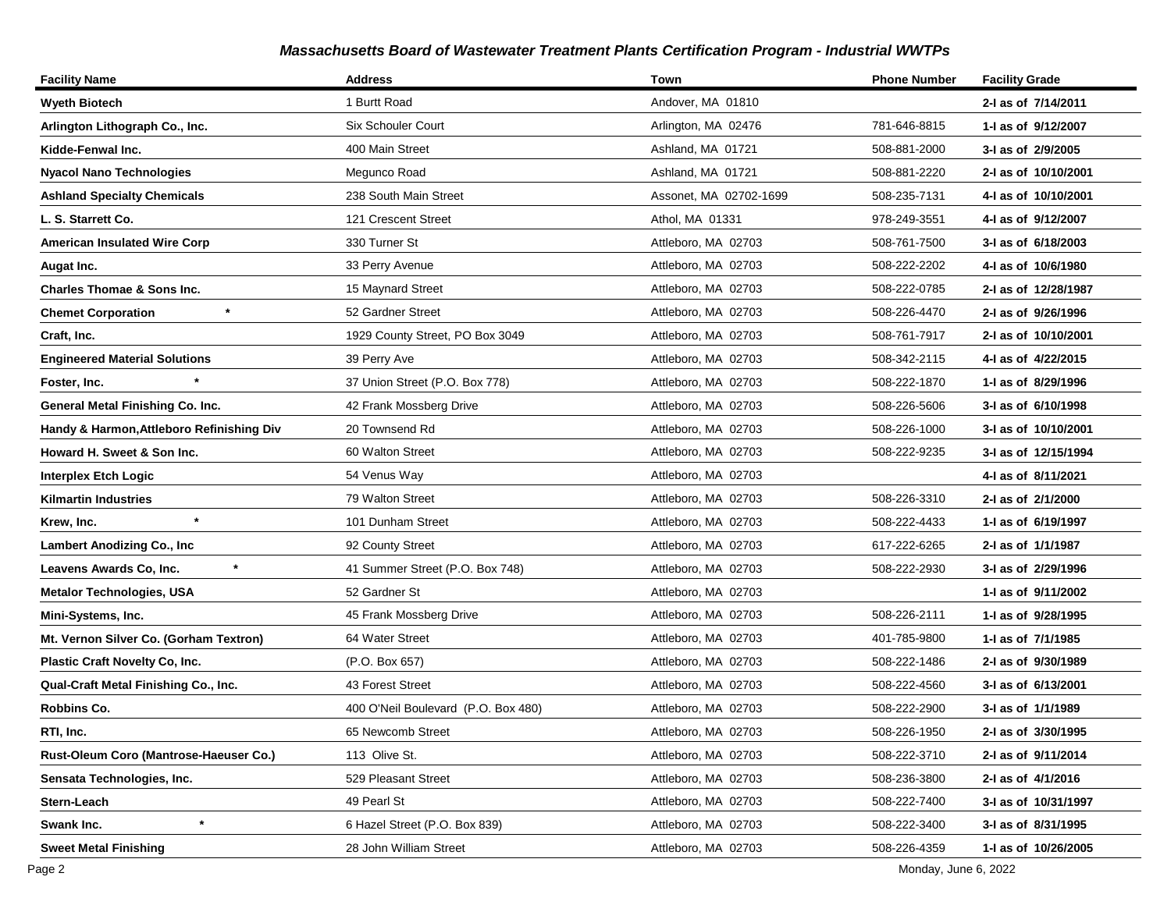| <b>Facility Name</b>                      | <b>Address</b>                      | Town                   | <b>Phone Number</b> | <b>Facility Grade</b> |
|-------------------------------------------|-------------------------------------|------------------------|---------------------|-----------------------|
| <b>Wyeth Biotech</b>                      | 1 Burtt Road                        | Andover, MA 01810      |                     | 2-I as of 7/14/2011   |
| Arlington Lithograph Co., Inc.            | <b>Six Schouler Court</b>           | Arlington, MA 02476    | 781-646-8815        | 1-I as of 9/12/2007   |
| Kidde-Fenwal Inc.                         | 400 Main Street                     | Ashland, MA 01721      | 508-881-2000        | 3-I as of 2/9/2005    |
| <b>Nyacol Nano Technologies</b>           | Megunco Road                        | Ashland, MA 01721      | 508-881-2220        | 2-I as of 10/10/2001  |
| <b>Ashland Specialty Chemicals</b>        | 238 South Main Street               | Assonet, MA 02702-1699 | 508-235-7131        | 4-1 as of 10/10/2001  |
| L. S. Starrett Co.                        | 121 Crescent Street                 | Athol, MA 01331        | 978-249-3551        | 4-I as of 9/12/2007   |
| <b>American Insulated Wire Corp</b>       | 330 Turner St                       | Attleboro, MA 02703    | 508-761-7500        | 3-I as of 6/18/2003   |
| Augat Inc.                                | 33 Perry Avenue                     | Attleboro, MA 02703    | 508-222-2202        | 4-1 as of 10/6/1980   |
| <b>Charles Thomae &amp; Sons Inc.</b>     | 15 Maynard Street                   | Attleboro, MA 02703    | 508-222-0785        | 2-I as of 12/28/1987  |
| <b>Chemet Corporation</b>                 | 52 Gardner Street                   | Attleboro, MA 02703    | 508-226-4470        | 2-I as of 9/26/1996   |
| Craft, Inc.                               | 1929 County Street, PO Box 3049     | Attleboro, MA 02703    | 508-761-7917        | 2-I as of 10/10/2001  |
| <b>Engineered Material Solutions</b>      | 39 Perry Ave                        | Attleboro, MA 02703    | 508-342-2115        | 4-I as of 4/22/2015   |
| Foster, Inc.                              | 37 Union Street (P.O. Box 778)      | Attleboro, MA 02703    | 508-222-1870        | 1-I as of 8/29/1996   |
| General Metal Finishing Co. Inc.          | 42 Frank Mossberg Drive             | Attleboro, MA 02703    | 508-226-5606        | 3-I as of 6/10/1998   |
| Handy & Harmon, Attleboro Refinishing Div | 20 Townsend Rd                      | Attleboro, MA 02703    | 508-226-1000        | 3-I as of 10/10/2001  |
| Howard H. Sweet & Son Inc.                | 60 Walton Street                    | Attleboro, MA 02703    | 508-222-9235        | 3-I as of 12/15/1994  |
| Interplex Etch Logic                      | 54 Venus Way                        | Attleboro, MA 02703    |                     | 4-1 as of 8/11/2021   |
| <b>Kilmartin Industries</b>               | 79 Walton Street                    | Attleboro, MA 02703    | 508-226-3310        | 2-I as of 2/1/2000    |
| $\star$<br>Krew, Inc.                     | 101 Dunham Street                   | Attleboro, MA 02703    | 508-222-4433        | 1-I as of 6/19/1997   |
| <b>Lambert Anodizing Co., Inc</b>         | 92 County Street                    | Attleboro, MA 02703    | 617-222-6265        | 2-I as of 1/1/1987    |
| $\ast$<br>Leavens Awards Co, Inc.         | 41 Summer Street (P.O. Box 748)     | Attleboro, MA 02703    | 508-222-2930        | 3-I as of 2/29/1996   |
| <b>Metalor Technologies, USA</b>          | 52 Gardner St                       | Attleboro, MA 02703    |                     | 1-1 as of 9/11/2002   |
| Mini-Systems, Inc.                        | 45 Frank Mossberg Drive             | Attleboro, MA 02703    | 508-226-2111        | 1-I as of 9/28/1995   |
| Mt. Vernon Silver Co. (Gorham Textron)    | 64 Water Street                     | Attleboro, MA 02703    | 401-785-9800        | 1-I as of 7/1/1985    |
| Plastic Craft Novelty Co, Inc.            | (P.O. Box 657)                      | Attleboro, MA 02703    | 508-222-1486        | 2-I as of 9/30/1989   |
| Qual-Craft Metal Finishing Co., Inc.      | 43 Forest Street                    | Attleboro, MA 02703    | 508-222-4560        | 3-I as of 6/13/2001   |
| <b>Robbins Co.</b>                        | 400 O'Neil Boulevard (P.O. Box 480) | Attleboro, MA 02703    | 508-222-2900        | 3-I as of 1/1/1989    |
| RTI, Inc.                                 | 65 Newcomb Street                   | Attleboro, MA 02703    | 508-226-1950        | 2-I as of 3/30/1995   |
| Rust-Oleum Coro (Mantrose-Haeuser Co.)    | 113 Olive St.                       | Attleboro, MA 02703    | 508-222-3710        | 2-I as of 9/11/2014   |
| Sensata Technologies, Inc.                | 529 Pleasant Street                 | Attleboro, MA 02703    | 508-236-3800        | 2-I as of 4/1/2016    |
| Stern-Leach                               | 49 Pearl St                         | Attleboro, MA 02703    | 508-222-7400        | 3-I as of 10/31/1997  |
| $\star$<br>Swank Inc.                     | 6 Hazel Street (P.O. Box 839)       | Attleboro, MA 02703    | 508-222-3400        | 3-I as of 8/31/1995   |
| <b>Sweet Metal Finishing</b>              | 28 John William Street              | Attleboro, MA 02703    | 508-226-4359        | 1-I as of 10/26/2005  |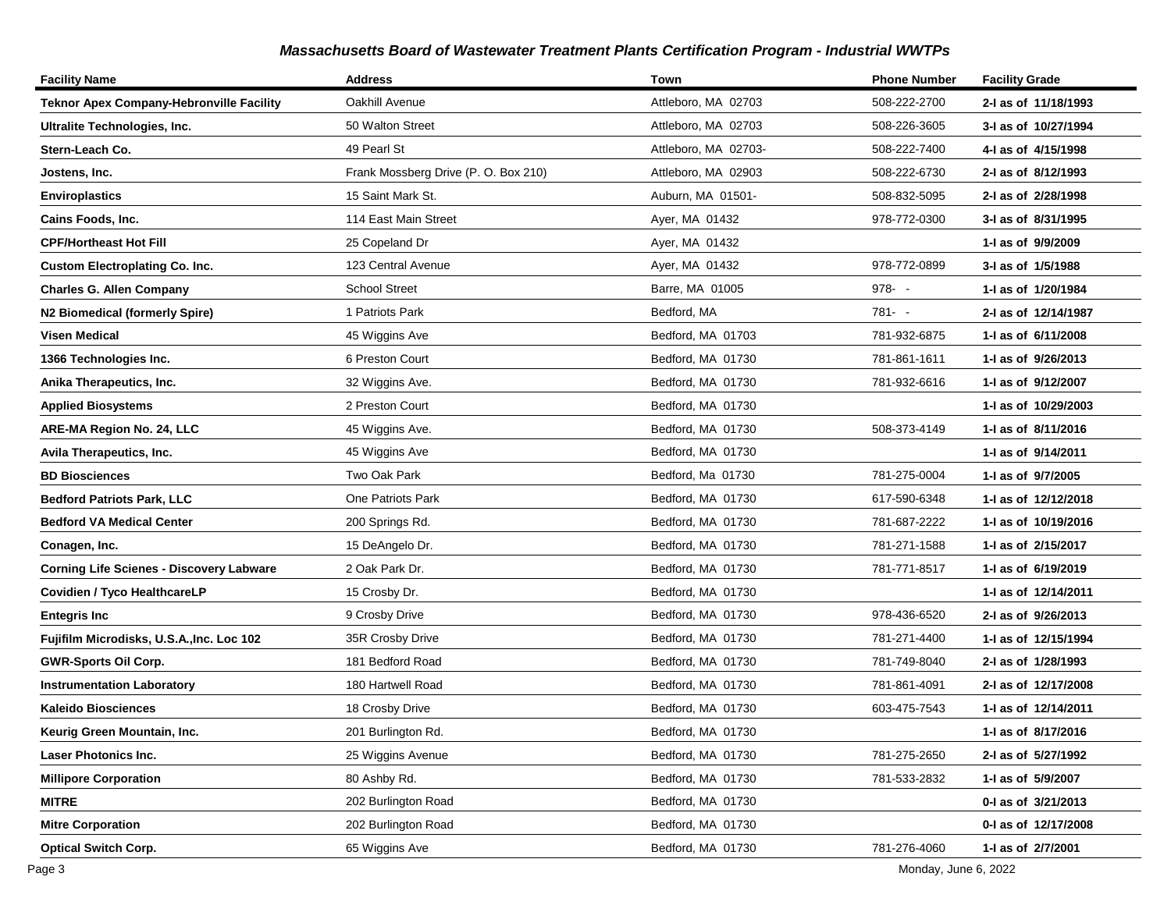| <b>Facility Name</b>                            | <b>Address</b>                       | Town                 | <b>Phone Number</b> | <b>Facility Grade</b> |
|-------------------------------------------------|--------------------------------------|----------------------|---------------------|-----------------------|
| Teknor Apex Company-Hebronville Facility        | Oakhill Avenue                       | Attleboro, MA 02703  | 508-222-2700        | 2-I as of 11/18/1993  |
| Ultralite Technologies, Inc.                    | 50 Walton Street                     | Attleboro, MA 02703  | 508-226-3605        | 3-I as of 10/27/1994  |
| Stern-Leach Co.                                 | 49 Pearl St                          | Attleboro, MA 02703- | 508-222-7400        | 4-1 as of 4/15/1998   |
| Jostens, Inc.                                   | Frank Mossberg Drive (P. O. Box 210) | Attleboro, MA 02903  | 508-222-6730        | 2-I as of 8/12/1993   |
| <b>Enviroplastics</b>                           | 15 Saint Mark St.                    | Auburn, MA 01501-    | 508-832-5095        | 2-I as of 2/28/1998   |
| Cains Foods, Inc.                               | 114 East Main Street                 | Ayer, MA 01432       | 978-772-0300        | 3-I as of 8/31/1995   |
| <b>CPF/Hortheast Hot Fill</b>                   | 25 Copeland Dr                       | Ayer, MA 01432       |                     | 1-I as of 9/9/2009    |
| <b>Custom Electroplating Co. Inc.</b>           | 123 Central Avenue                   | Ayer, MA 01432       | 978-772-0899        | 3-I as of 1/5/1988    |
| <b>Charles G. Allen Company</b>                 | <b>School Street</b>                 | Barre, MA 01005      | $978 - -$           | 1-I as of 1/20/1984   |
| <b>N2 Biomedical (formerly Spire)</b>           | 1 Patriots Park                      | Bedford, MA          | 781- -              | 2-I as of 12/14/1987  |
| Visen Medical                                   | 45 Wiggins Ave                       | Bedford, MA 01703    | 781-932-6875        | 1-1 as of 6/11/2008   |
| 1366 Technologies Inc.                          | 6 Preston Court                      | Bedford, MA 01730    | 781-861-1611        | 1-I as of 9/26/2013   |
| Anika Therapeutics, Inc.                        | 32 Wiggins Ave.                      | Bedford, MA 01730    | 781-932-6616        | 1-1 as of 9/12/2007   |
| <b>Applied Biosystems</b>                       | 2 Preston Court                      | Bedford, MA 01730    |                     | 1-I as of 10/29/2003  |
| ARE-MA Region No. 24, LLC                       | 45 Wiggins Ave.                      | Bedford, MA 01730    | 508-373-4149        | 1- as of 8/11/2016    |
| Avila Therapeutics, Inc.                        | 45 Wiggins Ave                       | Bedford, MA 01730    |                     | 1-I as of 9/14/2011   |
| <b>BD Biosciences</b>                           | Two Oak Park                         | Bedford, Ma 01730    | 781-275-0004        | 1-I as of 9/7/2005    |
| <b>Bedford Patriots Park, LLC</b>               | One Patriots Park                    | Bedford, MA 01730    | 617-590-6348        | 1- as of 12/12/2018   |
| Bedford VA Medical Center                       | 200 Springs Rd.                      | Bedford, MA 01730    | 781-687-2222        | 1-I as of 10/19/2016  |
| Conagen, Inc.                                   | 15 DeAngelo Dr.                      | Bedford, MA 01730    | 781-271-1588        | 1-1 as of 2/15/2017   |
| <b>Corning Life Scienes - Discovery Labware</b> | 2 Oak Park Dr.                       | Bedford, MA 01730    | 781-771-8517        | 1-1 as of 6/19/2019   |
| Covidien / Tyco HealthcareLP                    | 15 Crosby Dr.                        | Bedford, MA 01730    |                     | 1- as of 12/14/2011   |
| <b>Entegris Inc</b>                             | 9 Crosby Drive                       | Bedford, MA 01730    | 978-436-6520        | 2-I as of 9/26/2013   |
| Fujifilm Microdisks, U.S.A., Inc. Loc 102       | 35R Crosby Drive                     | Bedford, MA 01730    | 781-271-4400        | 1-I as of 12/15/1994  |
| <b>GWR-Sports Oil Corp.</b>                     | 181 Bedford Road                     | Bedford, MA 01730    | 781-749-8040        | 2-I as of 1/28/1993   |
| <b>Instrumentation Laboratory</b>               | 180 Hartwell Road                    | Bedford, MA 01730    | 781-861-4091        | 2-I as of 12/17/2008  |
| <b>Kaleido Biosciences</b>                      | 18 Crosby Drive                      | Bedford, MA 01730    | 603-475-7543        | 1- as of 12/14/2011   |
| Keurig Green Mountain, Inc.                     | 201 Burlington Rd.                   | Bedford, MA 01730    |                     | 1-1 as of 8/17/2016   |
| <b>Laser Photonics Inc.</b>                     | 25 Wiggins Avenue                    | Bedford, MA 01730    | 781-275-2650        | 2-1 as of 5/27/1992   |
| <b>Millipore Corporation</b>                    | 80 Ashby Rd.                         | Bedford, MA 01730    | 781-533-2832        | 1-I as of 5/9/2007    |
| <b>MITRE</b>                                    | 202 Burlington Road                  | Bedford, MA 01730    |                     | 0-I as of 3/21/2013   |
| <b>Mitre Corporation</b>                        | 202 Burlington Road                  | Bedford, MA 01730    |                     | 0-I as of 12/17/2008  |
| <b>Optical Switch Corp.</b>                     | 65 Wiggins Ave                       | Bedford, MA 01730    | 781-276-4060        | 1-I as of 2/7/2001    |

Page 3 Monday, June 6, 2022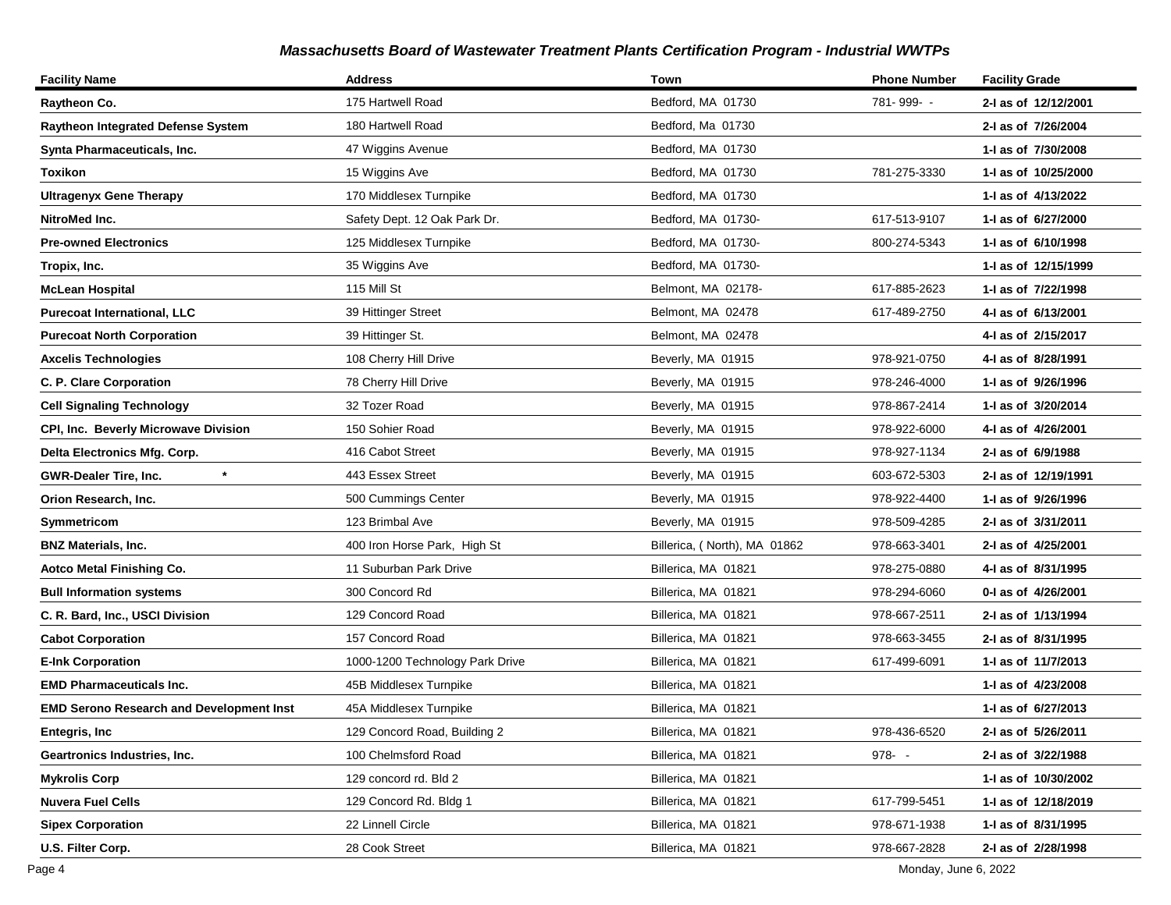| <b>Facility Name</b>                            | <b>Address</b>                  | Town                         | <b>Phone Number</b> | <b>Facility Grade</b> |
|-------------------------------------------------|---------------------------------|------------------------------|---------------------|-----------------------|
| Raytheon Co.                                    | 175 Hartwell Road               | Bedford, MA 01730            | 781-999--           | 2-I as of 12/12/2001  |
| <b>Raytheon Integrated Defense System</b>       | 180 Hartwell Road               | Bedford, Ma 01730            |                     | 2-I as of 7/26/2004   |
| Synta Pharmaceuticals, Inc.                     | 47 Wiggins Avenue               | Bedford, MA 01730            |                     | 1-1 as of 7/30/2008   |
| <b>Toxikon</b>                                  | 15 Wiggins Ave                  | Bedford, MA 01730            | 781-275-3330        | 1-I as of 10/25/2000  |
| <b>Ultragenyx Gene Therapy</b>                  | 170 Middlesex Turnpike          | Bedford, MA 01730            |                     | 1-1 as of 4/13/2022   |
| NitroMed Inc.                                   | Safety Dept. 12 Oak Park Dr.    | Bedford, MA 01730-           | 617-513-9107        | 1-1 as of 6/27/2000   |
| <b>Pre-owned Electronics</b>                    | 125 Middlesex Turnpike          | Bedford, MA 01730-           | 800-274-5343        | 1-1 as of 6/10/1998   |
| Tropix, Inc.                                    | 35 Wiggins Ave                  | Bedford, MA 01730-           |                     | 1- as of 12/15/1999   |
| <b>McLean Hospital</b>                          | 115 Mill St                     | Belmont, MA 02178-           | 617-885-2623        | 1-I as of 7/22/1998   |
| <b>Purecoat International, LLC</b>              | 39 Hittinger Street             | Belmont, MA 02478            | 617-489-2750        | 4-I as of 6/13/2001   |
| <b>Purecoat North Corporation</b>               | 39 Hittinger St.                | Belmont, MA 02478            |                     | 4-1 as of 2/15/2017   |
| <b>Axcelis Technologies</b>                     | 108 Cherry Hill Drive           | Beverly, MA 01915            | 978-921-0750        | 4-I as of 8/28/1991   |
| C. P. Clare Corporation                         | 78 Cherry Hill Drive            | Beverly, MA 01915            | 978-246-4000        | 1-I as of 9/26/1996   |
| <b>Cell Signaling Technology</b>                | 32 Tozer Road                   | Beverly, MA 01915            | 978-867-2414        | 1-I as of 3/20/2014   |
| CPI, Inc. Beverly Microwave Division            | 150 Sohier Road                 | Beverly, MA 01915            | 978-922-6000        | 4-1 as of 4/26/2001   |
| Delta Electronics Mfg. Corp.                    | 416 Cabot Street                | Beverly, MA 01915            | 978-927-1134        | 2-I as of 6/9/1988    |
| $\star$<br><b>GWR-Dealer Tire, Inc.</b>         | 443 Essex Street                | Beverly, MA 01915            | 603-672-5303        | 2-I as of 12/19/1991  |
| Orion Research, Inc.                            | 500 Cummings Center             | Beverly, MA 01915            | 978-922-4400        | 1-I as of 9/26/1996   |
| Symmetricom                                     | 123 Brimbal Ave                 | Beverly, MA 01915            | 978-509-4285        | 2-I as of 3/31/2011   |
| <b>BNZ Materials, Inc.</b>                      | 400 Iron Horse Park, High St    | Billerica, (North), MA 01862 | 978-663-3401        | 2-I as of 4/25/2001   |
| Aotco Metal Finishing Co.                       | 11 Suburban Park Drive          | Billerica, MA 01821          | 978-275-0880        | 4-I as of 8/31/1995   |
| <b>Bull Information systems</b>                 | 300 Concord Rd                  | Billerica, MA 01821          | 978-294-6060        | 0-1 as of 4/26/2001   |
| C. R. Bard, Inc., USCI Division                 | 129 Concord Road                | Billerica, MA 01821          | 978-667-2511        | 2-I as of 1/13/1994   |
| <b>Cabot Corporation</b>                        | 157 Concord Road                | Billerica, MA 01821          | 978-663-3455        | 2-I as of 8/31/1995   |
| <b>E-Ink Corporation</b>                        | 1000-1200 Technology Park Drive | Billerica, MA 01821          | 617-499-6091        | 1- as of 11/7/2013    |
| <b>EMD Pharmaceuticals Inc.</b>                 | 45B Middlesex Turnpike          | Billerica, MA 01821          |                     | 1-1 as of 4/23/2008   |
| <b>EMD Serono Research and Development Inst</b> | 45A Middlesex Turnpike          | Billerica, MA 01821          |                     | 1-1 as of 6/27/2013   |
| <b>Entegris, Inc</b>                            | 129 Concord Road, Building 2    | Billerica, MA 01821          | 978-436-6520        | 2-I as of 5/26/2011   |
| Geartronics Industries, Inc.                    | 100 Chelmsford Road             | Billerica, MA 01821          | 978--               | 2-I as of 3/22/1988   |
| <b>Mykrolis Corp</b>                            | 129 concord rd. Bld 2           | Billerica, MA 01821          |                     | 1-I as of 10/30/2002  |
| <b>Nuvera Fuel Cells</b>                        | 129 Concord Rd. Bldg 1          | Billerica, MA 01821          | 617-799-5451        | 1-I as of 12/18/2019  |
| <b>Sipex Corporation</b>                        | 22 Linnell Circle               | Billerica, MA 01821          | 978-671-1938        | 1-I as of 8/31/1995   |
| U.S. Filter Corp.                               | 28 Cook Street                  | Billerica, MA 01821          | 978-667-2828        | 2-I as of 2/28/1998   |

Page 4 Monday, June 6, 2022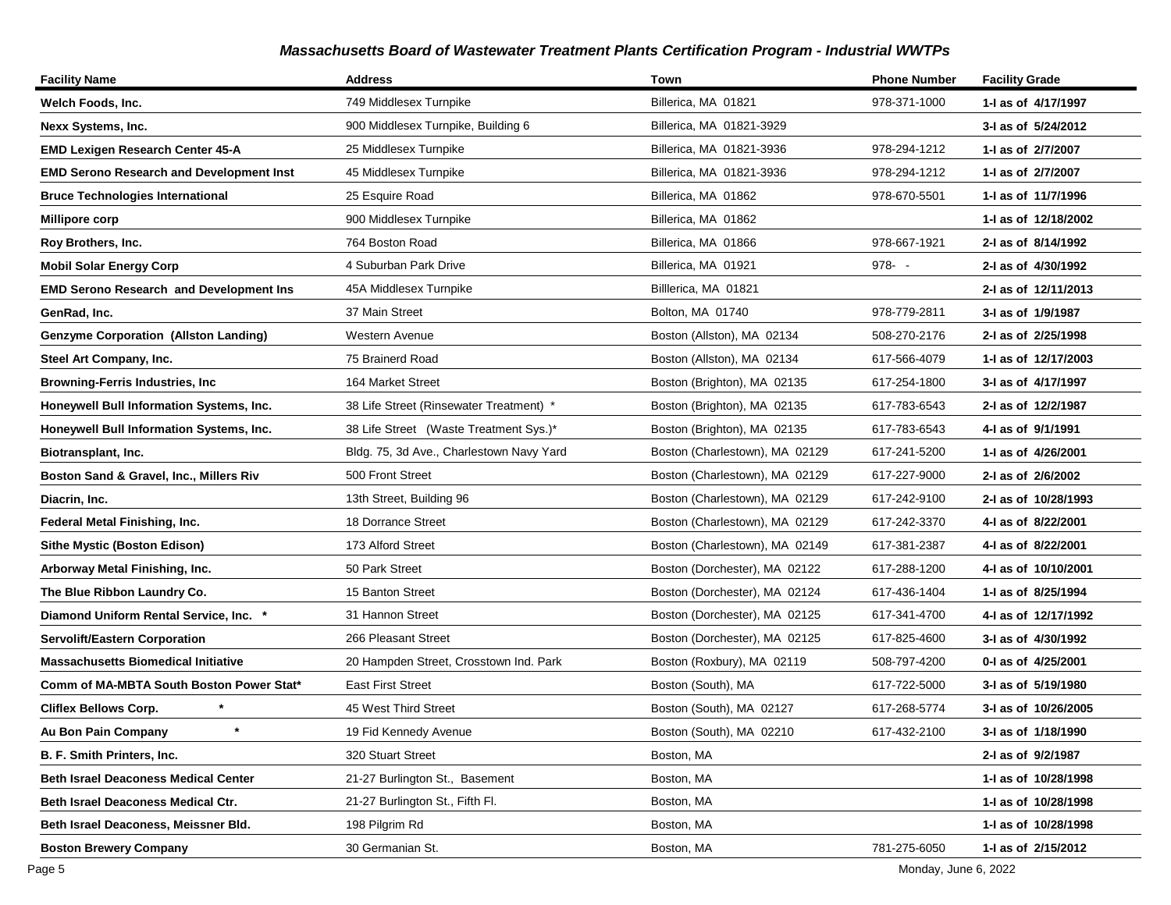| <b>Facility Name</b>                            | <b>Address</b>                           | Town                           | <b>Phone Number</b> | <b>Facility Grade</b> |
|-------------------------------------------------|------------------------------------------|--------------------------------|---------------------|-----------------------|
| Welch Foods, Inc.                               | 749 Middlesex Turnpike                   | Billerica, MA 01821            | 978-371-1000        | 1-I as of 4/17/1997   |
| Nexx Systems, Inc.                              | 900 Middlesex Turnpike, Building 6       | Billerica, MA 01821-3929       |                     | 3-I as of 5/24/2012   |
| <b>EMD Lexigen Research Center 45-A</b>         | 25 Middlesex Turnpike                    | Billerica, MA 01821-3936       | 978-294-1212        | 1-I as of 2/7/2007    |
| <b>EMD Serono Research and Development Inst</b> | 45 Middlesex Turnpike                    | Billerica, MA 01821-3936       | 978-294-1212        | 1-I as of 2/7/2007    |
| <b>Bruce Technologies International</b>         | 25 Esquire Road                          | Billerica, MA 01862            | 978-670-5501        | 1-I as of 11/7/1996   |
| Millipore corp                                  | 900 Middlesex Turnpike                   | Billerica, MA 01862            |                     | 1- as of 12/18/2002   |
| Roy Brothers, Inc.                              | 764 Boston Road                          | Billerica, MA 01866            | 978-667-1921        | 2-I as of 8/14/1992   |
| <b>Mobil Solar Energy Corp</b>                  | 4 Suburban Park Drive                    | Billerica, MA 01921            | $978 - -$           | 2-I as of 4/30/1992   |
| <b>EMD Serono Research and Development Ins</b>  | 45A Middlesex Turnpike                   | Billerica, MA 01821            |                     | 2-I as of 12/11/2013  |
| GenRad, Inc.                                    | 37 Main Street                           | Bolton, MA 01740               | 978-779-2811        | 3-I as of 1/9/1987    |
| <b>Genzyme Corporation (Allston Landing)</b>    | Western Avenue                           | Boston (Allston), MA 02134     | 508-270-2176        | 2-I as of 2/25/1998   |
| Steel Art Company, Inc.                         | 75 Brainerd Road                         | Boston (Allston), MA 02134     | 617-566-4079        | 1-I as of 12/17/2003  |
| Browning-Ferris Industries, Inc                 | 164 Market Street                        | Boston (Brighton), MA 02135    | 617-254-1800        | 3-I as of 4/17/1997   |
| Honeywell Bull Information Systems, Inc.        | 38 Life Street (Rinsewater Treatment) *  | Boston (Brighton), MA 02135    | 617-783-6543        | 2-I as of 12/2/1987   |
| Honeywell Bull Information Systems, Inc.        | 38 Life Street (Waste Treatment Sys.)*   | Boston (Brighton), MA 02135    | 617-783-6543        | 4-I as of 9/1/1991    |
| Biotransplant, Inc.                             | Bldg. 75, 3d Ave., Charlestown Navy Yard | Boston (Charlestown), MA 02129 | 617-241-5200        | 1-I as of 4/26/2001   |
| Boston Sand & Gravel, Inc., Millers Riv         | 500 Front Street                         | Boston (Charlestown), MA 02129 | 617-227-9000        | 2-I as of 2/6/2002    |
| Diacrin, Inc.                                   | 13th Street, Building 96                 | Boston (Charlestown), MA 02129 | 617-242-9100        | 2-I as of 10/28/1993  |
| Federal Metal Finishing, Inc.                   | 18 Dorrance Street                       | Boston (Charlestown), MA 02129 | 617-242-3370        | 4-I as of 8/22/2001   |
| <b>Sithe Mystic (Boston Edison)</b>             | 173 Alford Street                        | Boston (Charlestown), MA 02149 | 617-381-2387        | 4-I as of 8/22/2001   |
| Arborway Metal Finishing, Inc.                  | 50 Park Street                           | Boston (Dorchester), MA 02122  | 617-288-1200        | 4-I as of 10/10/2001  |
| The Blue Ribbon Laundry Co.                     | 15 Banton Street                         | Boston (Dorchester), MA 02124  | 617-436-1404        | 1- as of 8/25/1994    |
| Diamond Uniform Rental Service, Inc. *          | 31 Hannon Street                         | Boston (Dorchester), MA 02125  | 617-341-4700        | 4-I as of 12/17/1992  |
| <b>Servolift/Eastern Corporation</b>            | 266 Pleasant Street                      | Boston (Dorchester), MA 02125  | 617-825-4600        | 3-I as of 4/30/1992   |
| <b>Massachusetts Biomedical Initiative</b>      | 20 Hampden Street, Crosstown Ind. Park   | Boston (Roxbury), MA 02119     | 508-797-4200        | 0-I as of 4/25/2001   |
| Comm of MA-MBTA South Boston Power Stat*        | <b>East First Street</b>                 | Boston (South), MA             | 617-722-5000        | 3-I as of 5/19/1980   |
| <b>Cliflex Bellows Corp.</b>                    | 45 West Third Street                     | Boston (South), MA 02127       | 617-268-5774        | 3-I as of 10/26/2005  |
| $\ast$<br>Au Bon Pain Company                   | 19 Fid Kennedy Avenue                    | Boston (South), MA 02210       | 617-432-2100        | 3-I as of 1/18/1990   |
| <b>B. F. Smith Printers, Inc.</b>               | 320 Stuart Street                        | Boston, MA                     |                     | 2-I as of 9/2/1987    |
| <b>Beth Israel Deaconess Medical Center</b>     | 21-27 Burlington St., Basement           | Boston, MA                     |                     | 1-I as of 10/28/1998  |
| Beth Israel Deaconess Medical Ctr.              | 21-27 Burlington St., Fifth Fl.          | Boston, MA                     |                     | 1-I as of 10/28/1998  |
| Beth Israel Deaconess, Meissner Bld.            | 198 Pilgrim Rd                           | Boston, MA                     |                     | 1-I as of 10/28/1998  |
| <b>Boston Brewery Company</b>                   | 30 Germanian St.                         | Boston, MA                     | 781-275-6050        | 1-I as of 2/15/2012   |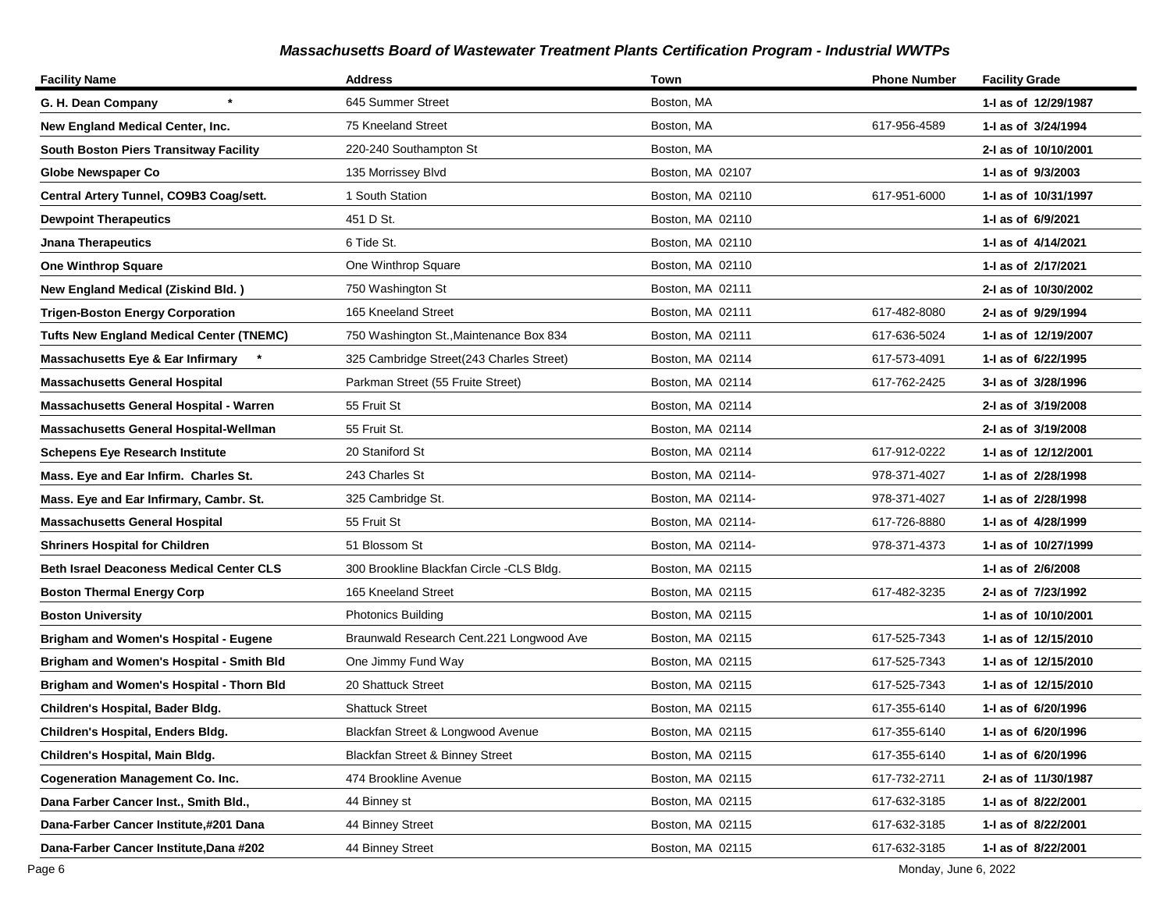| <b>Facility Name</b>                            | <b>Address</b>                           | Town              | <b>Phone Number</b> | <b>Facility Grade</b> |
|-------------------------------------------------|------------------------------------------|-------------------|---------------------|-----------------------|
| G. H. Dean Company                              | 645 Summer Street                        | Boston, MA        |                     | 1-I as of 12/29/1987  |
| New England Medical Center, Inc.                | 75 Kneeland Street                       | Boston, MA        | 617-956-4589        | 1-I as of 3/24/1994   |
| South Boston Piers Transitway Facility          | 220-240 Southampton St                   | Boston, MA        |                     | 2-1 as of 10/10/2001  |
| <b>Globe Newspaper Co</b>                       | 135 Morrissey Blvd                       | Boston, MA 02107  |                     | 1- as of 9/3/2003     |
| Central Artery Tunnel, CO9B3 Coag/sett.         | 1 South Station                          | Boston, MA 02110  | 617-951-6000        | 1-I as of 10/31/1997  |
| <b>Dewpoint Therapeutics</b>                    | 451 D St.                                | Boston, MA 02110  |                     | 1- as of 6/9/2021     |
| <b>Jnana Therapeutics</b>                       | 6 Tide St.                               | Boston, MA 02110  |                     | 1-I as of 4/14/2021   |
| <b>One Winthrop Square</b>                      | One Winthrop Square                      | Boston, MA 02110  |                     | 1-I as of 2/17/2021   |
| <b>New England Medical (Ziskind Bld.)</b>       | 750 Washington St                        | Boston, MA 02111  |                     | 2-I as of 10/30/2002  |
| <b>Trigen-Boston Energy Corporation</b>         | 165 Kneeland Street                      | Boston, MA 02111  | 617-482-8080        | 2-I as of 9/29/1994   |
| <b>Tufts New England Medical Center (TNEMC)</b> | 750 Washington St., Maintenance Box 834  | Boston, MA 02111  | 617-636-5024        | 1- as of 12/19/2007   |
| Massachusetts Eye & Ear Infirmary *             | 325 Cambridge Street(243 Charles Street) | Boston, MA 02114  | 617-573-4091        | 1- as of 6/22/1995    |
| Massachusetts General Hospital                  | Parkman Street (55 Fruite Street)        | Boston, MA 02114  | 617-762-2425        | 3-I as of 3/28/1996   |
| Massachusetts General Hospital - Warren         | 55 Fruit St                              | Boston, MA 02114  |                     | 2-I as of 3/19/2008   |
| Massachusetts General Hospital-Wellman          | 55 Fruit St.                             | Boston, MA 02114  |                     | 2-I as of 3/19/2008   |
| Schepens Eye Research Institute                 | 20 Staniford St                          | Boston, MA 02114  | 617-912-0222        | 1- as of 12/12/2001   |
| Mass. Eye and Ear Infirm. Charles St.           | 243 Charles St                           | Boston, MA 02114- | 978-371-4027        | 1-I as of 2/28/1998   |
| Mass. Eye and Ear Infirmary, Cambr. St.         | 325 Cambridge St.                        | Boston, MA 02114- | 978-371-4027        | 1-I as of 2/28/1998   |
| Massachusetts General Hospital                  | 55 Fruit St                              | Boston, MA 02114- | 617-726-8880        | 1-I as of 4/28/1999   |
| <b>Shriners Hospital for Children</b>           | 51 Blossom St                            | Boston, MA 02114- | 978-371-4373        | 1- as of 10/27/1999   |
| <b>Beth Israel Deaconess Medical Center CLS</b> | 300 Brookline Blackfan Circle -CLS Bldg. | Boston, MA 02115  |                     | 1-I as of 2/6/2008    |
| <b>Boston Thermal Energy Corp</b>               | 165 Kneeland Street                      | Boston, MA 02115  | 617-482-3235        | 2-I as of 7/23/1992   |
| <b>Boston University</b>                        | <b>Photonics Building</b>                | Boston, MA 02115  |                     | 1- as of 10/10/2001   |
| <b>Brigham and Women's Hospital - Eugene</b>    | Braunwald Research Cent.221 Longwood Ave | Boston, MA 02115  | 617-525-7343        | 1-1 as of 12/15/2010  |
| Brigham and Women's Hospital - Smith Bld        | One Jimmy Fund Way                       | Boston, MA 02115  | 617-525-7343        | 1- as of 12/15/2010   |
| Brigham and Women's Hospital - Thorn Bld        | 20 Shattuck Street                       | Boston, MA 02115  | 617-525-7343        | 1-I as of 12/15/2010  |
| Children's Hospital, Bader Bldg.                | <b>Shattuck Street</b>                   | Boston, MA 02115  | 617-355-6140        | 1-I as of 6/20/1996   |
| Children's Hospital, Enders Bldg.               | Blackfan Street & Longwood Avenue        | Boston, MA 02115  | 617-355-6140        | 1-I as of 6/20/1996   |
| Children's Hospital, Main Bldg.                 | Blackfan Street & Binney Street          | Boston, MA 02115  | 617-355-6140        | 1-I as of 6/20/1996   |
| <b>Cogeneration Management Co. Inc.</b>         | 474 Brookline Avenue                     | Boston, MA 02115  | 617-732-2711        | 2-I as of 11/30/1987  |
| Dana Farber Cancer Inst., Smith Bld.,           | 44 Binney st                             | Boston, MA 02115  | 617-632-3185        | 1-I as of 8/22/2001   |
| Dana-Farber Cancer Institute,#201 Dana          | 44 Binney Street                         | Boston, MA 02115  | 617-632-3185        | 1-I as of 8/22/2001   |
| Dana-Farber Cancer Institute, Dana #202         | 44 Binney Street                         | Boston, MA 02115  | 617-632-3185        | 1-I as of 8/22/2001   |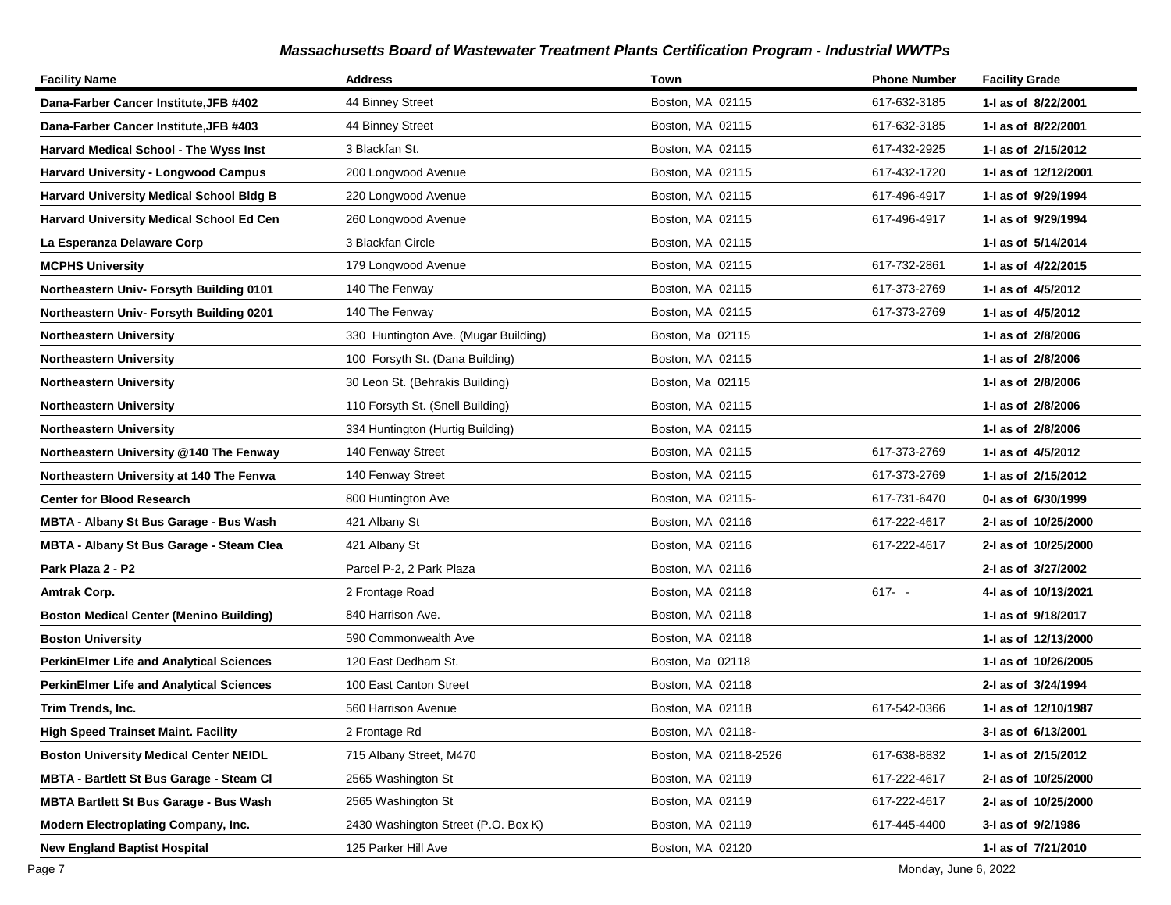| <b>Facility Name</b>                            | <b>Address</b>                       | Town                  | <b>Phone Number</b> | <b>Facility Grade</b> |
|-------------------------------------------------|--------------------------------------|-----------------------|---------------------|-----------------------|
| Dana-Farber Cancer Institute,JFB #402           | 44 Binney Street                     | Boston, MA 02115      | 617-632-3185        | 1-I as of 8/22/2001   |
| Dana-Farber Cancer Institute, JFB #403          | 44 Binney Street                     | Boston, MA 02115      | 617-632-3185        | 1-I as of 8/22/2001   |
| Harvard Medical School - The Wyss Inst          | 3 Blackfan St.                       | Boston, MA 02115      | 617-432-2925        | 1-1 as of 2/15/2012   |
| <b>Harvard University - Longwood Campus</b>     | 200 Longwood Avenue                  | Boston, MA 02115      | 617-432-1720        | 1-I as of 12/12/2001  |
| <b>Harvard University Medical School Bldg B</b> | 220 Longwood Avenue                  | Boston, MA 02115      | 617-496-4917        | 1-I as of 9/29/1994   |
| Harvard University Medical School Ed Cen        | 260 Longwood Avenue                  | Boston, MA 02115      | 617-496-4917        | 1-I as of 9/29/1994   |
| La Esperanza Delaware Corp                      | 3 Blackfan Circle                    | Boston, MA 02115      |                     | 1-I as of 5/14/2014   |
| <b>MCPHS University</b>                         | 179 Longwood Avenue                  | Boston, MA 02115      | 617-732-2861        | 1-1 as of 4/22/2015   |
| Northeastern Univ- Forsyth Building 0101        | 140 The Fenway                       | Boston, MA 02115      | 617-373-2769        | 1-I as of 4/5/2012    |
| Northeastern Univ- Forsyth Building 0201        | 140 The Fenway                       | Boston, MA 02115      | 617-373-2769        | 1- as of 4/5/2012     |
| <b>Northeastern University</b>                  | 330 Huntington Ave. (Mugar Building) | Boston, Ma 02115      |                     | 1-I as of 2/8/2006    |
| <b>Northeastern University</b>                  | 100 Forsyth St. (Dana Building)      | Boston, MA 02115      |                     | 1-I as of 2/8/2006    |
| Northeastern University                         | 30 Leon St. (Behrakis Building)      | Boston, Ma 02115      |                     | 1-I as of 2/8/2006    |
| Northeastern University                         | 110 Forsyth St. (Snell Building)     | Boston, MA 02115      |                     | 1-I as of 2/8/2006    |
| <b>Northeastern University</b>                  | 334 Huntington (Hurtig Building)     | Boston, MA 02115      |                     | 1-I as of 2/8/2006    |
| Northeastern University @140 The Fenway         | 140 Fenway Street                    | Boston, MA 02115      | 617-373-2769        | 1-I as of 4/5/2012    |
| Northeastern University at 140 The Fenwa        | 140 Fenway Street                    | Boston, MA 02115      | 617-373-2769        | 1-I as of 2/15/2012   |
| <b>Center for Blood Research</b>                | 800 Huntington Ave                   | Boston, MA 02115-     | 617-731-6470        | 0-1 as of 6/30/1999   |
| MBTA - Albany St Bus Garage - Bus Wash          | 421 Albany St                        | Boston, MA 02116      | 617-222-4617        | 2-I as of 10/25/2000  |
| <b>MBTA - Albany St Bus Garage - Steam Clea</b> | 421 Albany St                        | Boston, MA 02116      | 617-222-4617        | 2-I as of 10/25/2000  |
| Park Plaza 2 - P2                               | Parcel P-2, 2 Park Plaza             | Boston, MA 02116      |                     | 2-I as of 3/27/2002   |
| Amtrak Corp.                                    | 2 Frontage Road                      | Boston, MA 02118      | $617 - -$           | 4-1 as of 10/13/2021  |
| <b>Boston Medical Center (Menino Building)</b>  | 840 Harrison Ave.                    | Boston, MA 02118      |                     | 1-1 as of 9/18/2017   |
| <b>Boston University</b>                        | 590 Commonwealth Ave                 | Boston, MA 02118      |                     | 1-I as of 12/13/2000  |
| <b>PerkinElmer Life and Analytical Sciences</b> | 120 East Dedham St.                  | Boston, Ma 02118      |                     | 1- as of 10/26/2005   |
| <b>PerkinElmer Life and Analytical Sciences</b> | 100 East Canton Street               | Boston, MA 02118      |                     | 2-I as of 3/24/1994   |
| Trim Trends, Inc.                               | 560 Harrison Avenue                  | Boston, MA 02118      | 617-542-0366        | 1-I as of 12/10/1987  |
| <b>High Speed Trainset Maint. Facility</b>      | 2 Frontage Rd                        | Boston, MA 02118-     |                     | 3-I as of 6/13/2001   |
| <b>Boston University Medical Center NEIDL</b>   | 715 Albany Street, M470              | Boston, MA 02118-2526 | 617-638-8832        | 1- as of 2/15/2012    |
| <b>MBTA - Bartlett St Bus Garage - Steam Cl</b> | 2565 Washington St                   | Boston, MA 02119      | 617-222-4617        | 2-I as of 10/25/2000  |
| <b>MBTA Bartlett St Bus Garage - Bus Wash</b>   | 2565 Washington St                   | Boston, MA 02119      | 617-222-4617        | 2-I as of 10/25/2000  |
| <b>Modern Electroplating Company, Inc.</b>      | 2430 Washington Street (P.O. Box K)  | Boston, MA 02119      | 617-445-4400        | 3-I as of 9/2/1986    |
| <b>New England Baptist Hospital</b>             | 125 Parker Hill Ave                  | Boston, MA 02120      |                     | 1- as of 7/21/2010    |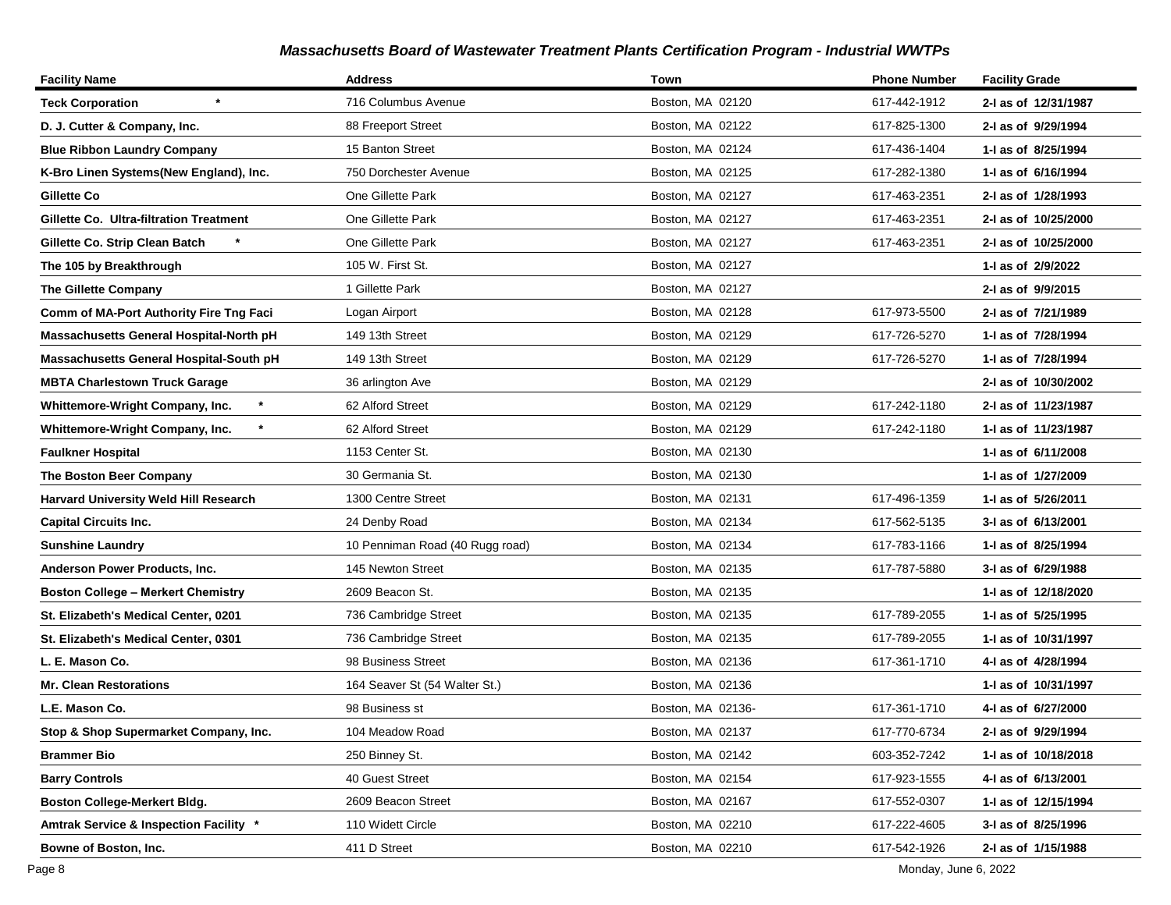| <b>Facility Name</b>                         | <b>Address</b>                  | Town              | <b>Phone Number</b> | <b>Facility Grade</b> |
|----------------------------------------------|---------------------------------|-------------------|---------------------|-----------------------|
| $\star$<br><b>Teck Corporation</b>           | 716 Columbus Avenue             | Boston, MA 02120  | 617-442-1912        | 2-I as of 12/31/1987  |
| D. J. Cutter & Company, Inc.                 | 88 Freeport Street              | Boston, MA 02122  | 617-825-1300        | 2-I as of 9/29/1994   |
| <b>Blue Ribbon Laundry Company</b>           | 15 Banton Street                | Boston, MA 02124  | 617-436-1404        | 1-I as of 8/25/1994   |
| K-Bro Linen Systems(New England), Inc.       | 750 Dorchester Avenue           | Boston, MA 02125  | 617-282-1380        | 1-I as of 6/16/1994   |
| Gillette Co                                  | One Gillette Park               | Boston, MA 02127  | 617-463-2351        | 2-I as of 1/28/1993   |
| Gillette Co. Ultra-filtration Treatment      | One Gillette Park               | Boston, MA 02127  | 617-463-2351        | 2-I as of 10/25/2000  |
| Gillette Co. Strip Clean Batch               | One Gillette Park               | Boston, MA 02127  | 617-463-2351        | 2-I as of 10/25/2000  |
| The 105 by Breakthrough                      | 105 W. First St.                | Boston, MA 02127  |                     | 1-I as of 2/9/2022    |
| <b>The Gillette Company</b>                  | 1 Gillette Park                 | Boston, MA 02127  |                     | 2-I as of 9/9/2015    |
| Comm of MA-Port Authority Fire Tng Faci      | Logan Airport                   | Boston, MA 02128  | 617-973-5500        | 2-I as of 7/21/1989   |
| Massachusetts General Hospital-North pH      | 149 13th Street                 | Boston, MA 02129  | 617-726-5270        | 1-I as of 7/28/1994   |
| Massachusetts General Hospital-South pH      | 149 13th Street                 | Boston, MA 02129  | 617-726-5270        | 1-I as of 7/28/1994   |
| <b>MBTA Charlestown Truck Garage</b>         | 36 arlington Ave                | Boston, MA 02129  |                     | 2-I as of 10/30/2002  |
| $\star$<br>Whittemore-Wright Company, Inc.   | 62 Alford Street                | Boston, MA 02129  | 617-242-1180        | 2-I as of 11/23/1987  |
| $\star$<br>Whittemore-Wright Company, Inc.   | 62 Alford Street                | Boston, MA 02129  | 617-242-1180        | 1- as of 11/23/1987   |
| <b>Faulkner Hospital</b>                     | 1153 Center St.                 | Boston, MA 02130  |                     | 1-I as of 6/11/2008   |
| The Boston Beer Company                      | 30 Germania St.                 | Boston, MA 02130  |                     | 1-1 as of 1/27/2009   |
| <b>Harvard University Weld Hill Research</b> | 1300 Centre Street              | Boston, MA 02131  | 617-496-1359        | 1-I as of 5/26/2011   |
| <b>Capital Circuits Inc.</b>                 | 24 Denby Road                   | Boston, MA 02134  | 617-562-5135        | 3-I as of 6/13/2001   |
| <b>Sunshine Laundry</b>                      | 10 Penniman Road (40 Rugg road) | Boston, MA 02134  | 617-783-1166        | 1-I as of 8/25/1994   |
| Anderson Power Products, Inc.                | 145 Newton Street               | Boston, MA 02135  | 617-787-5880        | 3-I as of 6/29/1988   |
| <b>Boston College - Merkert Chemistry</b>    | 2609 Beacon St.                 | Boston, MA 02135  |                     | 1-I as of 12/18/2020  |
| St. Elizabeth's Medical Center, 0201         | 736 Cambridge Street            | Boston, MA 02135  | 617-789-2055        | 1-I as of 5/25/1995   |
| St. Elizabeth's Medical Center, 0301         | 736 Cambridge Street            | Boston, MA 02135  | 617-789-2055        | 1-I as of 10/31/1997  |
| L. E. Mason Co.                              | 98 Business Street              | Boston, MA 02136  | 617-361-1710        | 4-I as of 4/28/1994   |
| <b>Mr. Clean Restorations</b>                | 164 Seaver St (54 Walter St.)   | Boston, MA 02136  |                     | 1-I as of 10/31/1997  |
| L.E. Mason Co.                               | 98 Business st                  | Boston, MA 02136- | 617-361-1710        | 4-I as of 6/27/2000   |
| Stop & Shop Supermarket Company, Inc.        | 104 Meadow Road                 | Boston, MA 02137  | 617-770-6734        | 2-I as of 9/29/1994   |
| <b>Brammer Bio</b>                           | 250 Binney St.                  | Boston, MA 02142  | 603-352-7242        | 1- as of 10/18/2018   |
| <b>Barry Controls</b>                        | 40 Guest Street                 | Boston, MA 02154  | 617-923-1555        | 4-1 as of 6/13/2001   |
| Boston College-Merkert Bldg.                 | 2609 Beacon Street              | Boston, MA 02167  | 617-552-0307        | 1-I as of 12/15/1994  |
| Amtrak Service & Inspection Facility *       | 110 Widett Circle               | Boston, MA 02210  | 617-222-4605        | 3-I as of 8/25/1996   |
| Bowne of Boston, Inc.                        | 411 D Street                    | Boston, MA 02210  | 617-542-1926        | 2-I as of 1/15/1988   |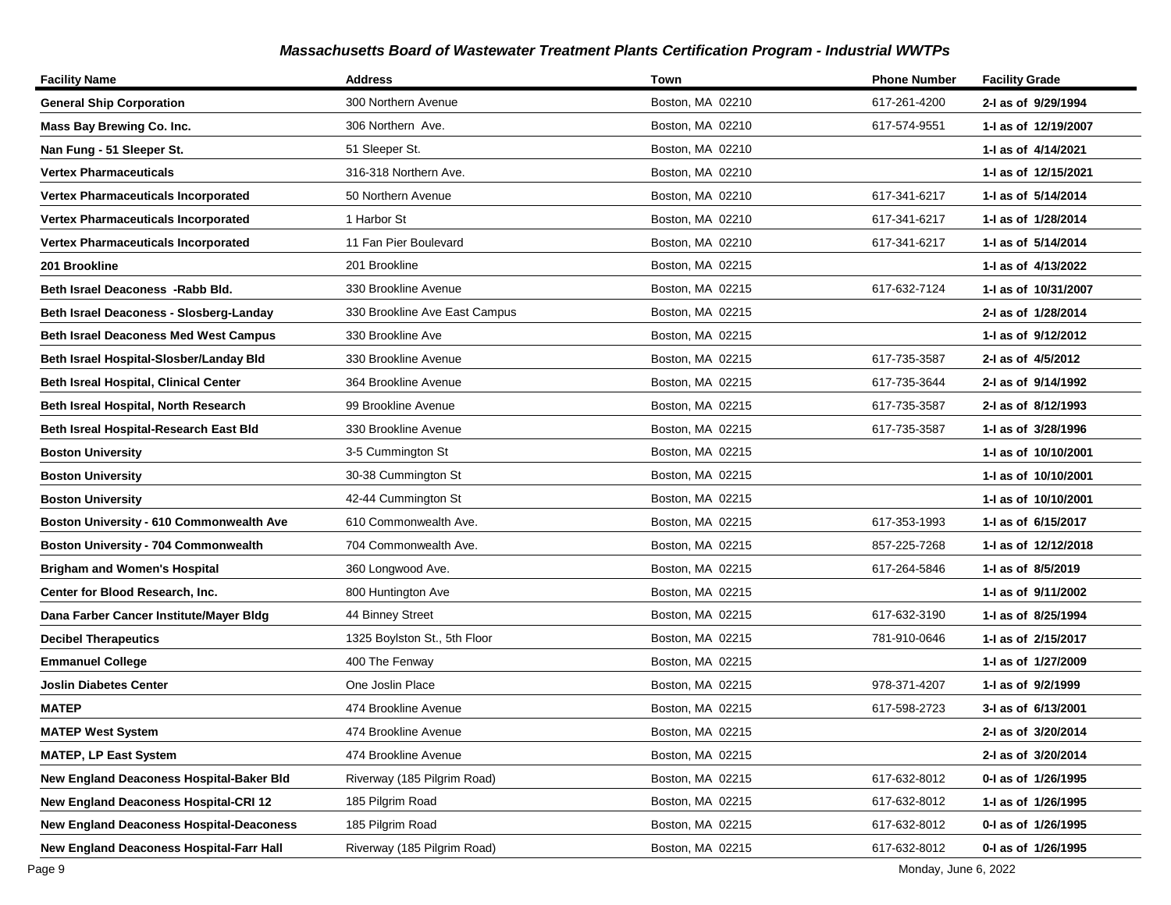| <b>Facility Name</b>                            | <b>Address</b>                | Town             | <b>Phone Number</b> | <b>Facility Grade</b> |
|-------------------------------------------------|-------------------------------|------------------|---------------------|-----------------------|
| <b>General Ship Corporation</b>                 | 300 Northern Avenue           | Boston, MA 02210 | 617-261-4200        | 2-I as of 9/29/1994   |
| Mass Bay Brewing Co. Inc.                       | 306 Northern Ave.             | Boston, MA 02210 | 617-574-9551        | 1-J as of 12/19/2007  |
| Nan Fung - 51 Sleeper St.                       | 51 Sleeper St.                | Boston, MA 02210 |                     | 1-I as of 4/14/2021   |
| <b>Vertex Pharmaceuticals</b>                   | 316-318 Northern Ave.         | Boston, MA 02210 |                     | 1-I as of 12/15/2021  |
| <b>Vertex Pharmaceuticals Incorporated</b>      | 50 Northern Avenue            | Boston, MA 02210 | 617-341-6217        | 1-1 as of 5/14/2014   |
| Vertex Pharmaceuticals Incorporated             | 1 Harbor St                   | Boston, MA 02210 | 617-341-6217        | 1-I as of 1/28/2014   |
| <b>Vertex Pharmaceuticals Incorporated</b>      | 11 Fan Pier Boulevard         | Boston, MA 02210 | 617-341-6217        | 1- as of 5/14/2014    |
| 201 Brookline                                   | 201 Brookline                 | Boston, MA 02215 |                     | 1-I as of 4/13/2022   |
| Beth Israel Deaconess - Rabb Bld.               | 330 Brookline Avenue          | Boston, MA 02215 | 617-632-7124        | 1- as of 10/31/2007   |
| Beth Israel Deaconess - Slosberg-Landay         | 330 Brookline Ave East Campus | Boston, MA 02215 |                     | 2-I as of 1/28/2014   |
| <b>Beth Israel Deaconess Med West Campus</b>    | 330 Brookline Ave             | Boston, MA 02215 |                     | 1-1 as of 9/12/2012   |
| Beth Israel Hospital-Slosber/Landay Bld         | 330 Brookline Avenue          | Boston, MA 02215 | 617-735-3587        | 2-I as of 4/5/2012    |
| <b>Beth Isreal Hospital, Clinical Center</b>    | 364 Brookline Avenue          | Boston, MA 02215 | 617-735-3644        | 2-I as of 9/14/1992   |
| Beth Isreal Hospital, North Research            | 99 Brookline Avenue           | Boston, MA 02215 | 617-735-3587        | 2-I as of 8/12/1993   |
| Beth Isreal Hospital-Research East Bld          | 330 Brookline Avenue          | Boston, MA 02215 | 617-735-3587        | 1- as of 3/28/1996    |
| <b>Boston University</b>                        | 3-5 Cummington St             | Boston, MA 02215 |                     | 1-I as of 10/10/2001  |
| <b>Boston University</b>                        | 30-38 Cummington St           | Boston, MA 02215 |                     | 1-I as of 10/10/2001  |
| <b>Boston University</b>                        | 42-44 Cummington St           | Boston, MA 02215 |                     | 1-I as of 10/10/2001  |
| Boston University - 610 Commonwealth Ave        | 610 Commonwealth Ave.         | Boston, MA 02215 | 617-353-1993        | 1-I as of 6/15/2017   |
| Boston University - 704 Commonwealth            | 704 Commonwealth Ave.         | Boston, MA 02215 | 857-225-7268        | 1- as of 12/12/2018   |
| <b>Brigham and Women's Hospital</b>             | 360 Longwood Ave.             | Boston, MA 02215 | 617-264-5846        | 1-I as of 8/5/2019    |
| Center for Blood Research, Inc.                 | 800 Huntington Ave            | Boston, MA 02215 |                     | 1-1 as of 9/11/2002   |
| Dana Farber Cancer Institute/Mayer Bldg         | 44 Binney Street              | Boston, MA 02215 | 617-632-3190        | 1-I as of 8/25/1994   |
| <b>Decibel Therapeutics</b>                     | 1325 Boylston St., 5th Floor  | Boston, MA 02215 | 781-910-0646        | 1-I as of 2/15/2017   |
| <b>Emmanuel College</b>                         | 400 The Fenway                | Boston, MA 02215 |                     | 1-I as of 1/27/2009   |
| <b>Joslin Diabetes Center</b>                   | One Joslin Place              | Boston, MA 02215 | 978-371-4207        | 1-I as of 9/2/1999    |
| <b>MATEP</b>                                    | 474 Brookline Avenue          | Boston, MA 02215 | 617-598-2723        | 3-I as of 6/13/2001   |
| <b>MATEP West System</b>                        | 474 Brookline Avenue          | Boston, MA 02215 |                     | 2-I as of 3/20/2014   |
| <b>MATEP, LP East System</b>                    | 474 Brookline Avenue          | Boston, MA 02215 |                     | 2-I as of 3/20/2014   |
| New England Deaconess Hospital-Baker Bld        | Riverway (185 Pilgrim Road)   | Boston, MA 02215 | 617-632-8012        | 0-1 as of 1/26/1995   |
| <b>New England Deaconess Hospital-CRI 12</b>    | 185 Pilgrim Road              | Boston, MA 02215 | 617-632-8012        | 1-I as of 1/26/1995   |
| <b>New England Deaconess Hospital-Deaconess</b> | 185 Pilgrim Road              | Boston, MA 02215 | 617-632-8012        | 0-I as of 1/26/1995   |
| New England Deaconess Hospital-Farr Hall        | Riverway (185 Pilgrim Road)   | Boston, MA 02215 | 617-632-8012        | 0-I as of 1/26/1995   |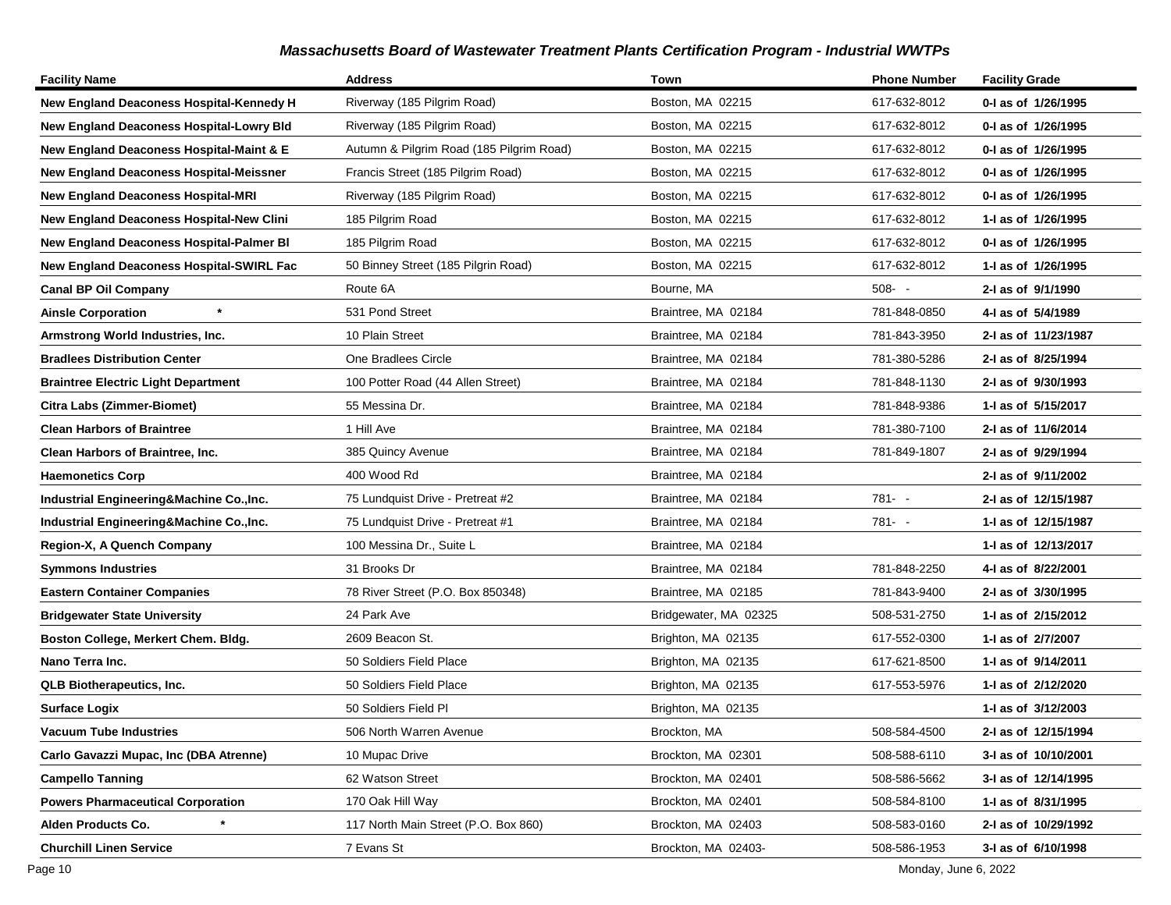| <b>Facility Name</b>                            | <b>Address</b>                           | Town                  | <b>Phone Number</b> | <b>Facility Grade</b> |
|-------------------------------------------------|------------------------------------------|-----------------------|---------------------|-----------------------|
| New England Deaconess Hospital-Kennedy H        | Riverway (185 Pilgrim Road)              | Boston, MA 02215      | 617-632-8012        | 0-I as of 1/26/1995   |
| <b>New England Deaconess Hospital-Lowry Bld</b> | Riverway (185 Pilgrim Road)              | Boston, MA 02215      | 617-632-8012        | 0-I as of 1/26/1995   |
| New England Deaconess Hospital-Maint & E        | Autumn & Pilgrim Road (185 Pilgrim Road) | Boston, MA 02215      | 617-632-8012        | 0-1 as of 1/26/1995   |
| <b>New England Deaconess Hospital-Meissner</b>  | Francis Street (185 Pilgrim Road)        | Boston, MA 02215      | 617-632-8012        | 0-I as of 1/26/1995   |
| <b>New England Deaconess Hospital-MRI</b>       | Riverway (185 Pilgrim Road)              | Boston, MA 02215      | 617-632-8012        | 0-I as of 1/26/1995   |
| New England Deaconess Hospital-New Clini        | 185 Pilgrim Road                         | Boston, MA 02215      | 617-632-8012        | 1-I as of 1/26/1995   |
| <b>New England Deaconess Hospital-Palmer BI</b> | 185 Pilgrim Road                         | Boston, MA 02215      | 617-632-8012        | 0-1 as of 1/26/1995   |
| <b>New England Deaconess Hospital-SWIRL Fac</b> | 50 Binney Street (185 Pilgrin Road)      | Boston, MA 02215      | 617-632-8012        | 1-I as of 1/26/1995   |
| <b>Canal BP Oil Company</b>                     | Route 6A                                 | Bourne, MA            | $508 - -$           | 2-I as of 9/1/1990    |
| $\star$<br><b>Ainsle Corporation</b>            | 531 Pond Street                          | Braintree, MA 02184   | 781-848-0850        | 4-I as of 5/4/1989    |
| Armstrong World Industries, Inc.                | 10 Plain Street                          | Braintree, MA 02184   | 781-843-3950        | 2-I as of 11/23/1987  |
| <b>Bradlees Distribution Center</b>             | One Bradlees Circle                      | Braintree, MA 02184   | 781-380-5286        | 2-I as of 8/25/1994   |
| Braintree Electric Light Department             | 100 Potter Road (44 Allen Street)        | Braintree, MA 02184   | 781-848-1130        | 2-I as of 9/30/1993   |
| Citra Labs (Zimmer-Biomet)                      | 55 Messina Dr.                           | Braintree, MA 02184   | 781-848-9386        | 1- as of 5/15/2017    |
| <b>Clean Harbors of Braintree</b>               | 1 Hill Ave                               | Braintree, MA 02184   | 781-380-7100        | 2-I as of 11/6/2014   |
| <b>Clean Harbors of Braintree, Inc.</b>         | 385 Quincy Avenue                        | Braintree, MA 02184   | 781-849-1807        | 2-I as of 9/29/1994   |
| <b>Haemonetics Corp</b>                         | 400 Wood Rd                              | Braintree, MA 02184   |                     | 2-I as of 9/11/2002   |
| Industrial Engineering&Machine Co., Inc.        | 75 Lundquist Drive - Pretreat #2         | Braintree, MA 02184   | 781- -              | 2-I as of 12/15/1987  |
| Industrial Engineering&Machine Co., Inc.        | 75 Lundquist Drive - Pretreat #1         | Braintree, MA 02184   | $781 - -$           | 1- as of 12/15/1987   |
| Region-X, A Quench Company                      | 100 Messina Dr., Suite L                 | Braintree, MA 02184   |                     | 1-I as of 12/13/2017  |
| Symmons Industries                              | 31 Brooks Dr                             | Braintree, MA 02184   | 781-848-2250        | 4-1 as of 8/22/2001   |
| <b>Eastern Container Companies</b>              | 78 River Street (P.O. Box 850348)        | Braintree, MA 02185   | 781-843-9400        | 2-I as of 3/30/1995   |
| <b>Bridgewater State University</b>             | 24 Park Ave                              | Bridgewater, MA 02325 | 508-531-2750        | 1-1 as of 2/15/2012   |
| Boston College, Merkert Chem. Bldg.             | 2609 Beacon St.                          | Brighton, MA 02135    | 617-552-0300        | 1-I as of 2/7/2007    |
| Nano Terra Inc.                                 | 50 Soldiers Field Place                  | Brighton, MA 02135    | 617-621-8500        | 1- as of 9/14/2011    |
| <b>QLB Biotherapeutics, Inc.</b>                | 50 Soldiers Field Place                  | Brighton, MA 02135    | 617-553-5976        | 1-1 as of 2/12/2020   |
| <b>Surface Logix</b>                            | 50 Soldiers Field Pl                     | Brighton, MA 02135    |                     | 1-I as of 3/12/2003   |
| <b>Vacuum Tube Industries</b>                   | 506 North Warren Avenue                  | Brockton, MA          | 508-584-4500        | 2-I as of 12/15/1994  |
| Carlo Gavazzi Mupac, Inc (DBA Atrenne)          | 10 Mupac Drive                           | Brockton, MA 02301    | 508-588-6110        | 3-I as of 10/10/2001  |
| <b>Campello Tanning</b>                         | 62 Watson Street                         | Brockton, MA 02401    | 508-586-5662        | 3-I as of 12/14/1995  |
| <b>Powers Pharmaceutical Corporation</b>        | 170 Oak Hill Way                         | Brockton, MA 02401    | 508-584-8100        | 1-I as of 8/31/1995   |
| Alden Products Co.                              | 117 North Main Street (P.O. Box 860)     | Brockton, MA 02403    | 508-583-0160        | 2-I as of 10/29/1992  |
| <b>Churchill Linen Service</b>                  | 7 Evans St                               | Brockton, MA 02403-   | 508-586-1953        | 3-I as of 6/10/1998   |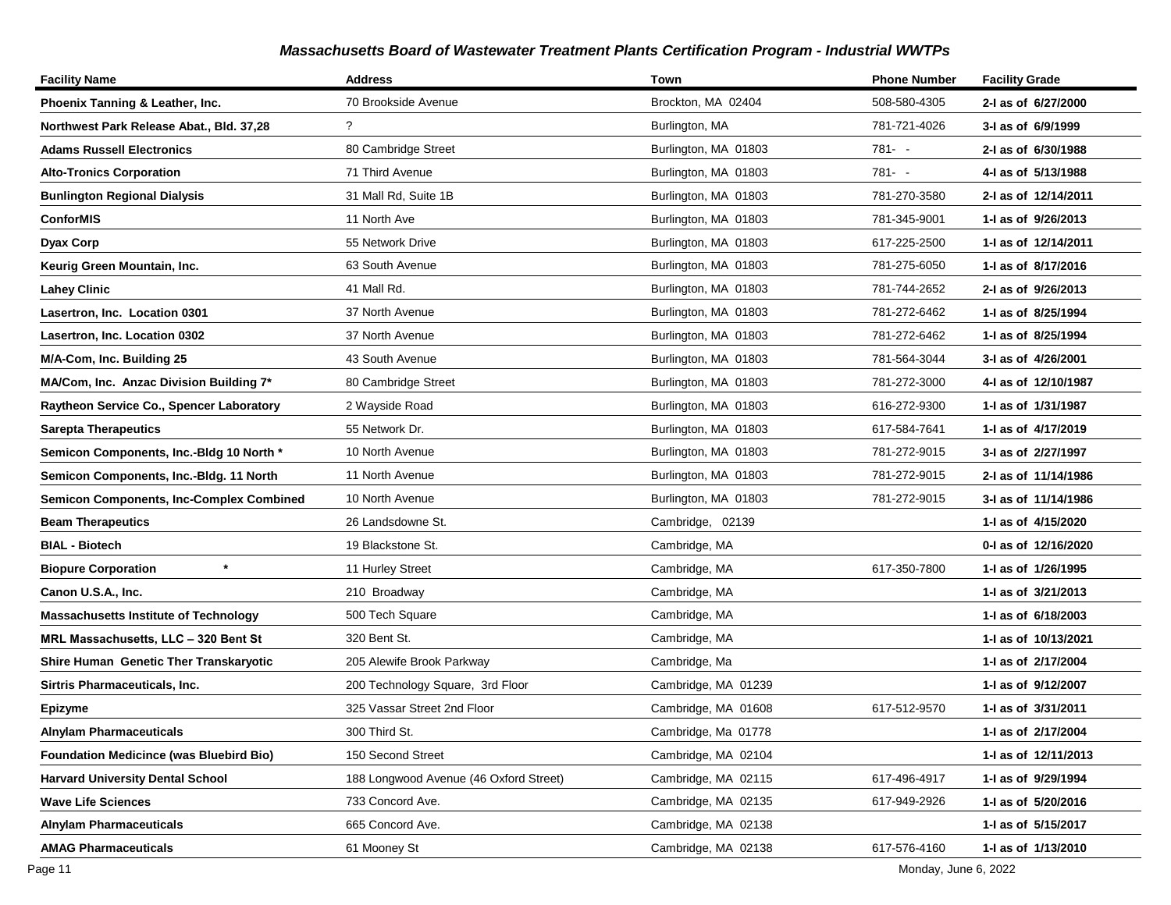| <b>Facility Name</b>                            | <b>Address</b>                         | Town                 | <b>Phone Number</b> | <b>Facility Grade</b> |
|-------------------------------------------------|----------------------------------------|----------------------|---------------------|-----------------------|
| Phoenix Tanning & Leather, Inc.                 | 70 Brookside Avenue                    | Brockton, MA 02404   | 508-580-4305        | 2-I as of 6/27/2000   |
| Northwest Park Release Abat., Bld. 37,28        | ?                                      | Burlington, MA       | 781-721-4026        | 3-I as of 6/9/1999    |
| <b>Adams Russell Electronics</b>                | 80 Cambridge Street                    | Burlington, MA 01803 | 781- -              | 2-I as of 6/30/1988   |
| <b>Alto-Tronics Corporation</b>                 | 71 Third Avenue                        | Burlington, MA 01803 | $781 - -$           | 4-I as of 5/13/1988   |
| <b>Bunlington Regional Dialysis</b>             | 31 Mall Rd, Suite 1B                   | Burlington, MA 01803 | 781-270-3580        | 2-I as of 12/14/2011  |
| <b>ConforMIS</b>                                | 11 North Ave                           | Burlington, MA 01803 | 781-345-9001        | 1-1 as of 9/26/2013   |
| <b>Dyax Corp</b>                                | 55 Network Drive                       | Burlington, MA 01803 | 617-225-2500        | 1-I as of 12/14/2011  |
| Keurig Green Mountain, Inc.                     | 63 South Avenue                        | Burlington, MA 01803 | 781-275-6050        | 1-1 as of 8/17/2016   |
| <b>Lahey Clinic</b>                             | 41 Mall Rd.                            | Burlington, MA 01803 | 781-744-2652        | 2-I as of 9/26/2013   |
| Lasertron, Inc. Location 0301                   | 37 North Avenue                        | Burlington, MA 01803 | 781-272-6462        | 1-J as of 8/25/1994   |
| Lasertron, Inc. Location 0302                   | 37 North Avenue                        | Burlington, MA 01803 | 781-272-6462        | 1-I as of 8/25/1994   |
| M/A-Com, Inc. Building 25                       | 43 South Avenue                        | Burlington, MA 01803 | 781-564-3044        | 3-I as of 4/26/2001   |
| MA/Com, Inc. Anzac Division Building 7*         | 80 Cambridge Street                    | Burlington, MA 01803 | 781-272-3000        | 4-I as of 12/10/1987  |
| Raytheon Service Co., Spencer Laboratory        | 2 Wayside Road                         | Burlington, MA 01803 | 616-272-9300        | 1-I as of 1/31/1987   |
| <b>Sarepta Therapeutics</b>                     | 55 Network Dr.                         | Burlington, MA 01803 | 617-584-7641        | 1-I as of 4/17/2019   |
| Semicon Components, Inc.-Bldg 10 North *        | 10 North Avenue                        | Burlington, MA 01803 | 781-272-9015        | 3-I as of 2/27/1997   |
| Semicon Components, Inc.-Bldg. 11 North         | 11 North Avenue                        | Burlington, MA 01803 | 781-272-9015        | 2-I as of 11/14/1986  |
| <b>Semicon Components, Inc-Complex Combined</b> | 10 North Avenue                        | Burlington, MA 01803 | 781-272-9015        | 3-I as of 11/14/1986  |
| <b>Beam Therapeutics</b>                        | 26 Landsdowne St.                      | Cambridge, 02139     |                     | 1-1 as of 4/15/2020   |
| <b>BIAL - Biotech</b>                           | 19 Blackstone St.                      | Cambridge, MA        |                     | 0-1 as of 12/16/2020  |
| $^\star$<br><b>Biopure Corporation</b>          | 11 Hurley Street                       | Cambridge, MA        | 617-350-7800        | 1-I as of 1/26/1995   |
| Canon U.S.A., Inc.                              | 210 Broadway                           | Cambridge, MA        |                     | 1-I as of 3/21/2013   |
| <b>Massachusetts Institute of Technology</b>    | 500 Tech Square                        | Cambridge, MA        |                     | 1-1 as of 6/18/2003   |
| MRL Massachusetts, LLC - 320 Bent St            | 320 Bent St.                           | Cambridge, MA        |                     | 1-1 as of 10/13/2021  |
| Shire Human Genetic Ther Transkaryotic          | 205 Alewife Brook Parkway              | Cambridge, Ma        |                     | 1-I as of 2/17/2004   |
| Sirtris Pharmaceuticals, Inc.                   | 200 Technology Square, 3rd Floor       | Cambridge, MA 01239  |                     | 1-1 as of 9/12/2007   |
| <b>Epizyme</b>                                  | 325 Vassar Street 2nd Floor            | Cambridge, MA 01608  | 617-512-9570        | 1-I as of 3/31/2011   |
| <b>Alnylam Pharmaceuticals</b>                  | 300 Third St.                          | Cambridge, Ma 01778  |                     | 1-I as of 2/17/2004   |
| <b>Foundation Medicince (was Bluebird Bio)</b>  | 150 Second Street                      | Cambridge, MA 02104  |                     | 1- as of 12/11/2013   |
| <b>Harvard University Dental School</b>         | 188 Longwood Avenue (46 Oxford Street) | Cambridge, MA 02115  | 617-496-4917        | 1-I as of 9/29/1994   |
| <b>Wave Life Sciences</b>                       | 733 Concord Ave.                       | Cambridge, MA 02135  | 617-949-2926        | 1-I as of 5/20/2016   |
| <b>Alnylam Pharmaceuticals</b>                  | 665 Concord Ave.                       | Cambridge, MA 02138  |                     | 1-I as of 5/15/2017   |
| AMAG Pharmaceuticals                            | 61 Mooney St                           | Cambridge, MA 02138  | 617-576-4160        | 1-I as of 1/13/2010   |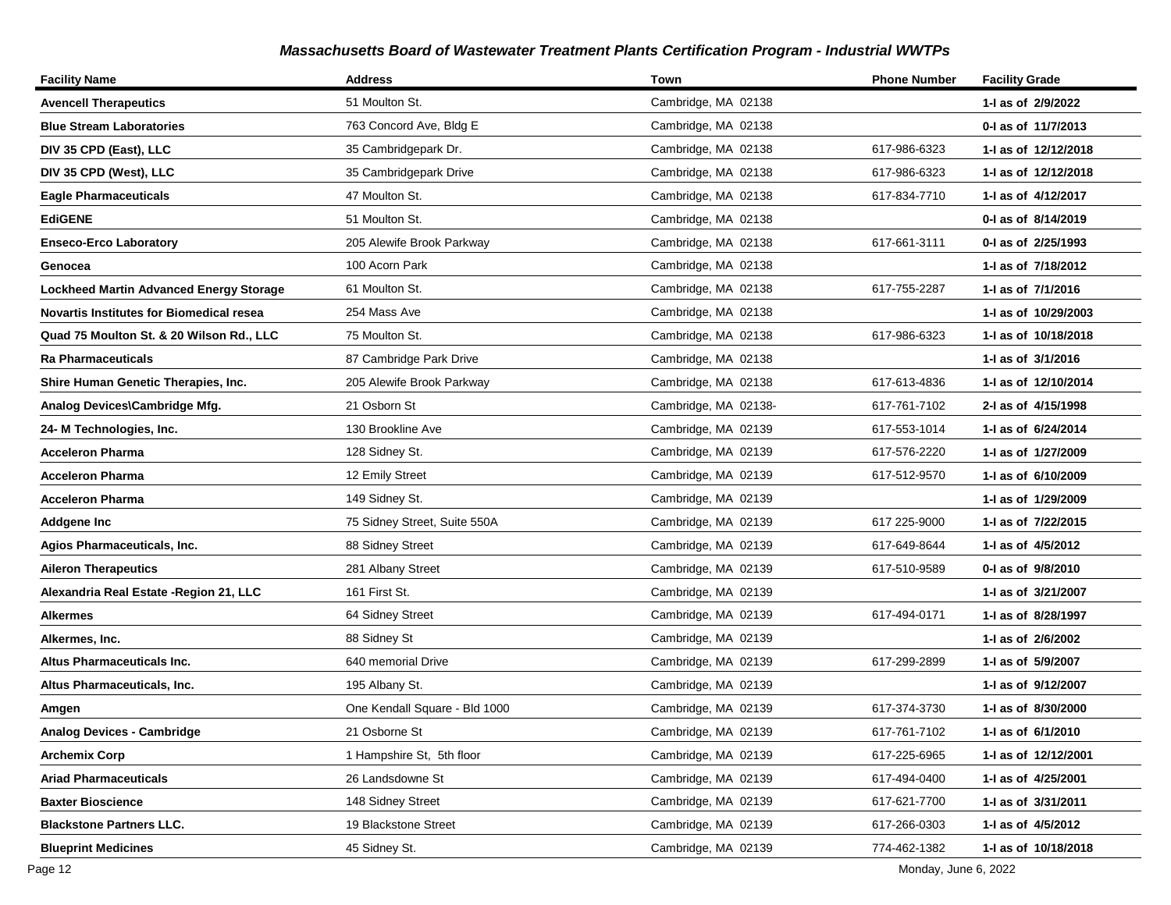| <b>Facility Name</b>                            | <b>Address</b>                | Town                 | <b>Phone Number</b> | <b>Facility Grade</b> |
|-------------------------------------------------|-------------------------------|----------------------|---------------------|-----------------------|
| <b>Avencell Therapeutics</b>                    | 51 Moulton St.                | Cambridge, MA 02138  |                     | 1-I as of 2/9/2022    |
| <b>Blue Stream Laboratories</b>                 | 763 Concord Ave, Bldg E       | Cambridge, MA 02138  |                     | 0-1 as of 11/7/2013   |
| DIV 35 CPD (East), LLC                          | 35 Cambridgepark Dr.          | Cambridge, MA 02138  | 617-986-6323        | 1- as of 12/12/2018   |
| DIV 35 CPD (West), LLC                          | 35 Cambridgepark Drive        | Cambridge, MA 02138  | 617-986-6323        | 1-I as of 12/12/2018  |
| <b>Eagle Pharmaceuticals</b>                    | 47 Moulton St.                | Cambridge, MA 02138  | 617-834-7710        | 1-1 as of 4/12/2017   |
| <b>EdiGENE</b>                                  | 51 Moulton St.                | Cambridge, MA 02138  |                     | 0-1 as of 8/14/2019   |
| <b>Enseco-Erco Laboratory</b>                   | 205 Alewife Brook Parkway     | Cambridge, MA 02138  | 617-661-3111        | 0-1 as of 2/25/1993   |
| Genocea                                         | 100 Acorn Park                | Cambridge, MA 02138  |                     | 1-1 as of 7/18/2012   |
| <b>Lockheed Martin Advanced Energy Storage</b>  | 61 Moulton St.                | Cambridge, MA 02138  | 617-755-2287        | 1-I as of 7/1/2016    |
| <b>Novartis Institutes for Biomedical resea</b> | 254 Mass Ave                  | Cambridge, MA 02138  |                     | 1-I as of 10/29/2003  |
| Quad 75 Moulton St. & 20 Wilson Rd., LLC        | 75 Moulton St.                | Cambridge, MA 02138  | 617-986-6323        | 1-1 as of 10/18/2018  |
| Ra Pharmaceuticals                              | 87 Cambridge Park Drive       | Cambridge, MA 02138  |                     | 1-I as of 3/1/2016    |
| Shire Human Genetic Therapies, Inc.             | 205 Alewife Brook Parkway     | Cambridge, MA 02138  | 617-613-4836        | 1-I as of 12/10/2014  |
| Analog Devices\Cambridge Mfg.                   | 21 Osborn St                  | Cambridge, MA 02138- | 617-761-7102        | 2-I as of 4/15/1998   |
| 24- M Technologies, Inc.                        | 130 Brookline Ave             | Cambridge, MA 02139  | 617-553-1014        | 1-I as of 6/24/2014   |
| Acceleron Pharma                                | 128 Sidney St.                | Cambridge, MA 02139  | 617-576-2220        | 1-1 as of 1/27/2009   |
| Acceleron Pharma                                | 12 Emily Street               | Cambridge, MA 02139  | 617-512-9570        | 1-1 as of 6/10/2009   |
| Acceleron Pharma                                | 149 Sidney St.                | Cambridge, MA 02139  |                     | 1- as of 1/29/2009    |
| Addgene Inc                                     | 75 Sidney Street, Suite 550A  | Cambridge, MA 02139  | 617 225-9000        | 1-I as of 7/22/2015   |
| Agios Pharmaceuticals, Inc.                     | 88 Sidney Street              | Cambridge, MA 02139  | 617-649-8644        | 1-I as of 4/5/2012    |
| <b>Aileron Therapeutics</b>                     | 281 Albany Street             | Cambridge, MA 02139  | 617-510-9589        | 0-1 as of 9/8/2010    |
| Alexandria Real Estate - Region 21, LLC         | 161 First St.                 | Cambridge, MA 02139  |                     | 1-I as of 3/21/2007   |
| Alkermes                                        | 64 Sidney Street              | Cambridge, MA 02139  | 617-494-0171        | 1-I as of 8/28/1997   |
| Alkermes, Inc.                                  | 88 Sidney St                  | Cambridge, MA 02139  |                     | 1-I as of 2/6/2002    |
| Altus Pharmaceuticals Inc.                      | 640 memorial Drive            | Cambridge, MA 02139  | 617-299-2899        | 1-I as of 5/9/2007    |
| Altus Pharmaceuticals, Inc.                     | 195 Albany St.                | Cambridge, MA 02139  |                     | 1-I as of 9/12/2007   |
| Amgen                                           | One Kendall Square - Bld 1000 | Cambridge, MA 02139  | 617-374-3730        | 1-I as of 8/30/2000   |
| <b>Analog Devices - Cambridge</b>               | 21 Osborne St                 | Cambridge, MA 02139  | 617-761-7102        | 1-I as of 6/1/2010    |
| <b>Archemix Corp</b>                            | 1 Hampshire St, 5th floor     | Cambridge, MA 02139  | 617-225-6965        | 1- as of 12/12/2001   |
| <b>Ariad Pharmaceuticals</b>                    | 26 Landsdowne St              | Cambridge, MA 02139  | 617-494-0400        | 1-I as of 4/25/2001   |
| <b>Baxter Bioscience</b>                        | 148 Sidney Street             | Cambridge, MA 02139  | 617-621-7700        | 1-I as of 3/31/2011   |
| <b>Blackstone Partners LLC.</b>                 | 19 Blackstone Street          | Cambridge, MA 02139  | 617-266-0303        | 1-I as of 4/5/2012    |
| <b>Blueprint Medicines</b>                      | 45 Sidney St.                 | Cambridge, MA 02139  | 774-462-1382        | 1-I as of 10/18/2018  |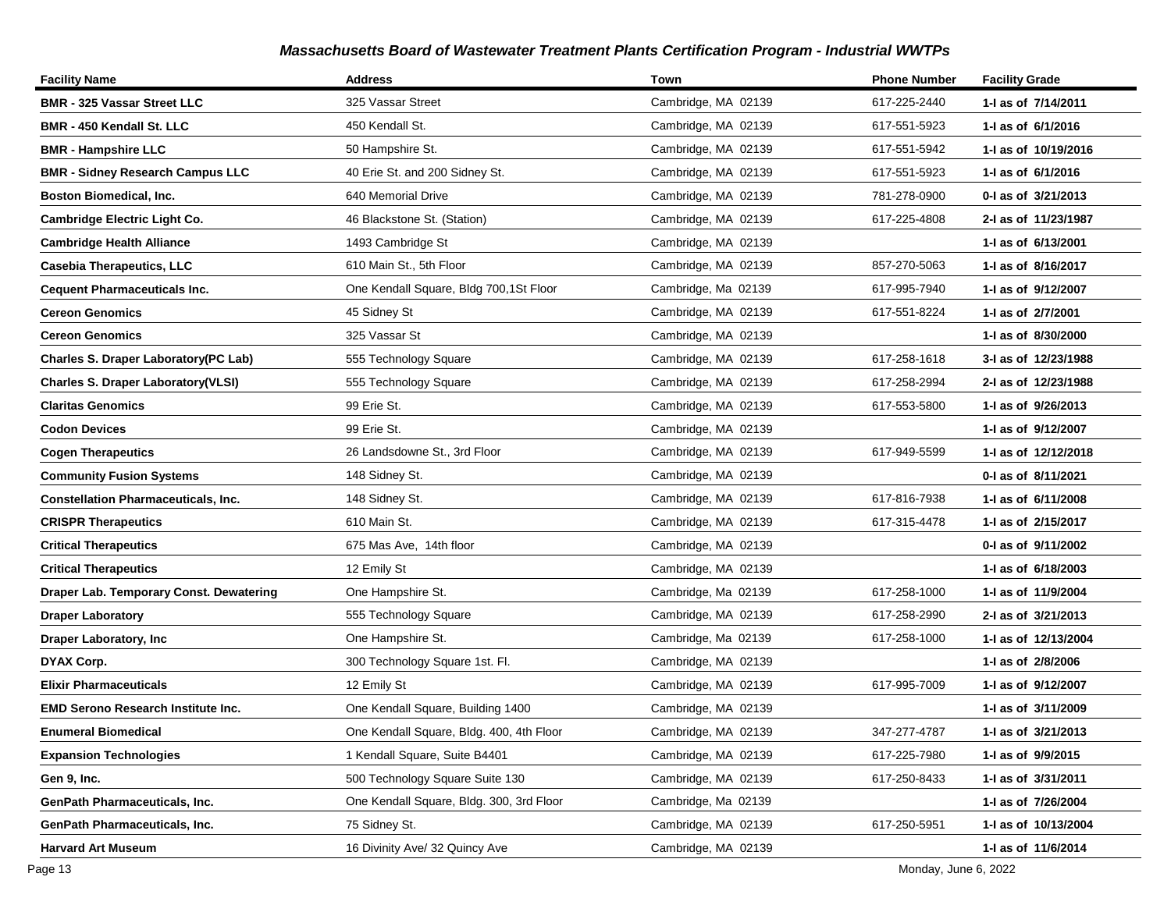| <b>Facility Name</b>                        | <b>Address</b>                           | Town                | <b>Phone Number</b> | <b>Facility Grade</b> |
|---------------------------------------------|------------------------------------------|---------------------|---------------------|-----------------------|
| <b>BMR - 325 Vassar Street LLC</b>          | 325 Vassar Street                        | Cambridge, MA 02139 | 617-225-2440        | 1-I as of 7/14/2011   |
| <b>BMR - 450 Kendall St. LLC</b>            | 450 Kendall St.                          | Cambridge, MA 02139 | 617-551-5923        | 1-I as of 6/1/2016    |
| <b>BMR - Hampshire LLC</b>                  | 50 Hampshire St.                         | Cambridge, MA 02139 | 617-551-5942        | 1-I as of 10/19/2016  |
| <b>BMR - Sidney Research Campus LLC</b>     | 40 Erie St. and 200 Sidney St.           | Cambridge, MA 02139 | 617-551-5923        | 1-I as of 6/1/2016    |
| <b>Boston Biomedical, Inc.</b>              | 640 Memorial Drive                       | Cambridge, MA 02139 | 781-278-0900        | 0-I as of 3/21/2013   |
| <b>Cambridge Electric Light Co.</b>         | 46 Blackstone St. (Station)              | Cambridge, MA 02139 | 617-225-4808        | 2-I as of 11/23/1987  |
| <b>Cambridge Health Alliance</b>            | 1493 Cambridge St                        | Cambridge, MA 02139 |                     | 1-I as of 6/13/2001   |
| <b>Casebia Therapeutics, LLC</b>            | 610 Main St., 5th Floor                  | Cambridge, MA 02139 | 857-270-5063        | 1-1 as of 8/16/2017   |
| <b>Cequent Pharmaceuticals Inc.</b>         | One Kendall Square, Bldg 700,1St Floor   | Cambridge, Ma 02139 | 617-995-7940        | 1-I as of 9/12/2007   |
| <b>Cereon Genomics</b>                      | 45 Sidney St                             | Cambridge, MA 02139 | 617-551-8224        | 1-I as of 2/7/2001    |
| <b>Cereon Genomics</b>                      | 325 Vassar St                            | Cambridge, MA 02139 |                     | 1-1 as of 8/30/2000   |
| <b>Charles S. Draper Laboratory(PC Lab)</b> | 555 Technology Square                    | Cambridge, MA 02139 | 617-258-1618        | 3-I as of 12/23/1988  |
| <b>Charles S. Draper Laboratory(VLSI)</b>   | 555 Technology Square                    | Cambridge, MA 02139 | 617-258-2994        | 2-I as of 12/23/1988  |
| <b>Claritas Genomics</b>                    | 99 Erie St.                              | Cambridge, MA 02139 | 617-553-5800        | 1- as of 9/26/2013    |
| <b>Codon Devices</b>                        | 99 Erie St.                              | Cambridge, MA 02139 |                     | 1- as of 9/12/2007    |
| <b>Cogen Therapeutics</b>                   | 26 Landsdowne St., 3rd Floor             | Cambridge, MA 02139 | 617-949-5599        | 1- as of 12/12/2018   |
| <b>Community Fusion Systems</b>             | 148 Sidney St.                           | Cambridge, MA 02139 |                     | 0-1 as of 8/11/2021   |
| <b>Constellation Pharmaceuticals, Inc.</b>  | 148 Sidney St.                           | Cambridge, MA 02139 | 617-816-7938        | 1- as of 6/11/2008    |
| <b>CRISPR Therapeutics</b>                  | 610 Main St.                             | Cambridge, MA 02139 | 617-315-4478        | 1-I as of 2/15/2017   |
| <b>Critical Therapeutics</b>                | 675 Mas Ave, 14th floor                  | Cambridge, MA 02139 |                     | 0-I as of 9/11/2002   |
| <b>Critical Therapeutics</b>                | 12 Emily St                              | Cambridge, MA 02139 |                     | 1-1 as of 6/18/2003   |
| Draper Lab. Temporary Const. Dewatering     | One Hampshire St.                        | Cambridge, Ma 02139 | 617-258-1000        | 1-I as of 11/9/2004   |
| <b>Draper Laboratory</b>                    | 555 Technology Square                    | Cambridge, MA 02139 | 617-258-2990        | 2-I as of 3/21/2013   |
| <b>Draper Laboratory, Inc.</b>              | One Hampshire St.                        | Cambridge, Ma 02139 | 617-258-1000        | 1-I as of 12/13/2004  |
| DYAX Corp.                                  | 300 Technology Square 1st. Fl.           | Cambridge, MA 02139 |                     | 1-I as of 2/8/2006    |
| <b>Elixir Pharmaceuticals</b>               | 12 Emily St                              | Cambridge, MA 02139 | 617-995-7009        | 1-1 as of 9/12/2007   |
| <b>EMD Serono Research Institute Inc.</b>   | One Kendall Square, Building 1400        | Cambridge, MA 02139 |                     | 1-I as of 3/11/2009   |
| <b>Enumeral Biomedical</b>                  | One Kendall Square, Bldg. 400, 4th Floor | Cambridge, MA 02139 | 347-277-4787        | 1-I as of 3/21/2013   |
| <b>Expansion Technologies</b>               | 1 Kendall Square, Suite B4401            | Cambridge, MA 02139 | 617-225-7980        | 1- as of 9/9/2015     |
| Gen 9, Inc.                                 | 500 Technology Square Suite 130          | Cambridge, MA 02139 | 617-250-8433        | 1- as of 3/31/2011    |
| <b>GenPath Pharmaceuticals, Inc.</b>        | One Kendall Square, Bldg. 300, 3rd Floor | Cambridge, Ma 02139 |                     | 1-I as of 7/26/2004   |
| GenPath Pharmaceuticals, Inc.               | 75 Sidney St.                            | Cambridge, MA 02139 | 617-250-5951        | 1-I as of 10/13/2004  |
| <b>Harvard Art Museum</b>                   | 16 Divinity Ave/ 32 Quincy Ave           | Cambridge, MA 02139 |                     | 1-I as of 11/6/2014   |

Page 13 Monday, June 6, 2022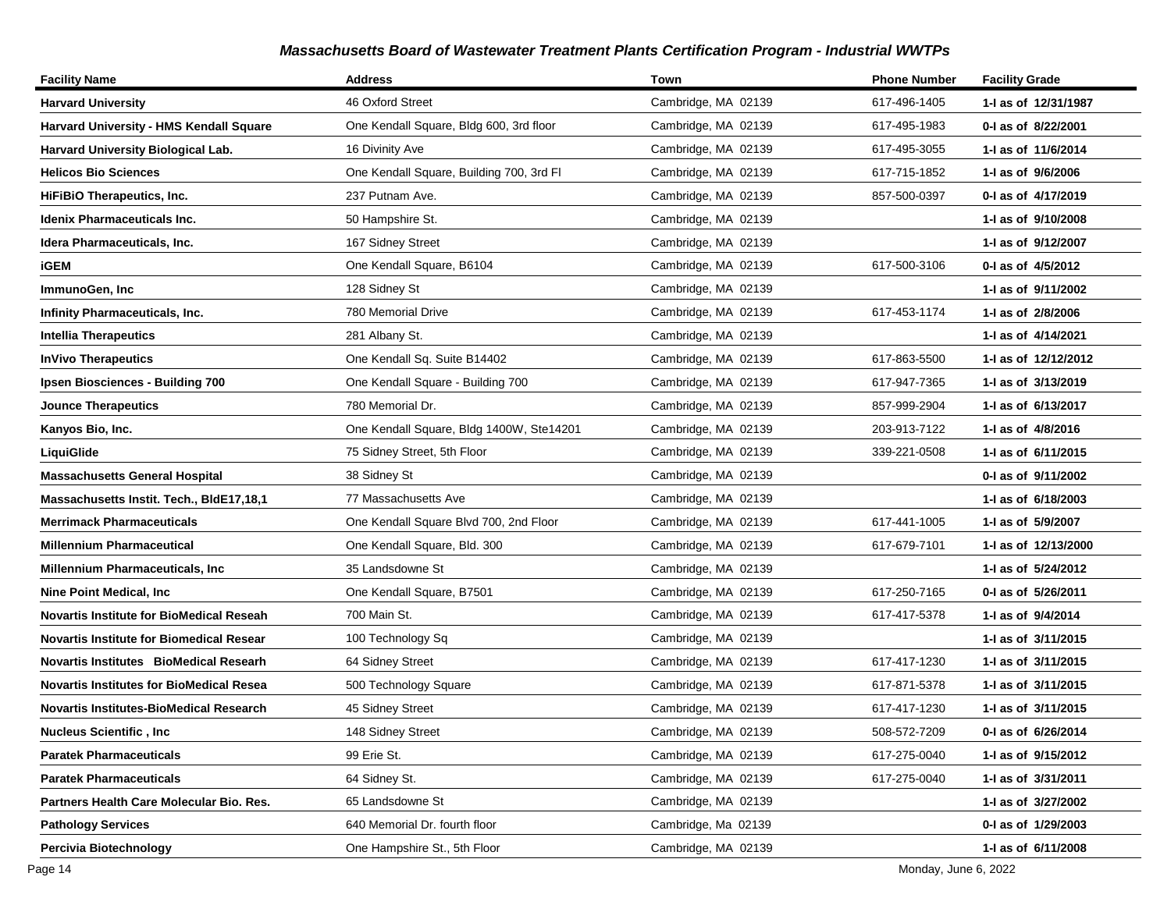| <b>Facility Name</b>                            | <b>Address</b>                           | Town                | <b>Phone Number</b> | <b>Facility Grade</b> |
|-------------------------------------------------|------------------------------------------|---------------------|---------------------|-----------------------|
| <b>Harvard University</b>                       | 46 Oxford Street                         | Cambridge, MA 02139 | 617-496-1405        | 1-I as of 12/31/1987  |
| <b>Harvard University - HMS Kendall Square</b>  | One Kendall Square, Bldg 600, 3rd floor  | Cambridge, MA 02139 | 617-495-1983        | 0-I as of 8/22/2001   |
| Harvard University Biological Lab.              | 16 Divinity Ave                          | Cambridge, MA 02139 | 617-495-3055        | 1-I as of 11/6/2014   |
| <b>Helicos Bio Sciences</b>                     | One Kendall Square, Building 700, 3rd FI | Cambridge, MA 02139 | 617-715-1852        | 1-I as of 9/6/2006    |
| <b>HiFiBiO Therapeutics, Inc.</b>               | 237 Putnam Ave.                          | Cambridge, MA 02139 | 857-500-0397        | 0-I as of 4/17/2019   |
| Idenix Pharmaceuticals Inc.                     | 50 Hampshire St.                         | Cambridge, MA 02139 |                     | 1-I as of 9/10/2008   |
| Idera Pharmaceuticals, Inc.                     | 167 Sidney Street                        | Cambridge, MA 02139 |                     | 1-I as of 9/12/2007   |
| <b>iGEM</b>                                     | One Kendall Square, B6104                | Cambridge, MA 02139 | 617-500-3106        | 0-I as of 4/5/2012    |
| ImmunoGen, Inc                                  | 128 Sidney St                            | Cambridge, MA 02139 |                     | 1-I as of 9/11/2002   |
| <b>Infinity Pharmaceuticals, Inc.</b>           | 780 Memorial Drive                       | Cambridge, MA 02139 | 617-453-1174        | 1-I as of 2/8/2006    |
| <b>Intellia Therapeutics</b>                    | 281 Albany St.                           | Cambridge, MA 02139 |                     | 1-I as of 4/14/2021   |
| <b>InVivo Therapeutics</b>                      | One Kendall Sq. Suite B14402             | Cambridge, MA 02139 | 617-863-5500        | 1-I as of 12/12/2012  |
| Ipsen Biosciences - Building 700                | One Kendall Square - Building 700        | Cambridge, MA 02139 | 617-947-7365        | 1-I as of 3/13/2019   |
| <b>Jounce Therapeutics</b>                      | 780 Memorial Dr.                         | Cambridge, MA 02139 | 857-999-2904        | 1- as of 6/13/2017    |
| Kanyos Bio, Inc.                                | One Kendall Square, Bldg 1400W, Ste14201 | Cambridge, MA 02139 | 203-913-7122        | 1- as of 4/8/2016     |
| LiquiGlide                                      | 75 Sidney Street, 5th Floor              | Cambridge, MA 02139 | 339-221-0508        | 1-I as of 6/11/2015   |
| <b>Massachusetts General Hospital</b>           | 38 Sidney St                             | Cambridge, MA 02139 |                     | 0-I as of 9/11/2002   |
| Massachusetts Instit. Tech., BIdE17,18,1        | 77 Massachusetts Ave                     | Cambridge, MA 02139 |                     | 1-1 as of 6/18/2003   |
| <b>Merrimack Pharmaceuticals</b>                | One Kendall Square Blvd 700, 2nd Floor   | Cambridge, MA 02139 | 617-441-1005        | 1-I as of 5/9/2007    |
| <b>Millennium Pharmaceutical</b>                | One Kendall Square, Bld. 300             | Cambridge, MA 02139 | 617-679-7101        | 1-I as of 12/13/2000  |
| Millennium Pharmaceuticals, Inc                 | 35 Landsdowne St                         | Cambridge, MA 02139 |                     | 1-I as of 5/24/2012   |
| Nine Point Medical, Inc                         | One Kendall Square, B7501                | Cambridge, MA 02139 | 617-250-7165        | 0-I as of 5/26/2011   |
| <b>Novartis Institute for BioMedical Reseah</b> | 700 Main St.                             | Cambridge, MA 02139 | 617-417-5378        | 1-I as of 9/4/2014    |
| <b>Novartis Institute for Biomedical Resear</b> | 100 Technology Sq                        | Cambridge, MA 02139 |                     | 1-1 as of 3/11/2015   |
| Novartis Institutes BioMedical Researh          | 64 Sidney Street                         | Cambridge, MA 02139 | 617-417-1230        | 1-I as of 3/11/2015   |
| <b>Novartis Institutes for BioMedical Resea</b> | 500 Technology Square                    | Cambridge, MA 02139 | 617-871-5378        | 1-I as of 3/11/2015   |
| <b>Novartis Institutes-BioMedical Research</b>  | 45 Sidney Street                         | Cambridge, MA 02139 | 617-417-1230        | 1-I as of 3/11/2015   |
| <b>Nucleus Scientific, Inc</b>                  | 148 Sidney Street                        | Cambridge, MA 02139 | 508-572-7209        | 0-I as of 6/26/2014   |
| <b>Paratek Pharmaceuticals</b>                  | 99 Erie St.                              | Cambridge, MA 02139 | 617-275-0040        | 1-1 as of 9/15/2012   |
| <b>Paratek Pharmaceuticals</b>                  | 64 Sidney St.                            | Cambridge, MA 02139 | 617-275-0040        | 1-I as of 3/31/2011   |
| Partners Health Care Molecular Bio. Res.        | 65 Landsdowne St                         | Cambridge, MA 02139 |                     | 1-I as of 3/27/2002   |
| <b>Pathology Services</b>                       | 640 Memorial Dr. fourth floor            | Cambridge, Ma 02139 |                     | 0-I as of 1/29/2003   |
| Percivia Biotechnology                          | One Hampshire St., 5th Floor             | Cambridge, MA 02139 |                     | 1-I as of 6/11/2008   |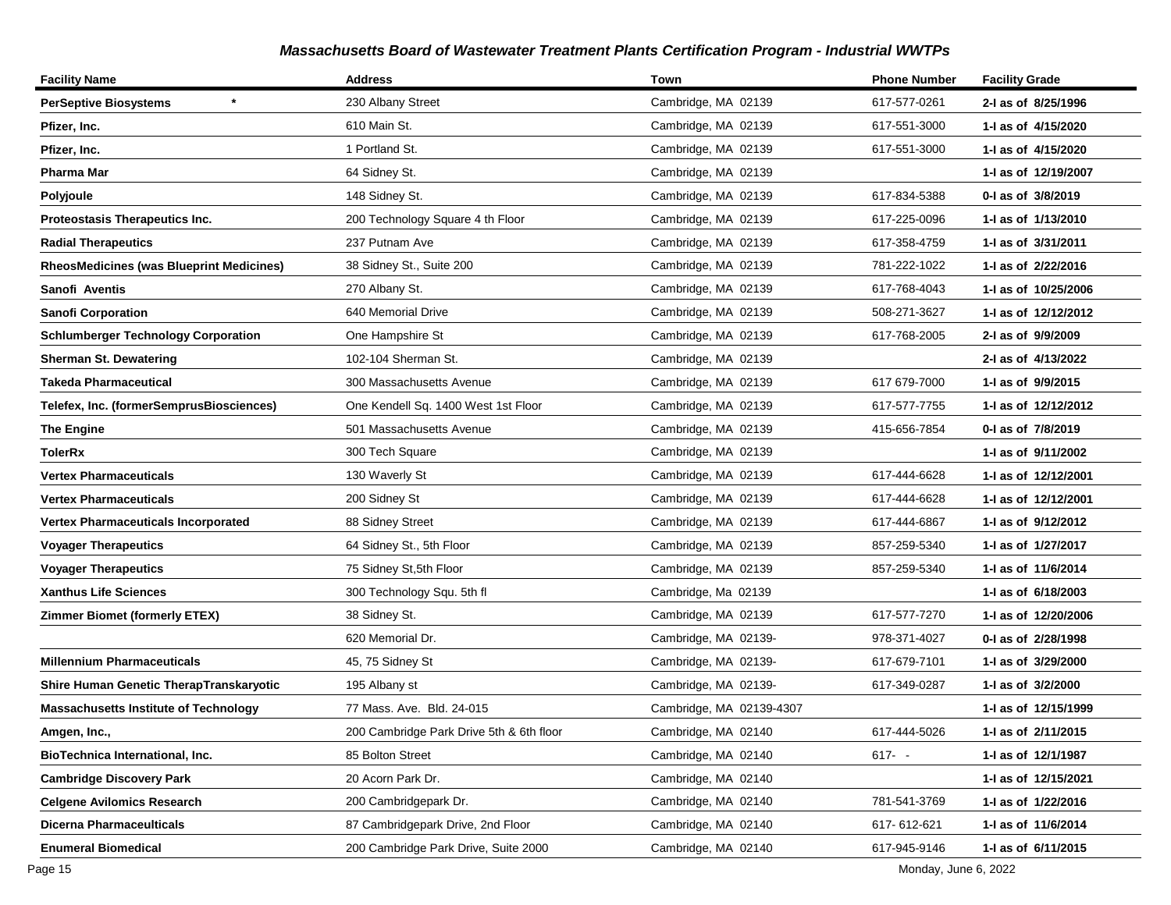| <b>Facility Name</b>                            | <b>Address</b>                           | Town                     | <b>Phone Number</b> | <b>Facility Grade</b> |
|-------------------------------------------------|------------------------------------------|--------------------------|---------------------|-----------------------|
| <b>PerSeptive Biosystems</b>                    | 230 Albany Street                        | Cambridge, MA 02139      | 617-577-0261        | 2-I as of 8/25/1996   |
| Pfizer, Inc.                                    | 610 Main St.                             | Cambridge, MA 02139      | 617-551-3000        | 1-1 as of 4/15/2020   |
| Pfizer, Inc.                                    | 1 Portland St.                           | Cambridge, MA 02139      | 617-551-3000        | 1-1 as of 4/15/2020   |
| Pharma Mar                                      | 64 Sidney St.                            | Cambridge, MA 02139      |                     | 1-I as of 12/19/2007  |
| Polyjoule                                       | 148 Sidney St.                           | Cambridge, MA 02139      | 617-834-5388        | 0-I as of 3/8/2019    |
| <b>Proteostasis Therapeutics Inc.</b>           | 200 Technology Square 4 th Floor         | Cambridge, MA 02139      | 617-225-0096        | 1-1 as of 1/13/2010   |
| <b>Radial Therapeutics</b>                      | 237 Putnam Ave                           | Cambridge, MA 02139      | 617-358-4759        | 1-I as of 3/31/2011   |
| <b>RheosMedicines (was Blueprint Medicines)</b> | 38 Sidney St., Suite 200                 | Cambridge, MA 02139      | 781-222-1022        | 1-1 as of 2/22/2016   |
| Sanofi Aventis                                  | 270 Albany St.                           | Cambridge, MA 02139      | 617-768-4043        | 1-1 as of 10/25/2006  |
| <b>Sanofi Corporation</b>                       | 640 Memorial Drive                       | Cambridge, MA 02139      | 508-271-3627        | 1- as of 12/12/2012   |
| <b>Schlumberger Technology Corporation</b>      | One Hampshire St                         | Cambridge, MA 02139      | 617-768-2005        | 2-I as of 9/9/2009    |
| <b>Sherman St. Dewatering</b>                   | 102-104 Sherman St.                      | Cambridge, MA 02139      |                     | 2-I as of 4/13/2022   |
| Takeda Pharmaceutical                           | 300 Massachusetts Avenue                 | Cambridge, MA 02139      | 617 679-7000        | 1-I as of 9/9/2015    |
| Telefex, Inc. (formerSemprusBiosciences)        | One Kendell Sq. 1400 West 1st Floor      | Cambridge, MA 02139      | 617-577-7755        | 1-I as of 12/12/2012  |
| <b>The Engine</b>                               | 501 Massachusetts Avenue                 | Cambridge, MA 02139      | 415-656-7854        | 0-I as of 7/8/2019    |
| TolerRx                                         | 300 Tech Square                          | Cambridge, MA 02139      |                     | 1-1 as of 9/11/2002   |
| <b>Vertex Pharmaceuticals</b>                   | 130 Waverly St                           | Cambridge, MA 02139      | 617-444-6628        | 1-I as of 12/12/2001  |
| Vertex Pharmaceuticals                          | 200 Sidney St                            | Cambridge, MA 02139      | 617-444-6628        | 1- as of 12/12/2001   |
| Vertex Pharmaceuticals Incorporated             | 88 Sidney Street                         | Cambridge, MA 02139      | 617-444-6867        | 1-1 as of 9/12/2012   |
| <b>Voyager Therapeutics</b>                     | 64 Sidney St., 5th Floor                 | Cambridge, MA 02139      | 857-259-5340        | 1-I as of 1/27/2017   |
| <b>Voyager Therapeutics</b>                     | 75 Sidney St, 5th Floor                  | Cambridge, MA 02139      | 857-259-5340        | 1- as of 11/6/2014    |
| <b>Xanthus Life Sciences</b>                    | 300 Technology Squ. 5th fl               | Cambridge, Ma 02139      |                     | 1-1 as of 6/18/2003   |
| <b>Zimmer Biomet (formerly ETEX)</b>            | 38 Sidney St.                            | Cambridge, MA 02139      | 617-577-7270        | 1-1 as of 12/20/2006  |
|                                                 | 620 Memorial Dr.                         | Cambridge, MA 02139-     | 978-371-4027        | 0-I as of 2/28/1998   |
| <b>Millennium Pharmaceuticals</b>               | 45, 75 Sidney St                         | Cambridge, MA 02139-     | 617-679-7101        | 1-I as of 3/29/2000   |
| Shire Human Genetic TherapTranskaryotic         | 195 Albany st                            | Cambridge, MA 02139-     | 617-349-0287        | 1-I as of 3/2/2000    |
| <b>Massachusetts Institute of Technology</b>    | 77 Mass. Ave. Bld. 24-015                | Cambridge, MA 02139-4307 |                     | 1-I as of 12/15/1999  |
| Amgen, Inc.,                                    | 200 Cambridge Park Drive 5th & 6th floor | Cambridge, MA 02140      | 617-444-5026        | 1-I as of 2/11/2015   |
| BioTechnica International, Inc.                 | 85 Bolton Street                         | Cambridge, MA 02140      | 617- -              | 1- as of 12/1/1987    |
| <b>Cambridge Discovery Park</b>                 | 20 Acorn Park Dr.                        | Cambridge, MA 02140      |                     | 1-I as of 12/15/2021  |
| <b>Celgene Avilomics Research</b>               | 200 Cambridgepark Dr.                    | Cambridge, MA 02140      | 781-541-3769        | 1-I as of 1/22/2016   |
| <b>Dicerna Pharmaceulticals</b>                 | 87 Cambridgepark Drive, 2nd Floor        | Cambridge, MA 02140      | 617-612-621         | 1-I as of 11/6/2014   |
| <b>Enumeral Biomedical</b>                      | 200 Cambridge Park Drive, Suite 2000     | Cambridge, MA 02140      | 617-945-9146        | 1-I as of 6/11/2015   |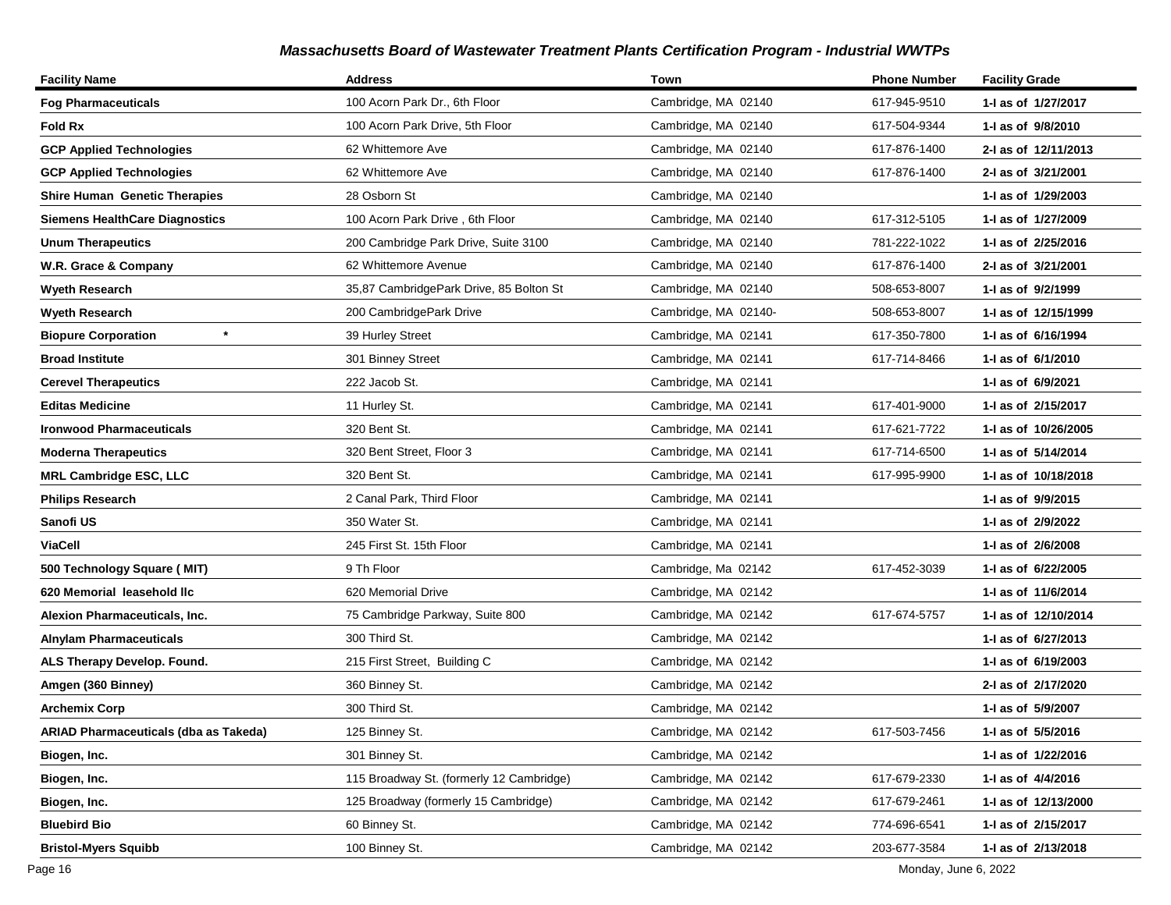| <b>Facility Name</b>                  | <b>Address</b>                           | Town                 | <b>Phone Number</b> | <b>Facility Grade</b> |
|---------------------------------------|------------------------------------------|----------------------|---------------------|-----------------------|
| <b>Fog Pharmaceuticals</b>            | 100 Acorn Park Dr., 6th Floor            | Cambridge, MA 02140  | 617-945-9510        | 1-I as of 1/27/2017   |
| Fold Rx                               | 100 Acorn Park Drive, 5th Floor          | Cambridge, MA 02140  | 617-504-9344        | 1-I as of 9/8/2010    |
| <b>GCP Applied Technologies</b>       | 62 Whittemore Ave                        | Cambridge, MA 02140  | 617-876-1400        | 2-I as of 12/11/2013  |
| <b>GCP Applied Technologies</b>       | 62 Whittemore Ave                        | Cambridge, MA 02140  | 617-876-1400        | 2-I as of 3/21/2001   |
| <b>Shire Human Genetic Therapies</b>  | 28 Osborn St                             | Cambridge, MA 02140  |                     | 1-1 as of 1/29/2003   |
| Siemens HealthCare Diagnostics        | 100 Acorn Park Drive, 6th Floor          | Cambridge, MA 02140  | 617-312-5105        | 1-1 as of 1/27/2009   |
| <b>Unum Therapeutics</b>              | 200 Cambridge Park Drive, Suite 3100     | Cambridge, MA 02140  | 781-222-1022        | 1-1 as of 2/25/2016   |
| W.R. Grace & Company                  | 62 Whittemore Avenue                     | Cambridge, MA 02140  | 617-876-1400        | 2-I as of 3/21/2001   |
| Wyeth Research                        | 35,87 CambridgePark Drive, 85 Bolton St  | Cambridge, MA 02140  | 508-653-8007        | 1-I as of 9/2/1999    |
| <b>Wyeth Research</b>                 | 200 CambridgePark Drive                  | Cambridge, MA 02140- | 508-653-8007        | 1- as of 12/15/1999   |
| <b>Biopure Corporation</b>            | 39 Hurley Street                         | Cambridge, MA 02141  | 617-350-7800        | 1-I as of 6/16/1994   |
| <b>Broad Institute</b>                | 301 Binney Street                        | Cambridge, MA 02141  | 617-714-8466        | 1-I as of 6/1/2010    |
| <b>Cerevel Therapeutics</b>           | 222 Jacob St.                            | Cambridge, MA 02141  |                     | 1-I as of 6/9/2021    |
| <b>Editas Medicine</b>                | 11 Hurley St.                            | Cambridge, MA 02141  | 617-401-9000        | 1-I as of 2/15/2017   |
| <b>Ironwood Pharmaceuticals</b>       | 320 Bent St.                             | Cambridge, MA 02141  | 617-621-7722        | 1-I as of 10/26/2005  |
| <b>Moderna Therapeutics</b>           | 320 Bent Street, Floor 3                 | Cambridge, MA 02141  | 617-714-6500        | 1-I as of 5/14/2014   |
| <b>MRL Cambridge ESC, LLC</b>         | 320 Bent St.                             | Cambridge, MA 02141  | 617-995-9900        | 1-I as of 10/18/2018  |
| <b>Philips Research</b>               | 2 Canal Park, Third Floor                | Cambridge, MA 02141  |                     | 1-I as of 9/9/2015    |
| Sanofi US                             | 350 Water St.                            | Cambridge, MA 02141  |                     | 1-I as of 2/9/2022    |
| <b>ViaCell</b>                        | 245 First St. 15th Floor                 | Cambridge, MA 02141  |                     | 1-I as of 2/6/2008    |
| 500 Technology Square (MIT)           | 9 Th Floor                               | Cambridge, Ma 02142  | 617-452-3039        | 1-1 as of 6/22/2005   |
| 620 Memorial leasehold llc            | 620 Memorial Drive                       | Cambridge, MA 02142  |                     | 1- as of 11/6/2014    |
| Alexion Pharmaceuticals, Inc.         | 75 Cambridge Parkway, Suite 800          | Cambridge, MA 02142  | 617-674-5757        | 1-I as of 12/10/2014  |
| <b>Alnylam Pharmaceuticals</b>        | 300 Third St.                            | Cambridge, MA 02142  |                     | 1-1 as of 6/27/2013   |
| ALS Therapy Develop. Found.           | 215 First Street, Building C             | Cambridge, MA 02142  |                     | 1-I as of 6/19/2003   |
| Amgen (360 Binney)                    | 360 Binney St.                           | Cambridge, MA 02142  |                     | 2-I as of 2/17/2020   |
| Archemix Corp                         | 300 Third St.                            | Cambridge, MA 02142  |                     | 1-I as of 5/9/2007    |
| ARIAD Pharmaceuticals (dba as Takeda) | 125 Binney St.                           | Cambridge, MA 02142  | 617-503-7456        | 1-I as of 5/5/2016    |
| Biogen, Inc.                          | 301 Binney St.                           | Cambridge, MA 02142  |                     | 1-I as of 1/22/2016   |
| Biogen, Inc.                          | 115 Broadway St. (formerly 12 Cambridge) | Cambridge, MA 02142  | 617-679-2330        | 1-I as of 4/4/2016    |
| Biogen, Inc.                          | 125 Broadway (formerly 15 Cambridge)     | Cambridge, MA 02142  | 617-679-2461        | 1-I as of 12/13/2000  |
| <b>Bluebird Bio</b>                   | 60 Binney St.                            | Cambridge, MA 02142  | 774-696-6541        | 1-I as of 2/15/2017   |
| <b>Bristol-Myers Squibb</b>           | 100 Binney St.                           | Cambridge, MA 02142  | 203-677-3584        | 1-I as of 2/13/2018   |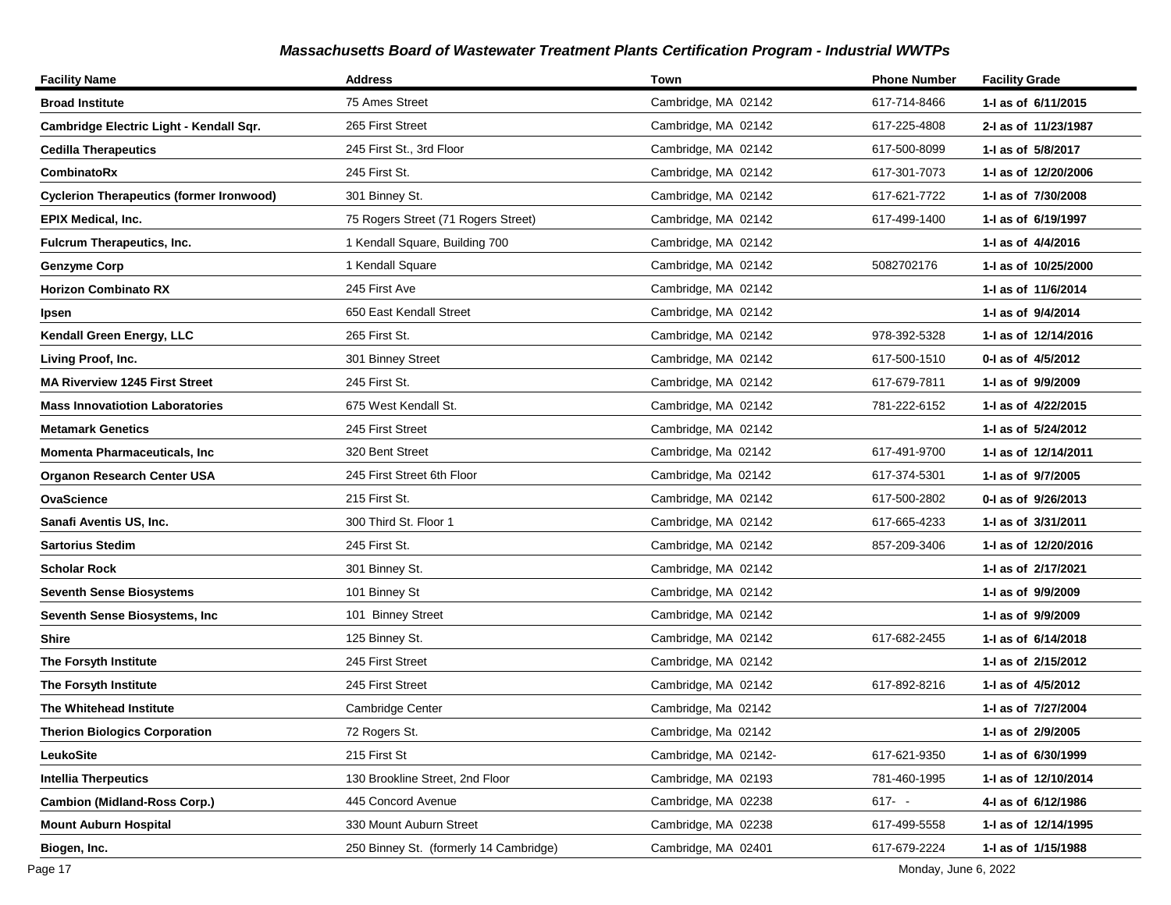| <b>Facility Name</b>                            | <b>Address</b>                         | Town                 | <b>Phone Number</b> | <b>Facility Grade</b> |
|-------------------------------------------------|----------------------------------------|----------------------|---------------------|-----------------------|
| <b>Broad Institute</b>                          | 75 Ames Street                         | Cambridge, MA 02142  | 617-714-8466        | 1-1 as of 6/11/2015   |
| Cambridge Electric Light - Kendall Sqr.         | 265 First Street                       | Cambridge, MA 02142  | 617-225-4808        | 2-I as of 11/23/1987  |
| <b>Cedilla Therapeutics</b>                     | 245 First St., 3rd Floor               | Cambridge, MA 02142  | 617-500-8099        | 1-I as of 5/8/2017    |
| CombinatoRx                                     | 245 First St.                          | Cambridge, MA 02142  | 617-301-7073        | 1-1 as of 12/20/2006  |
| <b>Cyclerion Therapeutics (former Ironwood)</b> | 301 Binney St.                         | Cambridge, MA 02142  | 617-621-7722        | 1-I as of 7/30/2008   |
| EPIX Medical, Inc.                              | 75 Rogers Street (71 Rogers Street)    | Cambridge, MA 02142  | 617-499-1400        | 1-I as of 6/19/1997   |
| <b>Fulcrum Therapeutics, Inc.</b>               | 1 Kendall Square, Building 700         | Cambridge, MA 02142  |                     | 1-I as of 4/4/2016    |
| <b>Genzyme Corp</b>                             | 1 Kendall Square                       | Cambridge, MA 02142  | 5082702176          | 1-I as of 10/25/2000  |
| <b>Horizon Combinato RX</b>                     | 245 First Ave                          | Cambridge, MA 02142  |                     | 1- as of 11/6/2014    |
| Ipsen                                           | 650 East Kendall Street                | Cambridge, MA 02142  |                     | 1-I as of 9/4/2014    |
| Kendall Green Energy, LLC                       | 265 First St.                          | Cambridge, MA 02142  | 978-392-5328        | 1-I as of 12/14/2016  |
| Living Proof, Inc.                              | 301 Binney Street                      | Cambridge, MA 02142  | 617-500-1510        | 0-I as of 4/5/2012    |
| <b>MA Riverview 1245 First Street</b>           | 245 First St.                          | Cambridge, MA 02142  | 617-679-7811        | 1-I as of 9/9/2009    |
| <b>Mass Innovatiotion Laboratories</b>          | 675 West Kendall St.                   | Cambridge, MA 02142  | 781-222-6152        | 1-1 as of 4/22/2015   |
| <b>Metamark Genetics</b>                        | 245 First Street                       | Cambridge, MA 02142  |                     | 1- as of 5/24/2012    |
| Momenta Pharmaceuticals, Inc                    | 320 Bent Street                        | Cambridge, Ma 02142  | 617-491-9700        | 1-J as of 12/14/2011  |
| <b>Organon Research Center USA</b>              | 245 First Street 6th Floor             | Cambridge, Ma 02142  | 617-374-5301        | 1-I as of 9/7/2005    |
| OvaScience                                      | 215 First St.                          | Cambridge, MA 02142  | 617-500-2802        | 0-1 as of 9/26/2013   |
| Sanafi Aventis US, Inc.                         | 300 Third St. Floor 1                  | Cambridge, MA 02142  | 617-665-4233        | 1-I as of 3/31/2011   |
| <b>Sartorius Stedim</b>                         | 245 First St.                          | Cambridge, MA 02142  | 857-209-3406        | 1-1 as of 12/20/2016  |
| <b>Scholar Rock</b>                             | 301 Binney St.                         | Cambridge, MA 02142  |                     | 1-I as of 2/17/2021   |
| <b>Seventh Sense Biosystems</b>                 | 101 Binney St                          | Cambridge, MA 02142  |                     | 1-I as of 9/9/2009    |
| Seventh Sense Biosystems, Inc                   | 101 Binney Street                      | Cambridge, MA 02142  |                     | 1-I as of 9/9/2009    |
| Shire                                           | 125 Binney St.                         | Cambridge, MA 02142  | 617-682-2455        | 1-1 as of 6/14/2018   |
| The Forsyth Institute                           | 245 First Street                       | Cambridge, MA 02142  |                     | 1-1 as of 2/15/2012   |
| The Forsyth Institute                           | 245 First Street                       | Cambridge, MA 02142  | 617-892-8216        | 1-I as of 4/5/2012    |
| The Whitehead Institute                         | Cambridge Center                       | Cambridge, Ma 02142  |                     | 1-I as of 7/27/2004   |
| <b>Therion Biologics Corporation</b>            | 72 Rogers St.                          | Cambridge, Ma 02142  |                     | 1-I as of 2/9/2005    |
| LeukoSite                                       | 215 First St                           | Cambridge, MA 02142- | 617-621-9350        | 1-I as of 6/30/1999   |
| Intellia Therpeutics                            | 130 Brookline Street, 2nd Floor        | Cambridge, MA 02193  | 781-460-1995        | 1- as of 12/10/2014   |
| <b>Cambion (Midland-Ross Corp.)</b>             | 445 Concord Avenue                     | Cambridge, MA 02238  | $617 - -$           | 4-I as of 6/12/1986   |
| Mount Auburn Hospital                           | 330 Mount Auburn Street                | Cambridge, MA 02238  | 617-499-5558        | 1-I as of 12/14/1995  |
| Biogen, Inc.                                    | 250 Binney St. (formerly 14 Cambridge) | Cambridge, MA 02401  | 617-679-2224        | 1-I as of 1/15/1988   |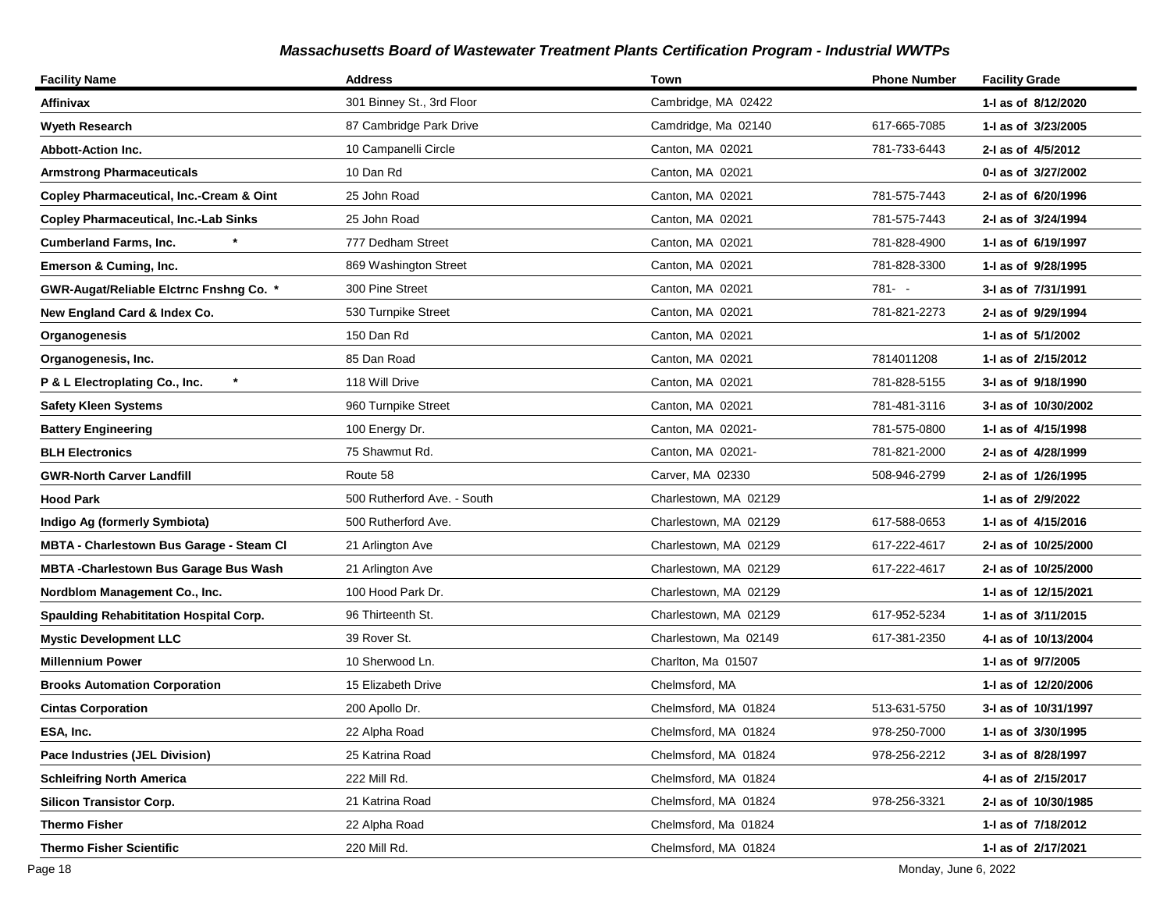| <b>Facility Name</b>                           | <b>Address</b>              | Town                  | <b>Phone Number</b> | <b>Facility Grade</b> |
|------------------------------------------------|-----------------------------|-----------------------|---------------------|-----------------------|
| Affinivax                                      | 301 Binney St., 3rd Floor   | Cambridge, MA 02422   |                     | 1-I as of 8/12/2020   |
| <b>Wyeth Research</b>                          | 87 Cambridge Park Drive     | Camdridge, Ma 02140   | 617-665-7085        | 1-I as of 3/23/2005   |
| <b>Abbott-Action Inc.</b>                      | 10 Campanelli Circle        | Canton, MA 02021      | 781-733-6443        | 2-I as of 4/5/2012    |
| <b>Armstrong Pharmaceuticals</b>               | 10 Dan Rd                   | Canton, MA 02021      |                     | 0-I as of 3/27/2002   |
| Copley Pharmaceutical, Inc.-Cream & Oint       | 25 John Road                | Canton, MA 02021      | 781-575-7443        | 2-I as of 6/20/1996   |
| <b>Copley Pharmaceutical, Inc.-Lab Sinks</b>   | 25 John Road                | Canton, MA 02021      | 781-575-7443        | 2-I as of 3/24/1994   |
| <b>Cumberland Farms, Inc.</b>                  | 777 Dedham Street           | Canton, MA 02021      | 781-828-4900        | 1-I as of 6/19/1997   |
| Emerson & Cuming, Inc.                         | 869 Washington Street       | Canton, MA 02021      | 781-828-3300        | 1-I as of 9/28/1995   |
| GWR-Augat/Reliable Elctrnc Fnshng Co. *        | 300 Pine Street             | Canton, MA 02021      | 781- -              | 3-I as of 7/31/1991   |
| New England Card & Index Co.                   | 530 Turnpike Street         | Canton, MA 02021      | 781-821-2273        | 2-I as of 9/29/1994   |
| Organogenesis                                  | 150 Dan Rd                  | Canton, MA 02021      |                     | 1-I as of 5/1/2002    |
| Organogenesis, Inc.                            | 85 Dan Road                 | Canton, MA 02021      | 7814011208          | 1-I as of 2/15/2012   |
| P & L Electroplating Co., Inc.                 | 118 Will Drive              | Canton, MA 02021      | 781-828-5155        | 3-I as of 9/18/1990   |
| <b>Safety Kleen Systems</b>                    | 960 Turnpike Street         | Canton, MA 02021      | 781-481-3116        | 3-I as of 10/30/2002  |
| <b>Battery Engineering</b>                     | 100 Energy Dr.              | Canton, MA 02021-     | 781-575-0800        | 1-I as of 4/15/1998   |
| <b>BLH Electronics</b>                         | 75 Shawmut Rd.              | Canton, MA 02021-     | 781-821-2000        | 2-I as of 4/28/1999   |
| <b>GWR-North Carver Landfill</b>               | Route 58                    | Carver, MA 02330      | 508-946-2799        | 2-I as of 1/26/1995   |
| <b>Hood Park</b>                               | 500 Rutherford Ave. - South | Charlestown, MA 02129 |                     | 1-I as of 2/9/2022    |
| Indigo Ag (formerly Symbiota)                  | 500 Rutherford Ave.         | Charlestown, MA 02129 | 617-588-0653        | 1- as of 4/15/2016    |
| MBTA - Charlestown Bus Garage - Steam Cl       | 21 Arlington Ave            | Charlestown, MA 02129 | 617-222-4617        | 2-I as of 10/25/2000  |
| <b>MBTA-Charlestown Bus Garage Bus Wash</b>    | 21 Arlington Ave            | Charlestown, MA 02129 | 617-222-4617        | 2-I as of 10/25/2000  |
| Nordblom Management Co., Inc.                  | 100 Hood Park Dr.           | Charlestown, MA 02129 |                     | 1- as of 12/15/2021   |
| <b>Spaulding Rehabititation Hospital Corp.</b> | 96 Thirteenth St.           | Charlestown, MA 02129 | 617-952-5234        | 1- as of 3/11/2015    |
| <b>Mystic Development LLC</b>                  | 39 Rover St.                | Charlestown, Ma 02149 | 617-381-2350        | 4-I as of 10/13/2004  |
| <b>Millennium Power</b>                        | 10 Sherwood Ln.             | Charlton, Ma 01507    |                     | 1-I as of 9/7/2005    |
| <b>Brooks Automation Corporation</b>           | 15 Elizabeth Drive          | Chelmsford, MA        |                     | 1-1 as of 12/20/2006  |
| <b>Cintas Corporation</b>                      | 200 Apollo Dr.              | Chelmsford, MA 01824  | 513-631-5750        | 3-I as of 10/31/1997  |
| ESA, Inc.                                      | 22 Alpha Road               | Chelmsford, MA 01824  | 978-250-7000        | 1-I as of 3/30/1995   |
| Pace Industries (JEL Division)                 | 25 Katrina Road             | Chelmsford, MA 01824  | 978-256-2212        | 3-I as of 8/28/1997   |
| <b>Schleifring North America</b>               | 222 Mill Rd.                | Chelmsford, MA 01824  |                     | 4-I as of 2/15/2017   |
| <b>Silicon Transistor Corp.</b>                | 21 Katrina Road             | Chelmsford, MA 01824  | 978-256-3321        | 2-I as of 10/30/1985  |
| <b>Thermo Fisher</b>                           | 22 Alpha Road               | Chelmsford, Ma 01824  |                     | 1-I as of 7/18/2012   |
| <b>Thermo Fisher Scientific</b>                | 220 Mill Rd.                | Chelmsford, MA 01824  |                     | 1-I as of 2/17/2021   |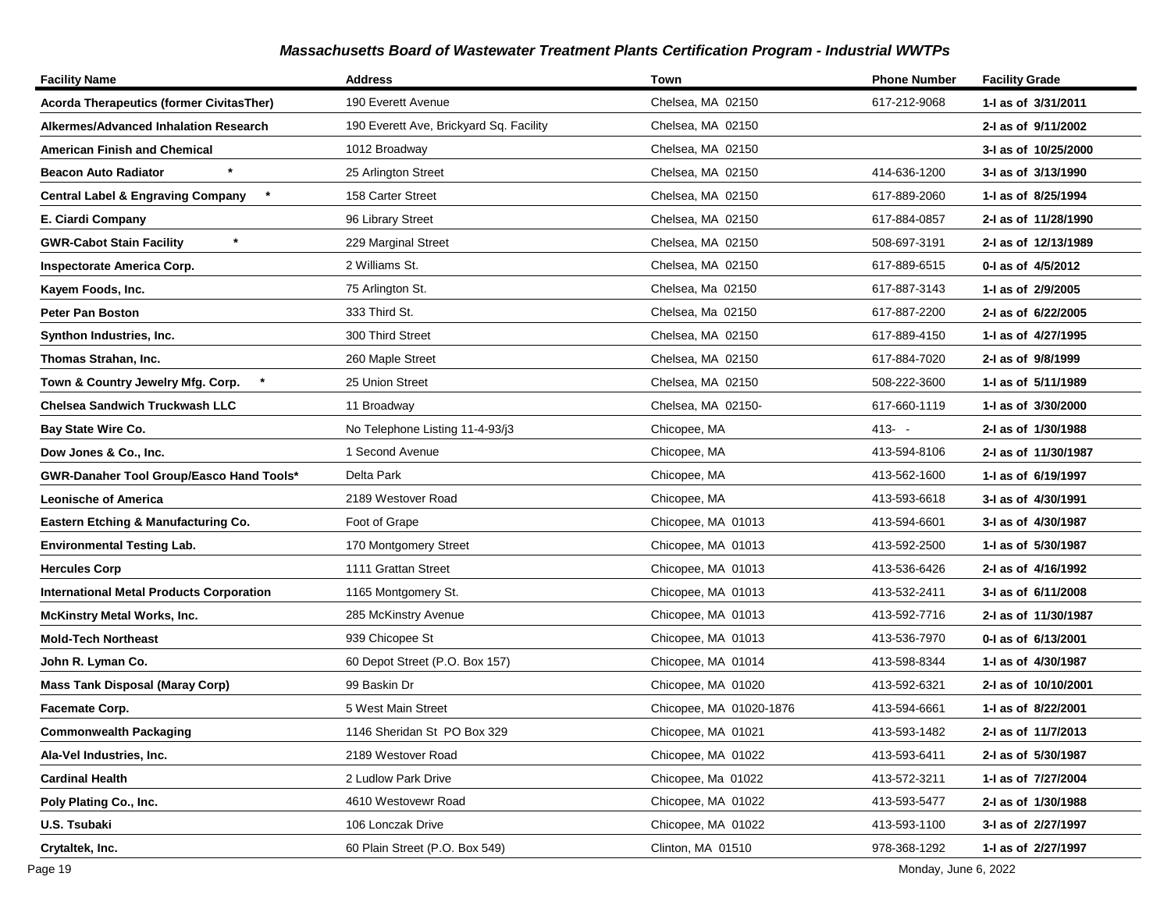| <b>Facility Name</b>                            | <b>Address</b>                          | Town                    | <b>Phone Number</b> | <b>Facility Grade</b> |
|-------------------------------------------------|-----------------------------------------|-------------------------|---------------------|-----------------------|
| <b>Acorda Therapeutics (former CivitasTher)</b> | 190 Everett Avenue                      | Chelsea, MA 02150       | 617-212-9068        | 1-I as of 3/31/2011   |
| Alkermes/Advanced Inhalation Research           | 190 Everett Ave, Brickyard Sq. Facility | Chelsea, MA 02150       |                     | 2-I as of 9/11/2002   |
| American Finish and Chemical                    | 1012 Broadway                           | Chelsea, MA 02150       |                     | 3-I as of 10/25/2000  |
| $\star$<br><b>Beacon Auto Radiator</b>          | 25 Arlington Street                     | Chelsea, MA 02150       | 414-636-1200        | 3-I as of 3/13/1990   |
| <b>Central Label &amp; Engraving Company</b>    | 158 Carter Street                       | Chelsea, MA 02150       | 617-889-2060        | 1-I as of 8/25/1994   |
| E. Ciardi Company                               | 96 Library Street                       | Chelsea, MA 02150       | 617-884-0857        | 2-I as of 11/28/1990  |
| $\star$<br><b>GWR-Cabot Stain Facility</b>      | 229 Marginal Street                     | Chelsea, MA 02150       | 508-697-3191        | 2-I as of 12/13/1989  |
| <b>Inspectorate America Corp.</b>               | 2 Williams St.                          | Chelsea, MA 02150       | 617-889-6515        | 0-I as of 4/5/2012    |
| Kayem Foods, Inc.                               | 75 Arlington St.                        | Chelsea, Ma 02150       | 617-887-3143        | 1-I as of 2/9/2005    |
| <b>Peter Pan Boston</b>                         | 333 Third St.                           | Chelsea, Ma 02150       | 617-887-2200        | 2-I as of 6/22/2005   |
| Synthon Industries, Inc.                        | 300 Third Street                        | Chelsea, MA 02150       | 617-889-4150        | 1-I as of 4/27/1995   |
| Thomas Strahan, Inc.                            | 260 Maple Street                        | Chelsea, MA 02150       | 617-884-7020        | 2-I as of 9/8/1999    |
| Town & Country Jewelry Mfg. Corp.               | 25 Union Street                         | Chelsea, MA 02150       | 508-222-3600        | 1-I as of 5/11/1989   |
| Chelsea Sandwich Truckwash LLC                  | 11 Broadway                             | Chelsea, MA 02150-      | 617-660-1119        | 1-I as of 3/30/2000   |
| Bay State Wire Co.                              | No Telephone Listing 11-4-93/j3         | Chicopee, MA            | $413 - -$           | 2-I as of 1/30/1988   |
| Dow Jones & Co., Inc.                           | 1 Second Avenue                         | Chicopee, MA            | 413-594-8106        | 2-I as of 11/30/1987  |
| GWR-Danaher Tool Group/Easco Hand Tools*        | Delta Park                              | Chicopee, MA            | 413-562-1600        | 1-I as of 6/19/1997   |
| <b>Leonische of America</b>                     | 2189 Westover Road                      | Chicopee, MA            | 413-593-6618        | 3-I as of 4/30/1991   |
| <b>Eastern Etching &amp; Manufacturing Co.</b>  | Foot of Grape                           | Chicopee, MA 01013      | 413-594-6601        | 3-I as of 4/30/1987   |
| <b>Environmental Testing Lab.</b>               | 170 Montgomery Street                   | Chicopee, MA 01013      | 413-592-2500        | 1-I as of 5/30/1987   |
| <b>Hercules Corp</b>                            | 1111 Grattan Street                     | Chicopee, MA 01013      | 413-536-6426        | 2-I as of 4/16/1992   |
| <b>International Metal Products Corporation</b> | 1165 Montgomery St.                     | Chicopee, MA 01013      | 413-532-2411        | 3-I as of 6/11/2008   |
| <b>McKinstry Metal Works, Inc.</b>              | 285 McKinstry Avenue                    | Chicopee, MA 01013      | 413-592-7716        | 2-I as of 11/30/1987  |
| Mold-Tech Northeast                             | 939 Chicopee St                         | Chicopee, MA 01013      | 413-536-7970        | 0-1 as of 6/13/2001   |
| John R. Lyman Co.                               | 60 Depot Street (P.O. Box 157)          | Chicopee, MA 01014      | 413-598-8344        | 1-I as of 4/30/1987   |
| <b>Mass Tank Disposal (Maray Corp)</b>          | 99 Baskin Dr                            | Chicopee, MA 01020      | 413-592-6321        | 2-I as of 10/10/2001  |
| Facemate Corp.                                  | 5 West Main Street                      | Chicopee, MA 01020-1876 | 413-594-6661        | 1-I as of 8/22/2001   |
| <b>Commonwealth Packaging</b>                   | 1146 Sheridan St PO Box 329             | Chicopee, MA 01021      | 413-593-1482        | 2-I as of 11/7/2013   |
| Ala-Vel Industries, Inc.                        | 2189 Westover Road                      | Chicopee, MA 01022      | 413-593-6411        | 2-I as of 5/30/1987   |
| <b>Cardinal Health</b>                          | 2 Ludlow Park Drive                     | Chicopee, Ma 01022      | 413-572-3211        | 1- as of 7/27/2004    |
| Poly Plating Co., Inc.                          | 4610 Westovewr Road                     | Chicopee, MA 01022      | 413-593-5477        | 2-I as of 1/30/1988   |
| U.S. Tsubaki                                    | 106 Lonczak Drive                       | Chicopee, MA 01022      | 413-593-1100        | 3-I as of 2/27/1997   |
| Crytaltek, Inc.                                 | 60 Plain Street (P.O. Box 549)          | Clinton, MA 01510       | 978-368-1292        | 1-I as of 2/27/1997   |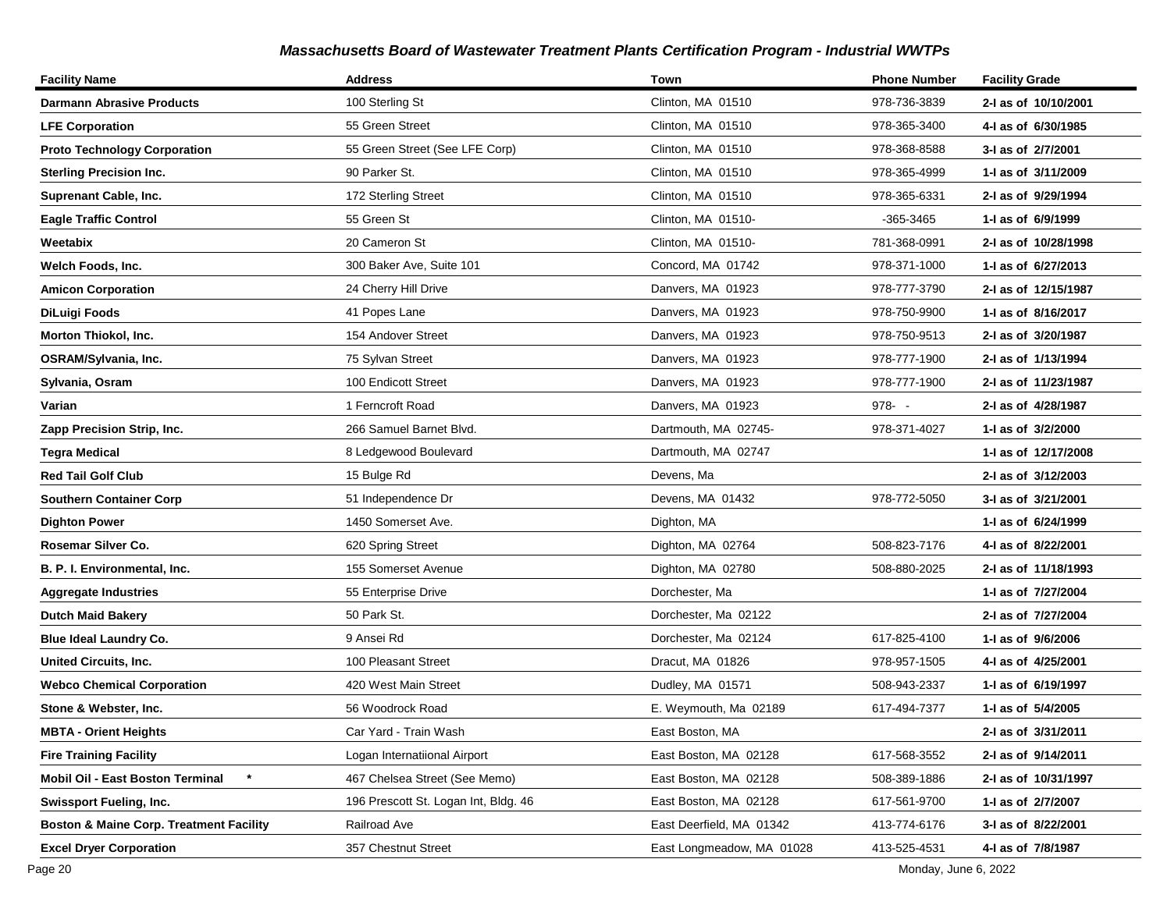| <b>Facility Name</b>                               | <b>Address</b>                       | Town                      | <b>Phone Number</b> | <b>Facility Grade</b> |
|----------------------------------------------------|--------------------------------------|---------------------------|---------------------|-----------------------|
| <b>Darmann Abrasive Products</b>                   | 100 Sterling St                      | Clinton, MA 01510         | 978-736-3839        | 2-I as of 10/10/2001  |
| <b>LFE Corporation</b>                             | 55 Green Street                      | Clinton, MA 01510         | 978-365-3400        | 4-I as of 6/30/1985   |
| <b>Proto Technology Corporation</b>                | 55 Green Street (See LFE Corp)       | Clinton, MA 01510         | 978-368-8588        | 3-I as of 2/7/2001    |
| <b>Sterling Precision Inc.</b>                     | 90 Parker St.                        | Clinton, MA 01510         | 978-365-4999        | 1-I as of 3/11/2009   |
| Suprenant Cable, Inc.                              | 172 Sterling Street                  | Clinton, MA 01510         | 978-365-6331        | 2-I as of 9/29/1994   |
| <b>Eagle Traffic Control</b>                       | 55 Green St                          | Clinton, MA 01510-        | -365-3465           | 1-I as of 6/9/1999    |
| Weetabix                                           | 20 Cameron St                        | Clinton, MA 01510-        | 781-368-0991        | 2-I as of 10/28/1998  |
| Welch Foods, Inc.                                  | 300 Baker Ave, Suite 101             | Concord, MA 01742         | 978-371-1000        | 1-1 as of 6/27/2013   |
| <b>Amicon Corporation</b>                          | 24 Cherry Hill Drive                 | Danvers, MA 01923         | 978-777-3790        | 2-I as of 12/15/1987  |
| DiLuigi Foods                                      | 41 Popes Lane                        | Danvers, MA 01923         | 978-750-9900        | 1-1 as of 8/16/2017   |
| Morton Thiokol, Inc.                               | 154 Andover Street                   | Danvers, MA 01923         | 978-750-9513        | 2-I as of 3/20/1987   |
| OSRAM/Sylvania, Inc.                               | 75 Sylvan Street                     | Danvers, MA 01923         | 978-777-1900        | 2-I as of 1/13/1994   |
| Sylvania, Osram                                    | 100 Endicott Street                  | Danvers, MA 01923         | 978-777-1900        | 2-I as of 11/23/1987  |
| Varian                                             | 1 Ferncroft Road                     | Danvers, MA 01923         | $978 - -$           | 2-I as of 4/28/1987   |
| Zapp Precision Strip, Inc.                         | 266 Samuel Barnet Blvd.              | Dartmouth, MA 02745-      | 978-371-4027        | 1- as of 3/2/2000     |
| Tegra Medical                                      | 8 Ledgewood Boulevard                | Dartmouth, MA 02747       |                     | 1-1 as of 12/17/2008  |
| <b>Red Tail Golf Club</b>                          | 15 Bulge Rd                          | Devens, Ma                |                     | 2-I as of 3/12/2003   |
| <b>Southern Container Corp</b>                     | 51 Independence Dr                   | Devens, MA 01432          | 978-772-5050        | 3-I as of 3/21/2001   |
| <b>Dighton Power</b>                               | 1450 Somerset Ave.                   | Dighton, MA               |                     | 1-I as of 6/24/1999   |
| Rosemar Silver Co.                                 | 620 Spring Street                    | Dighton, MA 02764         | 508-823-7176        | 4-1 as of 8/22/2001   |
| B. P. I. Environmental, Inc.                       | 155 Somerset Avenue                  | Dighton, MA 02780         | 508-880-2025        | 2-I as of 11/18/1993  |
| <b>Aggregate Industries</b>                        | 55 Enterprise Drive                  | Dorchester, Ma            |                     | 1-I as of 7/27/2004   |
| <b>Dutch Maid Bakery</b>                           | 50 Park St.                          | Dorchester, Ma 02122      |                     | 2-I as of 7/27/2004   |
| <b>Blue Ideal Laundry Co.</b>                      | 9 Ansei Rd                           | Dorchester, Ma 02124      | 617-825-4100        | 1-I as of 9/6/2006    |
| <b>United Circuits, Inc.</b>                       | 100 Pleasant Street                  | Dracut, MA 01826          | 978-957-1505        | 4-I as of 4/25/2001   |
| <b>Webco Chemical Corporation</b>                  | 420 West Main Street                 | Dudley, MA 01571          | 508-943-2337        | 1-I as of 6/19/1997   |
| Stone & Webster, Inc.                              | 56 Woodrock Road                     | E. Weymouth, Ma 02189     | 617-494-7377        | 1-I as of 5/4/2005    |
| <b>MBTA - Orient Heights</b>                       | Car Yard - Train Wash                | East Boston, MA           |                     | 2-I as of 3/31/2011   |
| <b>Fire Training Facility</b>                      | Logan Internatiional Airport         | East Boston, MA 02128     | 617-568-3552        | 2-1 as of 9/14/2011   |
| $\star$<br>Mobil Oil - East Boston Terminal        | 467 Chelsea Street (See Memo)        | East Boston, MA 02128     | 508-389-1886        | 2-I as of 10/31/1997  |
| <b>Swissport Fueling, Inc.</b>                     | 196 Prescott St. Logan Int, Bldg. 46 | East Boston, MA 02128     | 617-561-9700        | 1-I as of 2/7/2007    |
| <b>Boston &amp; Maine Corp. Treatment Facility</b> | Railroad Ave                         | East Deerfield, MA 01342  | 413-774-6176        | 3-I as of 8/22/2001   |
| <b>Excel Dryer Corporation</b>                     | 357 Chestnut Street                  | East Longmeadow, MA 01028 | 413-525-4531        | 4-I as of 7/8/1987    |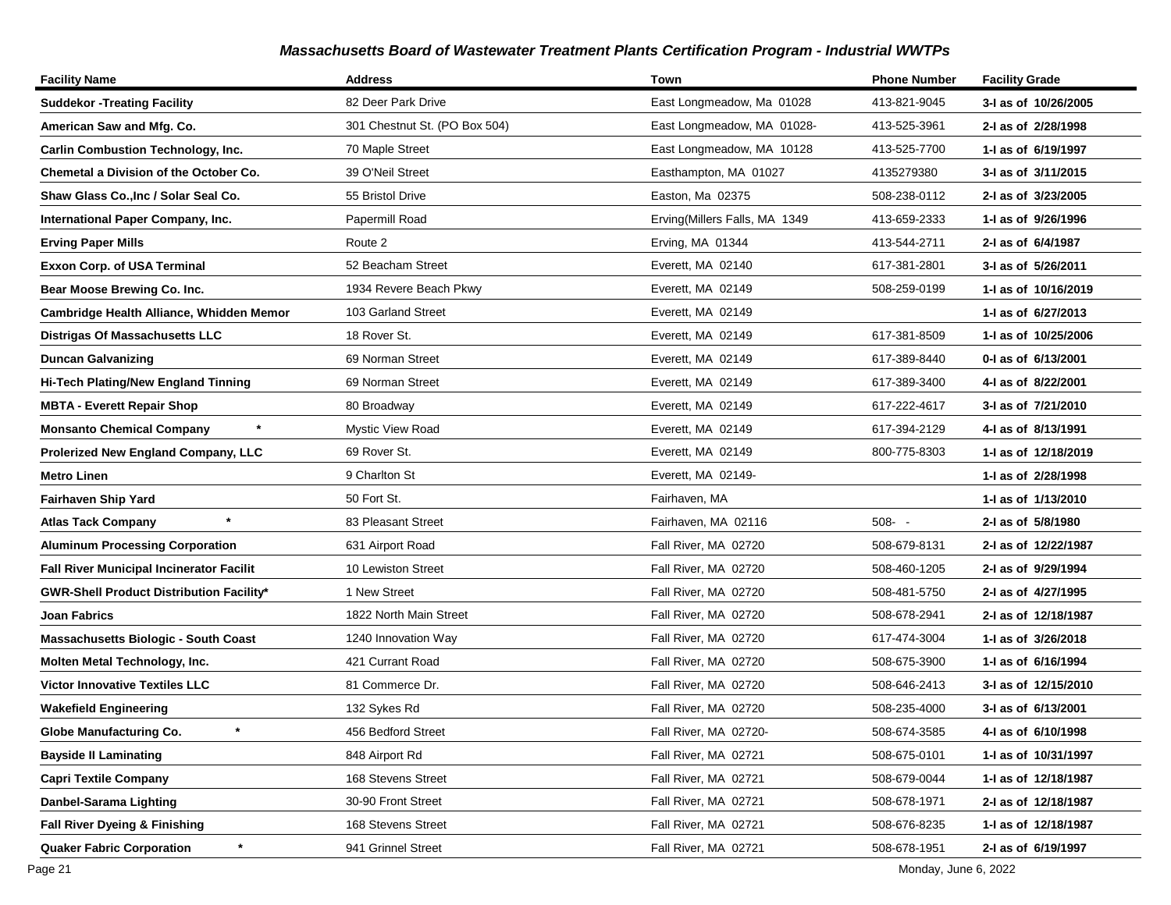| <b>Facility Name</b>                            | <b>Address</b>                | Town                          | <b>Phone Number</b> | <b>Facility Grade</b> |
|-------------------------------------------------|-------------------------------|-------------------------------|---------------------|-----------------------|
| <b>Suddekor - Treating Facility</b>             | 82 Deer Park Drive            | East Longmeadow, Ma 01028     | 413-821-9045        | 3-I as of 10/26/2005  |
| American Saw and Mfg. Co.                       | 301 Chestnut St. (PO Box 504) | East Longmeadow, MA 01028-    | 413-525-3961        | 2-I as of 2/28/1998   |
| <b>Carlin Combustion Technology, Inc.</b>       | 70 Maple Street               | East Longmeadow, MA 10128     | 413-525-7700        | 1-I as of 6/19/1997   |
| <b>Chemetal a Division of the October Co.</b>   | 39 O'Neil Street              | Easthampton, MA 01027         | 4135279380          | 3-I as of 3/11/2015   |
| Shaw Glass Co., Inc / Solar Seal Co.            | 55 Bristol Drive              | Easton, Ma 02375              | 508-238-0112        | 2-I as of 3/23/2005   |
| International Paper Company, Inc.               | Papermill Road                | Erving(Millers Falls, MA 1349 | 413-659-2333        | 1-I as of 9/26/1996   |
| <b>Erving Paper Mills</b>                       | Route 2                       | Erving, MA 01344              | 413-544-2711        | 2-I as of 6/4/1987    |
| <b>Exxon Corp. of USA Terminal</b>              | 52 Beacham Street             | Everett, MA 02140             | 617-381-2801        | 3-I as of 5/26/2011   |
| Bear Moose Brewing Co. Inc.                     | 1934 Revere Beach Pkwy        | Everett, MA 02149             | 508-259-0199        | 1-I as of 10/16/2019  |
| Cambridge Health Alliance, Whidden Memor        | 103 Garland Street            | Everett, MA 02149             |                     | 1- as of 6/27/2013    |
| Distrigas Of Massachusetts LLC                  | 18 Rover St.                  | Everett, MA 02149             | 617-381-8509        | 1-1 as of 10/25/2006  |
| <b>Duncan Galvanizing</b>                       | 69 Norman Street              | Everett, MA 02149             | 617-389-8440        | 0-I as of 6/13/2001   |
| Hi-Tech Plating/New England Tinning             | 69 Norman Street              | Everett, MA 02149             | 617-389-3400        | 4-I as of 8/22/2001   |
| <b>MBTA - Everett Repair Shop</b>               | 80 Broadway                   | Everett, MA 02149             | 617-222-4617        | 3-I as of 7/21/2010   |
| $\star$<br><b>Monsanto Chemical Company</b>     | Mystic View Road              | Everett, MA 02149             | 617-394-2129        | 4-1 as of 8/13/1991   |
| Prolerized New England Company, LLC             | 69 Rover St.                  | Everett, MA 02149             | 800-775-8303        | 1-I as of 12/18/2019  |
| <b>Metro Linen</b>                              | 9 Charlton St                 | Everett, MA 02149-            |                     | 1-I as of 2/28/1998   |
| Fairhaven Ship Yard                             | 50 Fort St.                   | Fairhaven, MA                 |                     | 1- as of 1/13/2010    |
| $\star$<br><b>Atlas Tack Company</b>            | 83 Pleasant Street            | Fairhaven, MA 02116           | $508 - -$           | 2-I as of 5/8/1980    |
| <b>Aluminum Processing Corporation</b>          | 631 Airport Road              | Fall River, MA 02720          | 508-679-8131        | 2-I as of 12/22/1987  |
| <b>Fall River Municipal Incinerator Facilit</b> | 10 Lewiston Street            | Fall River, MA 02720          | 508-460-1205        | 2-I as of 9/29/1994   |
| <b>GWR-Shell Product Distribution Facility*</b> | 1 New Street                  | Fall River, MA 02720          | 508-481-5750        | 2-I as of 4/27/1995   |
| Joan Fabrics                                    | 1822 North Main Street        | Fall River, MA 02720          | 508-678-2941        | 2-I as of 12/18/1987  |
| <b>Massachusetts Biologic - South Coast</b>     | 1240 Innovation Way           | Fall River, MA 02720          | 617-474-3004        | 1-I as of 3/26/2018   |
| Molten Metal Technology, Inc.                   | 421 Currant Road              | Fall River, MA 02720          | 508-675-3900        | 1-I as of 6/16/1994   |
| <b>Victor Innovative Textiles LLC</b>           | 81 Commerce Dr.               | Fall River, MA 02720          | 508-646-2413        | 3-I as of 12/15/2010  |
| <b>Wakefield Engineering</b>                    | 132 Sykes Rd                  | Fall River, MA 02720          | 508-235-4000        | 3-I as of 6/13/2001   |
| Globe Manufacturing Co.                         | 456 Bedford Street            | Fall River, MA 02720-         | 508-674-3585        | 4-I as of 6/10/1998   |
| <b>Bayside II Laminating</b>                    | 848 Airport Rd                | Fall River, MA 02721          | 508-675-0101        | 1- as of 10/31/1997   |
| <b>Capri Textile Company</b>                    | 168 Stevens Street            | Fall River, MA 02721          | 508-679-0044        | 1-I as of 12/18/1987  |
| Danbel-Sarama Lighting                          | 30-90 Front Street            | Fall River, MA 02721          | 508-678-1971        | 2-I as of 12/18/1987  |
| Fall River Dyeing & Finishing                   | 168 Stevens Street            | Fall River, MA 02721          | 508-676-8235        | 1-I as of 12/18/1987  |
| $\star$<br><b>Quaker Fabric Corporation</b>     | 941 Grinnel Street            | Fall River, MA 02721          | 508-678-1951        | 2-I as of 6/19/1997   |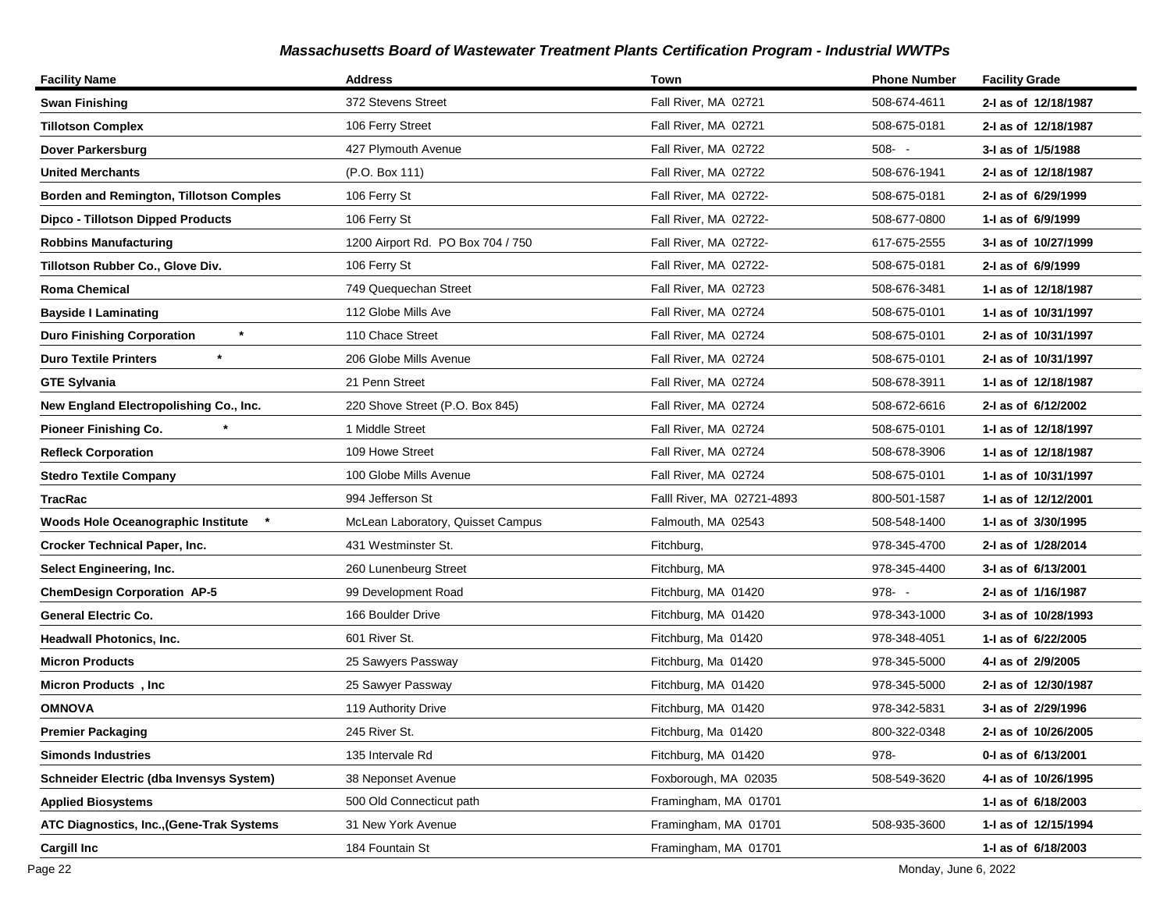| <b>Facility Name</b>                            | <b>Address</b>                    | Town                       | <b>Phone Number</b> | <b>Facility Grade</b> |
|-------------------------------------------------|-----------------------------------|----------------------------|---------------------|-----------------------|
| <b>Swan Finishing</b>                           | 372 Stevens Street                | Fall River, MA 02721       | 508-674-4611        | 2-I as of 12/18/1987  |
| <b>Tillotson Complex</b>                        | 106 Ferry Street                  | Fall River, MA 02721       | 508-675-0181        | 2-I as of 12/18/1987  |
| Dover Parkersburg                               | 427 Plymouth Avenue               | Fall River, MA 02722       | $508 - -$           | 3-I as of 1/5/1988    |
| <b>United Merchants</b>                         | (P.O. Box 111)                    | Fall River, MA 02722       | 508-676-1941        | 2-I as of 12/18/1987  |
| Borden and Remington, Tillotson Comples         | 106 Ferry St                      | Fall River, MA 02722-      | 508-675-0181        | 2-I as of 6/29/1999   |
| Dipco - Tillotson Dipped Products               | 106 Ferry St                      | Fall River, MA 02722-      | 508-677-0800        | 1-I as of 6/9/1999    |
| <b>Robbins Manufacturing</b>                    | 1200 Airport Rd. PO Box 704 / 750 | Fall River, MA 02722-      | 617-675-2555        | 3-I as of 10/27/1999  |
| Tillotson Rubber Co., Glove Div.                | 106 Ferry St                      | Fall River, MA 02722-      | 508-675-0181        | 2-I as of 6/9/1999    |
| <b>Roma Chemical</b>                            | 749 Quequechan Street             | Fall River, MA 02723       | 508-676-3481        | 1-I as of 12/18/1987  |
| <b>Bayside I Laminating</b>                     | 112 Globe Mills Ave               | Fall River, MA 02724       | 508-675-0101        | 1- as of 10/31/1997   |
| $\star$<br><b>Duro Finishing Corporation</b>    | 110 Chace Street                  | Fall River, MA 02724       | 508-675-0101        | 2-I as of 10/31/1997  |
| $\star$<br><b>Duro Textile Printers</b>         | 206 Globe Mills Avenue            | Fall River, MA 02724       | 508-675-0101        | 2-I as of 10/31/1997  |
| <b>GTE Sylvania</b>                             | 21 Penn Street                    | Fall River, MA 02724       | 508-678-3911        | 1- as of 12/18/1987   |
| New England Electropolishing Co., Inc.          | 220 Shove Street (P.O. Box 845)   | Fall River, MA 02724       | 508-672-6616        | 2-I as of 6/12/2002   |
| <b>Pioneer Finishing Co.</b>                    | 1 Middle Street                   | Fall River, MA 02724       | 508-675-0101        | 1- as of 12/18/1997   |
| <b>Refleck Corporation</b>                      | 109 Howe Street                   | Fall River, MA 02724       | 508-678-3906        | 1-I as of 12/18/1987  |
| <b>Stedro Textile Company</b>                   | 100 Globe Mills Avenue            | Fall River, MA 02724       | 508-675-0101        | 1- as of 10/31/1997   |
| TracRac                                         | 994 Jefferson St                  | Falll River, MA 02721-4893 | 800-501-1587        | 1- as of 12/12/2001   |
| <b>Woods Hole Oceanographic Institute</b>       | McLean Laboratory, Quisset Campus | Falmouth, MA 02543         | 508-548-1400        | 1-I as of 3/30/1995   |
| <b>Crocker Technical Paper, Inc.</b>            | 431 Westminster St.               | Fitchburg,                 | 978-345-4700        | 2-I as of 1/28/2014   |
| <b>Select Engineering, Inc.</b>                 | 260 Lunenbeurg Street             | Fitchburg, MA              | 978-345-4400        | 3-I as of 6/13/2001   |
| <b>ChemDesign Corporation AP-5</b>              | 99 Development Road               | Fitchburg, MA 01420        | $978 - -$           | 2-I as of 1/16/1987   |
| <b>General Electric Co.</b>                     | 166 Boulder Drive                 | Fitchburg, MA 01420        | 978-343-1000        | 3-I as of 10/28/1993  |
| <b>Headwall Photonics, Inc.</b>                 | 601 River St.                     | Fitchburg, Ma 01420        | 978-348-4051        | 1-I as of 6/22/2005   |
| <b>Micron Products</b>                          | 25 Sawyers Passway                | Fitchburg, Ma 01420        | 978-345-5000        | 4-I as of 2/9/2005    |
| Micron Products, Inc.                           | 25 Sawyer Passway                 | Fitchburg, MA 01420        | 978-345-5000        | 2-I as of 12/30/1987  |
| <b>OMNOVA</b>                                   | 119 Authority Drive               | Fitchburg, MA 01420        | 978-342-5831        | 3-I as of 2/29/1996   |
| <b>Premier Packaging</b>                        | 245 River St.                     | Fitchburg, Ma 01420        | 800-322-0348        | 2-I as of 10/26/2005  |
| <b>Simonds Industries</b>                       | 135 Intervale Rd                  | Fitchburg, MA 01420        | 978-                | 0-1 as of 6/13/2001   |
| <b>Schneider Electric (dba Invensys System)</b> | 38 Neponset Avenue                | Foxborough, MA 02035       | 508-549-3620        | 4-I as of 10/26/1995  |
| <b>Applied Biosystems</b>                       | 500 Old Connecticut path          | Framingham, MA 01701       |                     | 1-I as of 6/18/2003   |
| ATC Diagnostics, Inc., (Gene-Trak Systems       | 31 New York Avenue                | Framingham, MA 01701       | 508-935-3600        | 1-I as of 12/15/1994  |
| <b>Cargill Inc</b>                              | 184 Fountain St                   | Framingham, MA 01701       |                     | 1-I as of 6/18/2003   |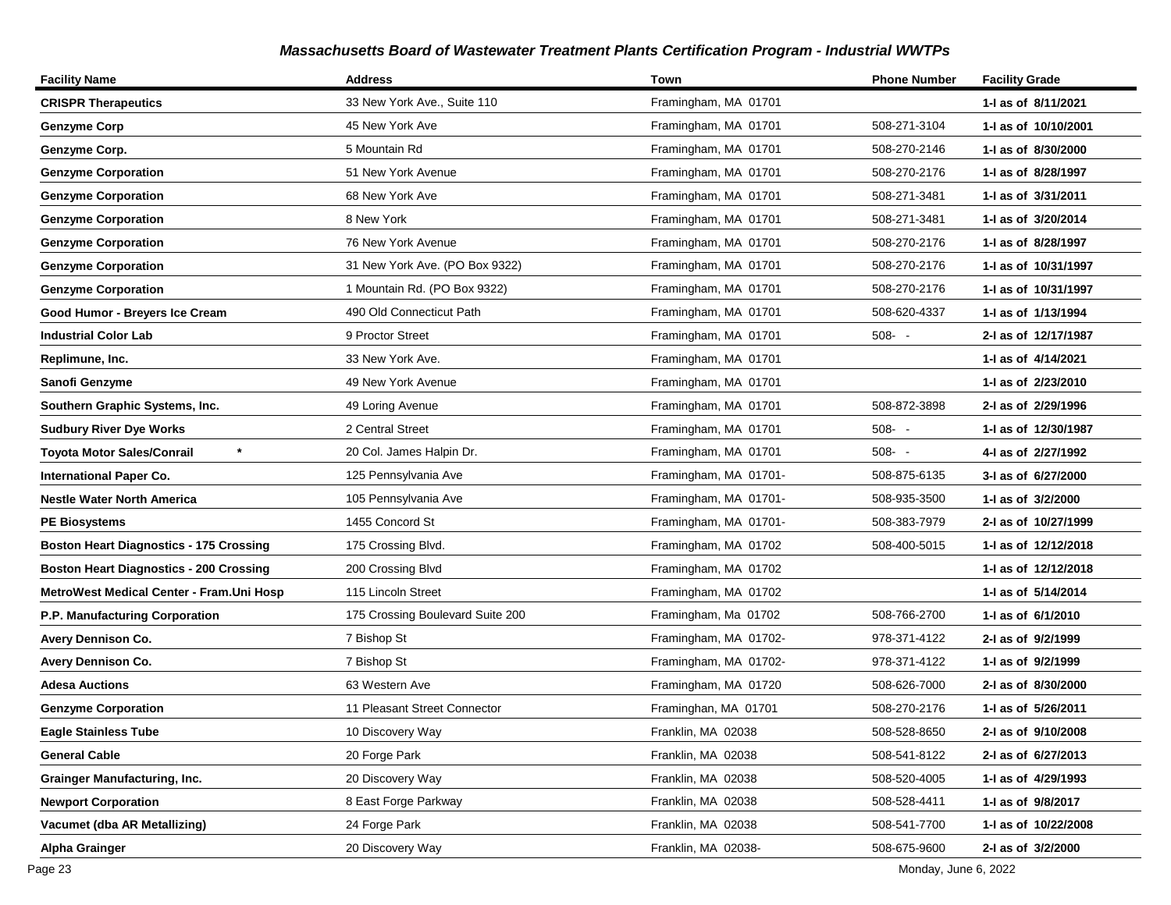| <b>Facility Name</b>                           | <b>Address</b>                   | Town                  | <b>Phone Number</b> | <b>Facility Grade</b> |
|------------------------------------------------|----------------------------------|-----------------------|---------------------|-----------------------|
| <b>CRISPR Therapeutics</b>                     | 33 New York Ave., Suite 110      | Framingham, MA 01701  |                     | 1-I as of 8/11/2021   |
| <b>Genzyme Corp</b>                            | 45 New York Ave                  | Framingham, MA 01701  | 508-271-3104        | 1-1 as of 10/10/2001  |
| Genzyme Corp.                                  | 5 Mountain Rd                    | Framingham, MA 01701  | 508-270-2146        | 1-I as of 8/30/2000   |
| <b>Genzyme Corporation</b>                     | 51 New York Avenue               | Framingham, MA 01701  | 508-270-2176        | 1-J as of 8/28/1997   |
| <b>Genzyme Corporation</b>                     | 68 New York Ave                  | Framingham, MA 01701  | 508-271-3481        | 1-I as of 3/31/2011   |
| <b>Genzyme Corporation</b>                     | 8 New York                       | Framingham, MA 01701  | 508-271-3481        | 1-I as of 3/20/2014   |
| <b>Genzyme Corporation</b>                     | 76 New York Avenue               | Framingham, MA 01701  | 508-270-2176        | 1- as of 8/28/1997    |
| <b>Genzyme Corporation</b>                     | 31 New York Ave. (PO Box 9322)   | Framingham, MA 01701  | 508-270-2176        | 1- as of 10/31/1997   |
| <b>Genzyme Corporation</b>                     | 1 Mountain Rd. (PO Box 9322)     | Framingham, MA 01701  | 508-270-2176        | 1-I as of 10/31/1997  |
| Good Humor - Breyers Ice Cream                 | 490 Old Connecticut Path         | Framingham, MA 01701  | 508-620-4337        | 1-I as of 1/13/1994   |
| <b>Industrial Color Lab</b>                    | 9 Proctor Street                 | Framingham, MA 01701  | $508 - -$           | 2-I as of 12/17/1987  |
| Replimune, Inc.                                | 33 New York Ave.                 | Framingham, MA 01701  |                     | 1-I as of 4/14/2021   |
| Sanofi Genzyme                                 | 49 New York Avenue               | Framingham, MA 01701  |                     | 1-I as of 2/23/2010   |
| Southern Graphic Systems, Inc.                 | 49 Loring Avenue                 | Framingham, MA 01701  | 508-872-3898        | 2-I as of 2/29/1996   |
| <b>Sudbury River Dye Works</b>                 | 2 Central Street                 | Framingham, MA 01701  | $508 - -$           | 1- as of 12/30/1987   |
| $\star$<br><b>Toyota Motor Sales/Conrail</b>   | 20 Col. James Halpin Dr.         | Framingham, MA 01701  | $508 - -$           | 4-I as of 2/27/1992   |
| <b>International Paper Co.</b>                 | 125 Pennsylvania Ave             | Framingham, MA 01701- | 508-875-6135        | 3-I as of 6/27/2000   |
| <b>Nestle Water North America</b>              | 105 Pennsylvania Ave             | Framingham, MA 01701- | 508-935-3500        | 1-I as of 3/2/2000    |
| <b>PE Biosystems</b>                           | 1455 Concord St                  | Framingham, MA 01701- | 508-383-7979        | 2-I as of 10/27/1999  |
| <b>Boston Heart Diagnostics - 175 Crossing</b> | 175 Crossing Blvd.               | Framingham, MA 01702  | 508-400-5015        | 1-I as of 12/12/2018  |
| <b>Boston Heart Diagnostics - 200 Crossing</b> | 200 Crossing Blvd                | Framingham, MA 01702  |                     | 1- as of 12/12/2018   |
| MetroWest Medical Center - Fram. Uni Hosp      | 115 Lincoln Street               | Framingham, MA 01702  |                     | 1-I as of 5/14/2014   |
| P.P. Manufacturing Corporation                 | 175 Crossing Boulevard Suite 200 | Framingham, Ma 01702  | 508-766-2700        | 1-I as of 6/1/2010    |
| <b>Avery Dennison Co.</b>                      | 7 Bishop St                      | Framingham, MA 01702- | 978-371-4122        | 2-I as of 9/2/1999    |
| <b>Avery Dennison Co.</b>                      | 7 Bishop St                      | Framingham, MA 01702- | 978-371-4122        | 1-I as of 9/2/1999    |
| <b>Adesa Auctions</b>                          | 63 Western Ave                   | Framingham, MA 01720  | 508-626-7000        | 2-I as of 8/30/2000   |
| <b>Genzyme Corporation</b>                     | 11 Pleasant Street Connector     | Framinghan, MA 01701  | 508-270-2176        | 1-I as of 5/26/2011   |
| <b>Eagle Stainless Tube</b>                    | 10 Discovery Way                 | Franklin, MA 02038    | 508-528-8650        | 2-I as of 9/10/2008   |
| <b>General Cable</b>                           | 20 Forge Park                    | Franklin, MA 02038    | 508-541-8122        | 2-I as of 6/27/2013   |
| <b>Grainger Manufacturing, Inc.</b>            | 20 Discovery Way                 | Franklin, MA 02038    | 508-520-4005        | 1-I as of 4/29/1993   |
| <b>Newport Corporation</b>                     | 8 East Forge Parkway             | Franklin, MA 02038    | 508-528-4411        | 1-I as of 9/8/2017    |
| Vacumet (dba AR Metallizing)                   | 24 Forge Park                    | Franklin, MA 02038    | 508-541-7700        | 1-I as of 10/22/2008  |
| <b>Alpha Grainger</b>                          | 20 Discovery Way                 | Franklin, MA 02038-   | 508-675-9600        | 2-I as of 3/2/2000    |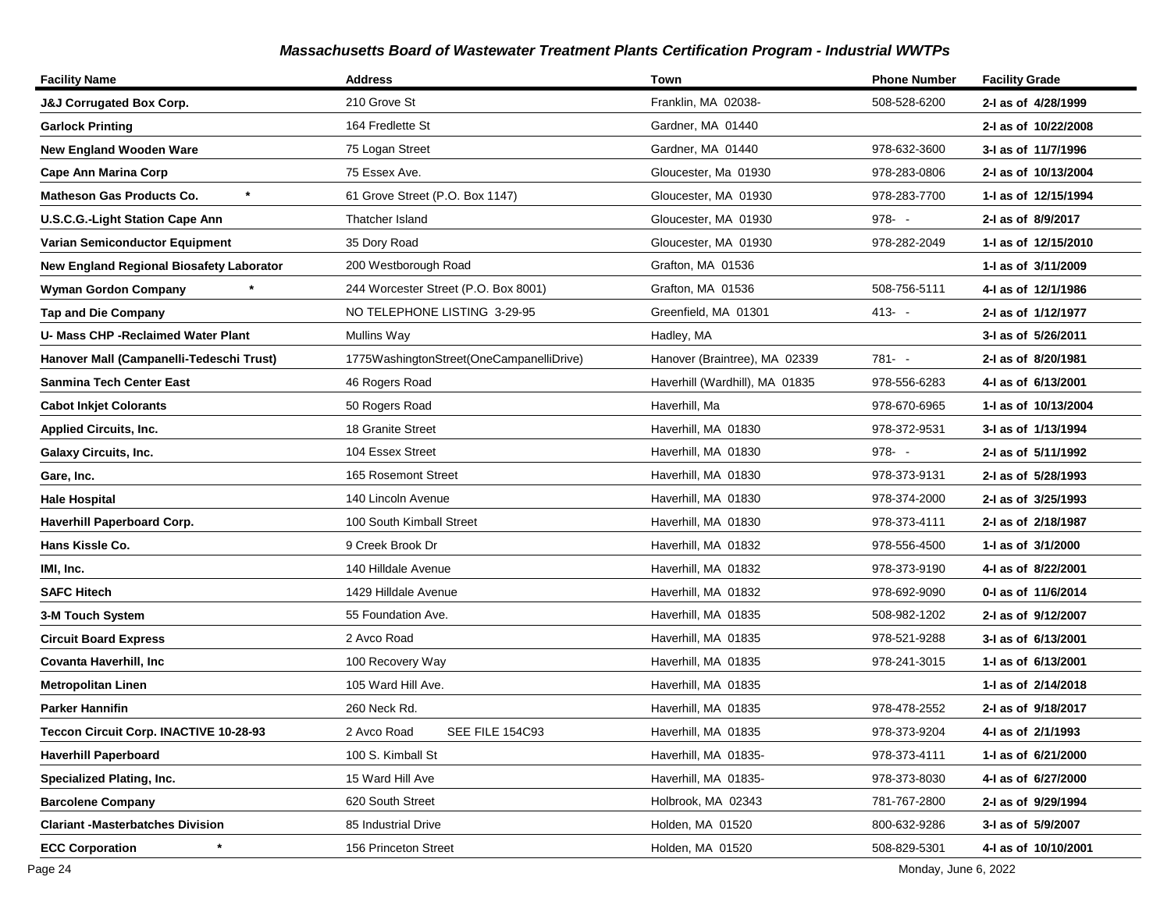| <b>Facility Name</b>                     | <b>Address</b>                           | Town                           | <b>Phone Number</b> | <b>Facility Grade</b> |
|------------------------------------------|------------------------------------------|--------------------------------|---------------------|-----------------------|
| <b>J&amp;J Corrugated Box Corp.</b>      | 210 Grove St                             | Franklin, MA 02038-            | 508-528-6200        | 2-I as of 4/28/1999   |
| <b>Garlock Printing</b>                  | 164 Fredlette St                         | Gardner, MA 01440              |                     | 2-I as of 10/22/2008  |
| <b>New England Wooden Ware</b>           | 75 Logan Street                          | Gardner, MA 01440              | 978-632-3600        | 3-I as of 11/7/1996   |
| Cape Ann Marina Corp                     | 75 Essex Ave.                            | Gloucester, Ma 01930           | 978-283-0806        | 2-I as of 10/13/2004  |
| Matheson Gas Products Co.                | 61 Grove Street (P.O. Box 1147)          | Gloucester, MA 01930           | 978-283-7700        | 1-J as of 12/15/1994  |
| <b>U.S.C.G.-Light Station Cape Ann</b>   | Thatcher Island                          | Gloucester, MA 01930           | $978 - -$           | 2-I as of 8/9/2017    |
| <b>Varian Semiconductor Equipment</b>    | 35 Dory Road                             | Gloucester, MA 01930           | 978-282-2049        | 1- as of 12/15/2010   |
| New England Regional Biosafety Laborator | 200 Westborough Road                     | Grafton, MA 01536              |                     | 1-1 as of 3/11/2009   |
| Wyman Gordon Company                     | 244 Worcester Street (P.O. Box 8001)     | Grafton, MA 01536              | 508-756-5111        | 4-1 as of 12/1/1986   |
| <b>Tap and Die Company</b>               | NO TELEPHONE LISTING 3-29-95             | Greenfield, MA 01301           | $413 - -$           | 2-I as of 1/12/1977   |
| U- Mass CHP -Reclaimed Water Plant       | <b>Mullins Way</b>                       | Hadley, MA                     |                     | 3-I as of 5/26/2011   |
| Hanover Mall (Campanelli-Tedeschi Trust) | 1775WashingtonStreet(OneCampanelliDrive) | Hanover (Braintree), MA 02339  | $781 - -$           | 2-I as of 8/20/1981   |
| Sanmina Tech Center East                 | 46 Rogers Road                           | Haverhill (Wardhill), MA 01835 | 978-556-6283        | 4-1 as of 6/13/2001   |
| <b>Cabot Inkjet Colorants</b>            | 50 Rogers Road                           | Haverhill, Ma                  | 978-670-6965        | 1- as of 10/13/2004   |
| <b>Applied Circuits, Inc.</b>            | 18 Granite Street                        | Haverhill, MA 01830            | 978-372-9531        | 3-I as of 1/13/1994   |
| <b>Galaxy Circuits, Inc.</b>             | 104 Essex Street                         | Haverhill, MA 01830            | $978 - -$           | 2-I as of 5/11/1992   |
| Gare, Inc.                               | 165 Rosemont Street                      | Haverhill, MA 01830            | 978-373-9131        | 2-I as of 5/28/1993   |
| <b>Hale Hospital</b>                     | 140 Lincoln Avenue                       | Haverhill, MA 01830            | 978-374-2000        | 2-I as of 3/25/1993   |
| <b>Haverhill Paperboard Corp.</b>        | 100 South Kimball Street                 | Haverhill, MA 01830            | 978-373-4111        | 2-I as of 2/18/1987   |
| Hans Kissle Co.                          | 9 Creek Brook Dr                         | Haverhill, MA 01832            | 978-556-4500        | 1-I as of 3/1/2000    |
| IMI, Inc.                                | 140 Hilldale Avenue                      | Haverhill, MA 01832            | 978-373-9190        | 4-1 as of 8/22/2001   |
| <b>SAFC Hitech</b>                       | 1429 Hilldale Avenue                     | Haverhill, MA 01832            | 978-692-9090        | 0-I as of 11/6/2014   |
| 3-M Touch System                         | 55 Foundation Ave.                       | Haverhill, MA 01835            | 508-982-1202        | 2-I as of 9/12/2007   |
| <b>Circuit Board Express</b>             | 2 Avco Road                              | Haverhill, MA 01835            | 978-521-9288        | 3-I as of 6/13/2001   |
| Covanta Haverhill, Inc                   | 100 Recovery Way                         | Haverhill, MA 01835            | 978-241-3015        | 1-I as of 6/13/2001   |
| <b>Metropolitan Linen</b>                | 105 Ward Hill Ave.                       | Haverhill, MA 01835            |                     | 1- as of 2/14/2018    |
| Parker Hannifin                          | 260 Neck Rd.                             | Haverhill, MA 01835            | 978-478-2552        | 2-I as of 9/18/2017   |
| Teccon Circuit Corp. INACTIVE 10-28-93   | SEE FILE 154C93<br>2 Avco Road           | Haverhill, MA 01835            | 978-373-9204        | 4-I as of 2/1/1993    |
| <b>Haverhill Paperboard</b>              | 100 S. Kimball St                        | Haverhill, MA 01835-           | 978-373-4111        | 1- as of 6/21/2000    |
| <b>Specialized Plating, Inc.</b>         | 15 Ward Hill Ave                         | Haverhill, MA 01835-           | 978-373-8030        | 4-I as of 6/27/2000   |
| <b>Barcolene Company</b>                 | 620 South Street                         | Holbrook, MA 02343             | 781-767-2800        | 2-I as of 9/29/1994   |
| <b>Clariant -Masterbatches Division</b>  | 85 Industrial Drive                      | Holden, MA 01520               | 800-632-9286        | 3-I as of 5/9/2007    |
| <b>ECC Corporation</b>                   | 156 Princeton Street                     | Holden, MA 01520               | 508-829-5301        | 4-I as of 10/10/2001  |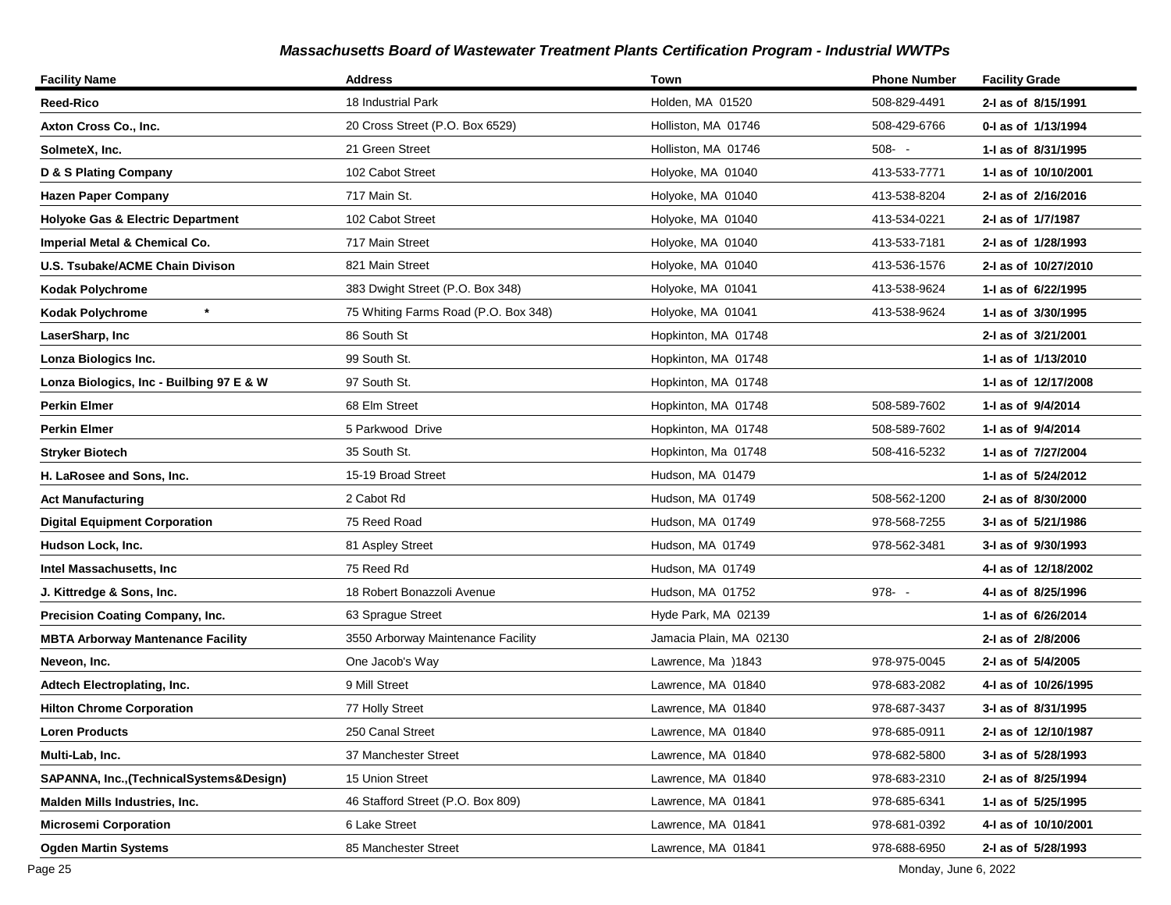| <b>Facility Name</b>                         | <b>Address</b>                       | Town                    | <b>Phone Number</b> | <b>Facility Grade</b> |
|----------------------------------------------|--------------------------------------|-------------------------|---------------------|-----------------------|
| Reed-Rico                                    | 18 Industrial Park                   | Holden, MA 01520        | 508-829-4491        | 2-I as of 8/15/1991   |
| Axton Cross Co., Inc.                        | 20 Cross Street (P.O. Box 6529)      | Holliston, MA 01746     | 508-429-6766        | 0-I as of 1/13/1994   |
| SolmeteX, Inc.                               | 21 Green Street                      | Holliston, MA 01746     | $508 - -$           | 1- as of 8/31/1995    |
| D & S Plating Company                        | 102 Cabot Street                     | Holyoke, MA 01040       | 413-533-7771        | 1-I as of 10/10/2001  |
| <b>Hazen Paper Company</b>                   | 717 Main St.                         | Holyoke, MA 01040       | 413-538-8204        | 2-I as of 2/16/2016   |
| <b>Holyoke Gas &amp; Electric Department</b> | 102 Cabot Street                     | Holyoke, MA 01040       | 413-534-0221        | 2-I as of 1/7/1987    |
| Imperial Metal & Chemical Co.                | 717 Main Street                      | Holyoke, MA 01040       | 413-533-7181        | 2-I as of 1/28/1993   |
| U.S. Tsubake/ACME Chain Divison              | 821 Main Street                      | Holyoke, MA 01040       | 413-536-1576        | 2-I as of 10/27/2010  |
| <b>Kodak Polychrome</b>                      | 383 Dwight Street (P.O. Box 348)     | Holyoke, MA 01041       | 413-538-9624        | 1-I as of 6/22/1995   |
| $\star$<br><b>Kodak Polychrome</b>           | 75 Whiting Farms Road (P.O. Box 348) | Holyoke, MA 01041       | 413-538-9624        | 1-I as of 3/30/1995   |
| LaserSharp, Inc                              | 86 South St                          | Hopkinton, MA 01748     |                     | 2-I as of 3/21/2001   |
| Lonza Biologics Inc.                         | 99 South St.                         | Hopkinton, MA 01748     |                     | 1-1 as of 1/13/2010   |
| Lonza Biologics, Inc - Builbing 97 E & W     | 97 South St.                         | Hopkinton, MA 01748     |                     | 1-1 as of 12/17/2008  |
| <b>Perkin Elmer</b>                          | 68 Elm Street                        | Hopkinton, MA 01748     | 508-589-7602        | 1- as of 9/4/2014     |
| <b>Perkin Elmer</b>                          | 5 Parkwood Drive                     | Hopkinton, MA 01748     | 508-589-7602        | 1-I as of 9/4/2014    |
| <b>Stryker Biotech</b>                       | 35 South St.                         | Hopkinton, Ma 01748     | 508-416-5232        | 1-I as of 7/27/2004   |
| H. LaRosee and Sons, Inc.                    | 15-19 Broad Street                   | Hudson, MA 01479        |                     | 1-1 as of 5/24/2012   |
| <b>Act Manufacturing</b>                     | 2 Cabot Rd                           | Hudson, MA 01749        | 508-562-1200        | 2-I as of 8/30/2000   |
| <b>Digital Equipment Corporation</b>         | 75 Reed Road                         | Hudson, MA 01749        | 978-568-7255        | 3-I as of 5/21/1986   |
| Hudson Lock, Inc.                            | 81 Aspley Street                     | Hudson, MA 01749        | 978-562-3481        | 3-I as of 9/30/1993   |
| Intel Massachusetts, Inc                     | 75 Reed Rd                           | Hudson, MA 01749        |                     | 4-I as of 12/18/2002  |
| J. Kittredge & Sons, Inc.                    | 18 Robert Bonazzoli Avenue           | Hudson, MA 01752        | $978 - -$           | 4-I as of 8/25/1996   |
| Precision Coating Company, Inc.              | 63 Sprague Street                    | Hyde Park, MA 02139     |                     | 1-I as of 6/26/2014   |
| <b>MBTA Arborway Mantenance Facility</b>     | 3550 Arborway Maintenance Facility   | Jamacia Plain, MA 02130 |                     | 2-I as of 2/8/2006    |
| Neveon, Inc.                                 | One Jacob's Way                      | Lawrence, Ma )1843      | 978-975-0045        | 2-I as of 5/4/2005    |
| Adtech Electroplating, Inc.                  | 9 Mill Street                        | Lawrence, MA 01840      | 978-683-2082        | 4-1 as of 10/26/1995  |
| <b>Hilton Chrome Corporation</b>             | 77 Holly Street                      | Lawrence, MA 01840      | 978-687-3437        | 3-I as of 8/31/1995   |
| <b>Loren Products</b>                        | 250 Canal Street                     | Lawrence, MA 01840      | 978-685-0911        | 2-I as of 12/10/1987  |
| Multi-Lab, Inc.                              | 37 Manchester Street                 | Lawrence, MA 01840      | 978-682-5800        | 3-I as of 5/28/1993   |
| SAPANNA, Inc., (Technical Systems& Design)   | 15 Union Street                      | Lawrence, MA 01840      | 978-683-2310        | 2-1 as of 8/25/1994   |
| <b>Malden Mills Industries, Inc.</b>         | 46 Stafford Street (P.O. Box 809)    | Lawrence, MA 01841      | 978-685-6341        | 1-I as of 5/25/1995   |
| <b>Microsemi Corporation</b>                 | 6 Lake Street                        | Lawrence, MA 01841      | 978-681-0392        | 4-I as of 10/10/2001  |
| <b>Ogden Martin Systems</b>                  | 85 Manchester Street                 | Lawrence, MA 01841      | 978-688-6950        | 2-I as of 5/28/1993   |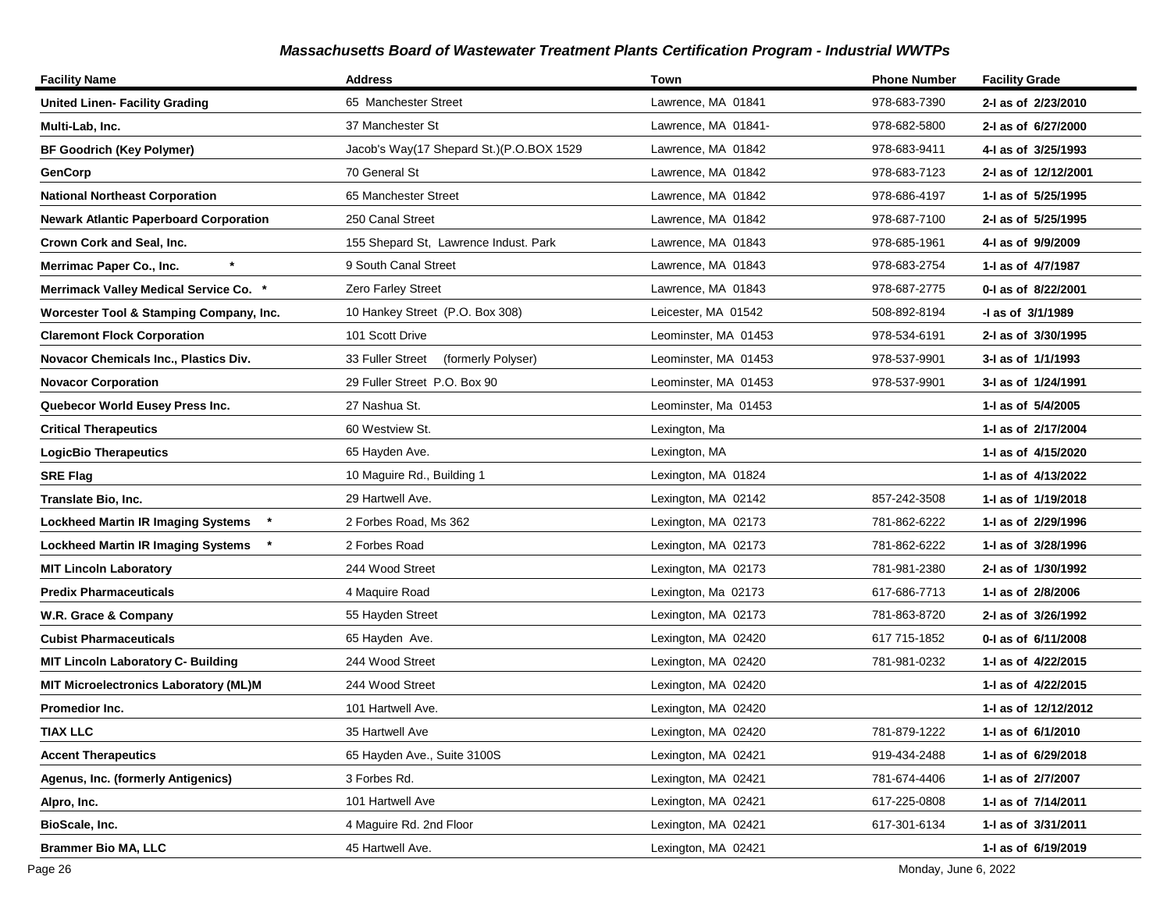| <b>Facility Name</b>                          | <b>Address</b>                           | Town                 | <b>Phone Number</b> | <b>Facility Grade</b> |
|-----------------------------------------------|------------------------------------------|----------------------|---------------------|-----------------------|
| <b>United Linen- Facility Grading</b>         | 65 Manchester Street                     | Lawrence, MA 01841   | 978-683-7390        | 2-I as of 2/23/2010   |
| Multi-Lab, Inc.                               | 37 Manchester St                         | Lawrence, MA 01841-  | 978-682-5800        | 2-I as of 6/27/2000   |
| <b>BF Goodrich (Key Polymer)</b>              | Jacob's Way(17 Shepard St.)(P.O.BOX 1529 | Lawrence, MA 01842   | 978-683-9411        | 4-I as of 3/25/1993   |
| GenCorp                                       | 70 General St                            | Lawrence, MA 01842   | 978-683-7123        | 2-I as of 12/12/2001  |
| <b>National Northeast Corporation</b>         | 65 Manchester Street                     | Lawrence, MA 01842   | 978-686-4197        | 1-1 as of 5/25/1995   |
| <b>Newark Atlantic Paperboard Corporation</b> | 250 Canal Street                         | Lawrence, MA 01842   | 978-687-7100        | 2-I as of 5/25/1995   |
| <b>Crown Cork and Seal, Inc.</b>              | 155 Shepard St, Lawrence Indust. Park    | Lawrence, MA 01843   | 978-685-1961        | 4-I as of 9/9/2009    |
| Merrimac Paper Co., Inc.                      | 9 South Canal Street                     | Lawrence, MA 01843   | 978-683-2754        | 1-I as of 4/7/1987    |
| <b>Merrimack Valley Medical Service Co.</b>   | Zero Farley Street                       | Lawrence, MA 01843   | 978-687-2775        | 0-1 as of 8/22/2001   |
| Worcester Tool & Stamping Company, Inc.       | 10 Hankey Street (P.O. Box 308)          | Leicester, MA 01542  | 508-892-8194        | -I as of 3/1/1989     |
| <b>Claremont Flock Corporation</b>            | 101 Scott Drive                          | Leominster, MA 01453 | 978-534-6191        | 2-I as of 3/30/1995   |
| Novacor Chemicals Inc., Plastics Div.         | 33 Fuller Street<br>(formerly Polyser)   | Leominster, MA 01453 | 978-537-9901        | 3-I as of 1/1/1993    |
| <b>Novacor Corporation</b>                    | 29 Fuller Street P.O. Box 90             | Leominster, MA 01453 | 978-537-9901        | 3-I as of 1/24/1991   |
| Quebecor World Eusey Press Inc.               | 27 Nashua St.                            | Leominster, Ma 01453 |                     | 1-I as of 5/4/2005    |
| <b>Critical Therapeutics</b>                  | 60 Westview St.                          | Lexington, Ma        |                     | 1-I as of 2/17/2004   |
| <b>LogicBio Therapeutics</b>                  | 65 Hayden Ave.                           | Lexington, MA        |                     | 1-I as of 4/15/2020   |
| <b>SRE Flag</b>                               | 10 Maguire Rd., Building 1               | Lexington, MA 01824  |                     | 1-I as of 4/13/2022   |
| Translate Bio, Inc.                           | 29 Hartwell Ave.                         | Lexington, MA 02142  | 857-242-3508        | 1-1 as of 1/19/2018   |
| <b>Lockheed Martin IR Imaging Systems</b>     | 2 Forbes Road, Ms 362                    | Lexington, MA 02173  | 781-862-6222        | 1-I as of 2/29/1996   |
| <b>Lockheed Martin IR Imaging Systems</b>     | 2 Forbes Road                            | Lexington, MA 02173  | 781-862-6222        | 1-I as of 3/28/1996   |
| MIT Lincoln Laboratory                        | 244 Wood Street                          | Lexington, MA 02173  | 781-981-2380        | 2-I as of 1/30/1992   |
| Predix Pharmaceuticals                        | 4 Maquire Road                           | Lexington, Ma 02173  | 617-686-7713        | 1-I as of 2/8/2006    |
| W.R. Grace & Company                          | 55 Hayden Street                         | Lexington, MA 02173  | 781-863-8720        | 2-I as of 3/26/1992   |
| <b>Cubist Pharmaceuticals</b>                 | 65 Hayden Ave.                           | Lexington, MA 02420  | 617 715-1852        | 0-1 as of 6/11/2008   |
| MIT Lincoln Laboratory C- Building            | 244 Wood Street                          | Lexington, MA 02420  | 781-981-0232        | 1-I as of 4/22/2015   |
| <b>MIT Microelectronics Laboratory (ML)M</b>  | 244 Wood Street                          | Lexington, MA 02420  |                     | 1-1 as of 4/22/2015   |
| Promedior Inc.                                | 101 Hartwell Ave.                        | Lexington, MA 02420  |                     | 1-I as of 12/12/2012  |
| <b>TIAX LLC</b>                               | 35 Hartwell Ave                          | Lexington, MA 02420  | 781-879-1222        | 1-I as of 6/1/2010    |
| <b>Accent Therapeutics</b>                    | 65 Hayden Ave., Suite 3100S              | Lexington, MA 02421  | 919-434-2488        | 1- as of 6/29/2018    |
| Agenus, Inc. (formerly Antigenics)            | 3 Forbes Rd.                             | Lexington, MA 02421  | 781-674-4406        | 1-I as of 2/7/2007    |
| Alpro, Inc.                                   | 101 Hartwell Ave                         | Lexington, MA 02421  | 617-225-0808        | 1-I as of 7/14/2011   |
| BioScale, Inc.                                | 4 Maguire Rd. 2nd Floor                  | Lexington, MA 02421  | 617-301-6134        | 1-I as of 3/31/2011   |
| <b>Brammer Bio MA, LLC</b>                    | 45 Hartwell Ave.                         | Lexington, MA 02421  |                     | 1-I as of 6/19/2019   |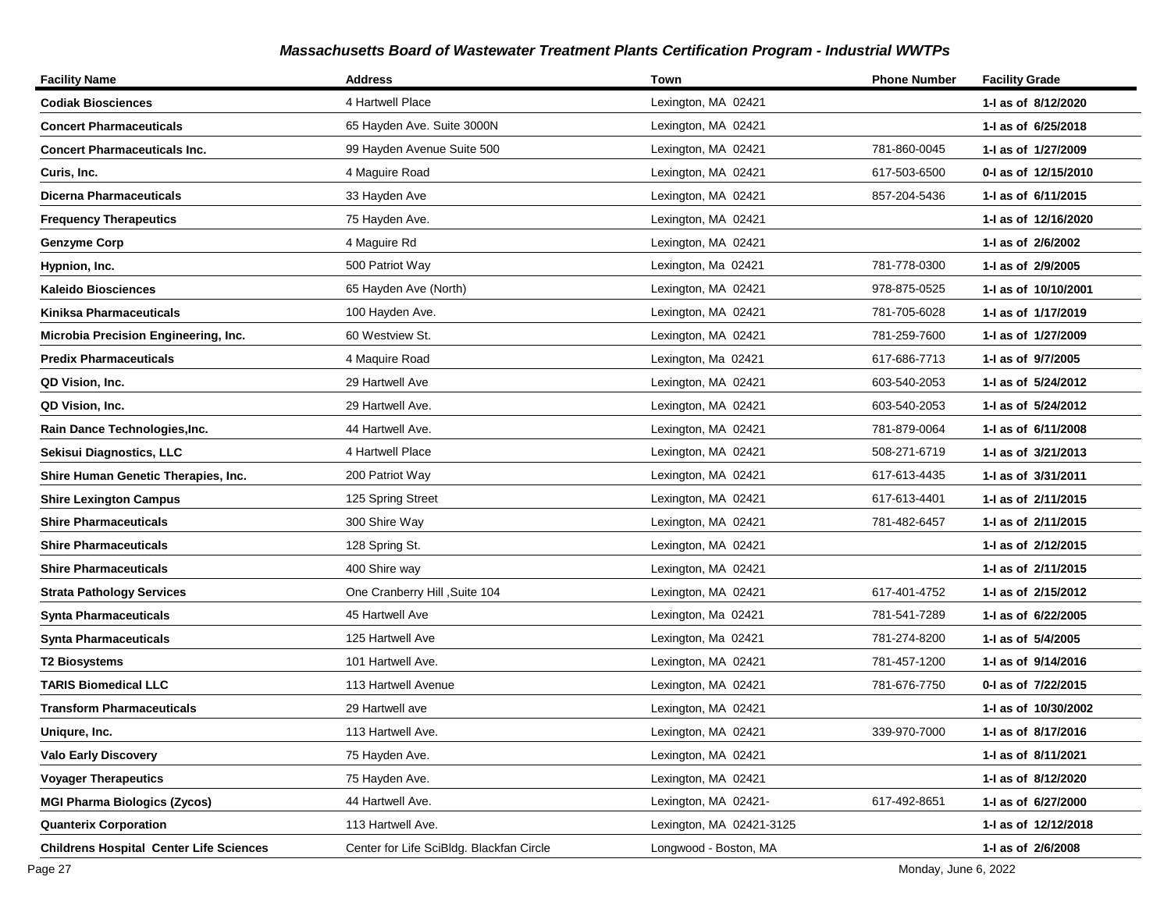| <b>Facility Name</b>                           | <b>Address</b>                           | Town                     | <b>Phone Number</b> | <b>Facility Grade</b> |
|------------------------------------------------|------------------------------------------|--------------------------|---------------------|-----------------------|
| <b>Codiak Biosciences</b>                      | 4 Hartwell Place                         | Lexington, MA 02421      |                     | 1-1 as of 8/12/2020   |
| <b>Concert Pharmaceuticals</b>                 | 65 Hayden Ave. Suite 3000N               | Lexington, MA 02421      |                     | 1-1 as of 6/25/2018   |
| <b>Concert Pharmaceuticals Inc.</b>            | 99 Hayden Avenue Suite 500               | Lexington, MA 02421      | 781-860-0045        | 1-1 as of 1/27/2009   |
| Curis, Inc.                                    | 4 Maguire Road                           | Lexington, MA 02421      | 617-503-6500        | 0-1 as of 12/15/2010  |
| <b>Dicerna Pharmaceuticals</b>                 | 33 Hayden Ave                            | Lexington, MA 02421      | 857-204-5436        | 1-1 as of 6/11/2015   |
| <b>Frequency Therapeutics</b>                  | 75 Hayden Ave.                           | Lexington, MA 02421      |                     | 1-I as of 12/16/2020  |
| <b>Genzyme Corp</b>                            | 4 Maguire Rd                             | Lexington, MA 02421      |                     | 1-I as of 2/6/2002    |
| Hypnion, Inc.                                  | 500 Patriot Way                          | Lexington, Ma 02421      | 781-778-0300        | 1-I as of 2/9/2005    |
| <b>Kaleido Biosciences</b>                     | 65 Hayden Ave (North)                    | Lexington, MA 02421      | 978-875-0525        | 1-I as of 10/10/2001  |
| Kiniksa Pharmaceuticals                        | 100 Hayden Ave.                          | Lexington, MA 02421      | 781-705-6028        | 1-1 as of 1/17/2019   |
| Microbia Precision Engineering, Inc.           | 60 Westview St.                          | Lexington, MA 02421      | 781-259-7600        | 1-1 as of 1/27/2009   |
| <b>Predix Pharmaceuticals</b>                  | 4 Maquire Road                           | Lexington, Ma 02421      | 617-686-7713        | 1-I as of 9/7/2005    |
| QD Vision, Inc.                                | 29 Hartwell Ave                          | Lexington, MA 02421      | 603-540-2053        | 1-1 as of 5/24/2012   |
| QD Vision, Inc.                                | 29 Hartwell Ave.                         | Lexington, MA 02421      | 603-540-2053        | 1-I as of 5/24/2012   |
| Rain Dance Technologies, Inc.                  | 44 Hartwell Ave.                         | Lexington, MA 02421      | 781-879-0064        | 1-1 as of 6/11/2008   |
| Sekisui Diagnostics, LLC                       | 4 Hartwell Place                         | Lexington, MA 02421      | 508-271-6719        | 1- as of 3/21/2013    |
| Shire Human Genetic Therapies, Inc.            | 200 Patriot Way                          | Lexington, MA 02421      | 617-613-4435        | 1-I as of 3/31/2011   |
| <b>Shire Lexington Campus</b>                  | 125 Spring Street                        | Lexington, MA 02421      | 617-613-4401        | 1-1 as of 2/11/2015   |
| <b>Shire Pharmaceuticals</b>                   | 300 Shire Way                            | Lexington, MA 02421      | 781-482-6457        | 1-1 as of 2/11/2015   |
| <b>Shire Pharmaceuticals</b>                   | 128 Spring St.                           | Lexington, MA 02421      |                     | 1-I as of 2/12/2015   |
| <b>Shire Pharmaceuticals</b>                   | 400 Shire way                            | Lexington, MA 02421      |                     | 1-1 as of 2/11/2015   |
| <b>Strata Pathology Services</b>               | One Cranberry Hill , Suite 104           | Lexington, MA 02421      | 617-401-4752        | 1-1 as of 2/15/2012   |
| <b>Synta Pharmaceuticals</b>                   | 45 Hartwell Ave                          | Lexington, Ma 02421      | 781-541-7289        | 1- as of 6/22/2005    |
| <b>Synta Pharmaceuticals</b>                   | 125 Hartwell Ave                         | Lexington, Ma 02421      | 781-274-8200        | 1-I as of 5/4/2005    |
| <b>T2 Biosystems</b>                           | 101 Hartwell Ave.                        | Lexington, MA 02421      | 781-457-1200        | 1-I as of 9/14/2016   |
| <b>TARIS Biomedical LLC</b>                    | 113 Hartwell Avenue                      | Lexington, MA 02421      | 781-676-7750        | 0-I as of 7/22/2015   |
| <b>Transform Pharmaceuticals</b>               | 29 Hartwell ave                          | Lexington, MA 02421      |                     | 1-1 as of 10/30/2002  |
| Uniqure, Inc.                                  | 113 Hartwell Ave.                        | Lexington, MA 02421      | 339-970-7000        | 1-I as of 8/17/2016   |
| <b>Valo Early Discovery</b>                    | 75 Hayden Ave.                           | Lexington, MA 02421      |                     | 1-I as of 8/11/2021   |
| <b>Voyager Therapeutics</b>                    | 75 Hayden Ave.                           | Lexington, MA 02421      |                     | 1-I as of 8/12/2020   |
| <b>MGI Pharma Biologics (Zycos)</b>            | 44 Hartwell Ave.                         | Lexington, MA 02421-     | 617-492-8651        | 1-I as of 6/27/2000   |
| <b>Quanterix Corporation</b>                   | 113 Hartwell Ave.                        | Lexington, MA 02421-3125 |                     | 1-I as of 12/12/2018  |
| <b>Childrens Hospital Center Life Sciences</b> | Center for Life SciBldg. Blackfan Circle | Longwood - Boston, MA    |                     | 1-I as of 2/6/2008    |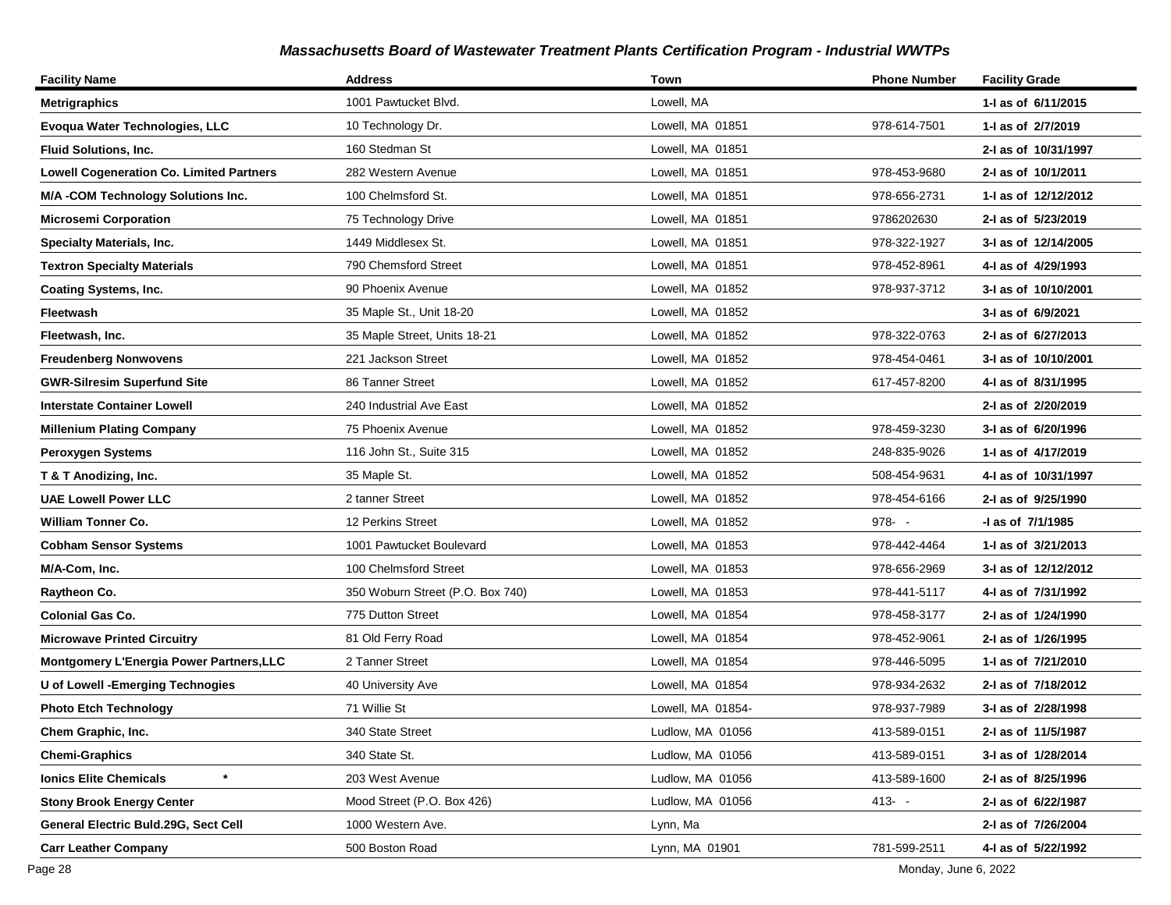| <b>Facility Name</b>                            | <b>Address</b>                   | Town              | <b>Phone Number</b> | <b>Facility Grade</b> |
|-------------------------------------------------|----------------------------------|-------------------|---------------------|-----------------------|
| <b>Metrigraphics</b>                            | 1001 Pawtucket Blvd.             | Lowell, MA        |                     | 1-1 as of 6/11/2015   |
| Evoqua Water Technologies, LLC                  | 10 Technology Dr.                | Lowell, MA 01851  | 978-614-7501        | 1-I as of 2/7/2019    |
| <b>Fluid Solutions, Inc.</b>                    | 160 Stedman St                   | Lowell, MA 01851  |                     | 2-I as of 10/31/1997  |
| <b>Lowell Cogeneration Co. Limited Partners</b> | 282 Western Avenue               | Lowell, MA 01851  | 978-453-9680        | 2-I as of 10/1/2011   |
| M/A -COM Technology Solutions Inc.              | 100 Chelmsford St.               | Lowell, MA 01851  | 978-656-2731        | 1- as of 12/12/2012   |
| <b>Microsemi Corporation</b>                    | 75 Technology Drive              | Lowell, MA 01851  | 9786202630          | 2-I as of 5/23/2019   |
| <b>Specialty Materials, Inc.</b>                | 1449 Middlesex St.               | Lowell, MA 01851  | 978-322-1927        | 3-I as of 12/14/2005  |
| <b>Textron Specialty Materials</b>              | 790 Chemsford Street             | Lowell, MA 01851  | 978-452-8961        | 4-I as of 4/29/1993   |
| <b>Coating Systems, Inc.</b>                    | 90 Phoenix Avenue                | Lowell, MA 01852  | 978-937-3712        | 3-I as of 10/10/2001  |
| Fleetwash                                       | 35 Maple St., Unit 18-20         | Lowell, MA 01852  |                     | 3-I as of 6/9/2021    |
| Fleetwash, Inc.                                 | 35 Maple Street, Units 18-21     | Lowell, MA 01852  | 978-322-0763        | 2-I as of 6/27/2013   |
| <b>Freudenberg Nonwovens</b>                    | 221 Jackson Street               | Lowell, MA 01852  | 978-454-0461        | 3-I as of 10/10/2001  |
| <b>GWR-Silresim Superfund Site</b>              | 86 Tanner Street                 | Lowell, MA 01852  | 617-457-8200        | 4-1 as of 8/31/1995   |
| <b>Interstate Container Lowell</b>              | 240 Industrial Ave East          | Lowell, MA 01852  |                     | 2-I as of 2/20/2019   |
| <b>Millenium Plating Company</b>                | 75 Phoenix Avenue                | Lowell, MA 01852  | 978-459-3230        | 3-I as of 6/20/1996   |
| <b>Peroxygen Systems</b>                        | 116 John St., Suite 315          | Lowell, MA 01852  | 248-835-9026        | 1-I as of 4/17/2019   |
| T & T Anodizing, Inc.                           | 35 Maple St.                     | Lowell, MA 01852  | 508-454-9631        | 4-1 as of 10/31/1997  |
| <b>UAE Lowell Power LLC</b>                     | 2 tanner Street                  | Lowell, MA 01852  | 978-454-6166        | 2-I as of 9/25/1990   |
| <b>William Tonner Co.</b>                       | 12 Perkins Street                | Lowell, MA 01852  | $978 - -$           | -I as of 7/1/1985     |
| <b>Cobham Sensor Systems</b>                    | 1001 Pawtucket Boulevard         | Lowell, MA 01853  | 978-442-4464        | 1-I as of 3/21/2013   |
| M/A-Com, Inc.                                   | 100 Chelmsford Street            | Lowell, MA 01853  | 978-656-2969        | 3-I as of 12/12/2012  |
| Raytheon Co.                                    | 350 Woburn Street (P.O. Box 740) | Lowell, MA 01853  | 978-441-5117        | 4-I as of 7/31/1992   |
| <b>Colonial Gas Co.</b>                         | 775 Dutton Street                | Lowell, MA 01854  | 978-458-3177        | 2-I as of 1/24/1990   |
| <b>Microwave Printed Circuitry</b>              | 81 Old Ferry Road                | Lowell, MA 01854  | 978-452-9061        | 2-I as of 1/26/1995   |
| Montgomery L'Energia Power Partners, LLC        | 2 Tanner Street                  | Lowell, MA 01854  | 978-446-5095        | 1-I as of 7/21/2010   |
| U of Lowell - Emerging Technogies               | 40 University Ave                | Lowell, MA 01854  | 978-934-2632        | 2-I as of 7/18/2012   |
| <b>Photo Etch Technology</b>                    | 71 Willie St                     | Lowell, MA 01854- | 978-937-7989        | 3-I as of 2/28/1998   |
| Chem Graphic, Inc.                              | 340 State Street                 | Ludlow, MA 01056  | 413-589-0151        | 2-I as of 11/5/1987   |
| <b>Chemi-Graphics</b>                           | 340 State St.                    | Ludlow, MA 01056  | 413-589-0151        | 3-I as of 1/28/2014   |
| $\ast$<br><b>Ionics Elite Chemicals</b>         | 203 West Avenue                  | Ludlow, MA 01056  | 413-589-1600        | 2-I as of 8/25/1996   |
| <b>Stony Brook Energy Center</b>                | Mood Street (P.O. Box 426)       | Ludlow, MA 01056  | $413 - -$           | 2-I as of 6/22/1987   |
| General Electric Buld.29G, Sect Cell            | 1000 Western Ave.                | Lynn, Ma          |                     | 2-I as of 7/26/2004   |
| <b>Carr Leather Company</b>                     | 500 Boston Road                  | Lynn, MA 01901    | 781-599-2511        | 4-I as of 5/22/1992   |

Page 28 Monday, June 6, 2022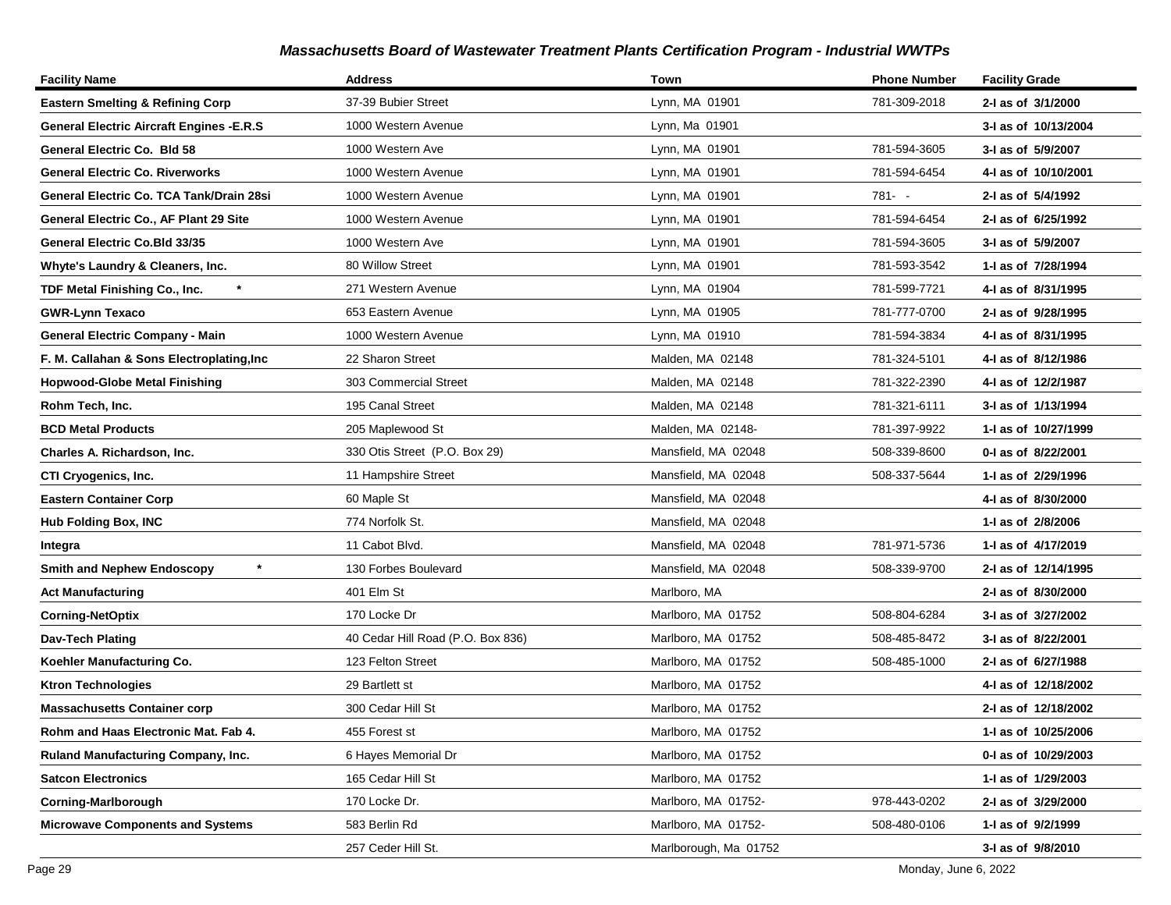| <b>Facility Name</b>                            | <b>Address</b>                    | Town                  | <b>Phone Number</b> | <b>Facility Grade</b> |
|-------------------------------------------------|-----------------------------------|-----------------------|---------------------|-----------------------|
| <b>Eastern Smelting &amp; Refining Corp</b>     | 37-39 Bubier Street               | Lynn, MA 01901        | 781-309-2018        | 2-I as of 3/1/2000    |
| <b>General Electric Aircraft Engines -E.R.S</b> | 1000 Western Avenue               | Lynn, Ma 01901        |                     | 3-I as of 10/13/2004  |
| General Electric Co. Bld 58                     | 1000 Western Ave                  | Lynn, MA 01901        | 781-594-3605        | 3-I as of 5/9/2007    |
| <b>General Electric Co. Riverworks</b>          | 1000 Western Avenue               | Lynn, MA 01901        | 781-594-6454        | 4-I as of 10/10/2001  |
| General Electric Co. TCA Tank/Drain 28si        | 1000 Western Avenue               | Lynn, MA 01901        | 781- -              | 2-I as of 5/4/1992    |
| General Electric Co., AF Plant 29 Site          | 1000 Western Avenue               | Lynn, MA 01901        | 781-594-6454        | 2-I as of 6/25/1992   |
| General Electric Co.Bld 33/35                   | 1000 Western Ave                  | Lynn, MA 01901        | 781-594-3605        | 3-I as of 5/9/2007    |
| Whyte's Laundry & Cleaners, Inc.                | 80 Willow Street                  | Lynn, MA 01901        | 781-593-3542        | 1-I as of 7/28/1994   |
| $\star$<br>TDF Metal Finishing Co., Inc.        | 271 Western Avenue                | Lynn, MA 01904        | 781-599-7721        | 4-I as of 8/31/1995   |
| <b>GWR-Lynn Texaco</b>                          | 653 Eastern Avenue                | Lynn, MA 01905        | 781-777-0700        | 2-I as of 9/28/1995   |
| <b>General Electric Company - Main</b>          | 1000 Western Avenue               | Lynn, MA 01910        | 781-594-3834        | 4-I as of 8/31/1995   |
| F. M. Callahan & Sons Electroplating, Inc       | 22 Sharon Street                  | Malden, MA 02148      | 781-324-5101        | 4-I as of 8/12/1986   |
| <b>Hopwood-Globe Metal Finishing</b>            | 303 Commercial Street             | Malden, MA 02148      | 781-322-2390        | 4-I as of 12/2/1987   |
| Rohm Tech, Inc.                                 | 195 Canal Street                  | Malden, MA 02148      | 781-321-6111        | 3-I as of 1/13/1994   |
| <b>BCD Metal Products</b>                       | 205 Maplewood St                  | Malden, MA 02148-     | 781-397-9922        | 1-J as of 10/27/1999  |
| Charles A. Richardson, Inc.                     | 330 Otis Street (P.O. Box 29)     | Mansfield, MA 02048   | 508-339-8600        | 0-I as of 8/22/2001   |
| CTI Cryogenics, Inc.                            | 11 Hampshire Street               | Mansfield, MA 02048   | 508-337-5644        | 1- as of 2/29/1996    |
| <b>Eastern Container Corp</b>                   | 60 Maple St                       | Mansfield, MA 02048   |                     | 4-I as of 8/30/2000   |
| <b>Hub Folding Box, INC</b>                     | 774 Norfolk St.                   | Mansfield, MA 02048   |                     | 1-I as of 2/8/2006    |
| Integra                                         | 11 Cabot Blvd.                    | Mansfield, MA 02048   | 781-971-5736        | 1-I as of 4/17/2019   |
| <b>Smith and Nephew Endoscopy</b>               | 130 Forbes Boulevard              | Mansfield, MA 02048   | 508-339-9700        | 2-I as of 12/14/1995  |
| <b>Act Manufacturing</b>                        | 401 Elm St                        | Marlboro, MA          |                     | 2-I as of 8/30/2000   |
| <b>Corning-NetOptix</b>                         | 170 Locke Dr                      | Marlboro, MA 01752    | 508-804-6284        | 3-I as of 3/27/2002   |
| Dav-Tech Plating                                | 40 Cedar Hill Road (P.O. Box 836) | Marlboro, MA 01752    | 508-485-8472        | 3-I as of 8/22/2001   |
| Koehler Manufacturing Co.                       | 123 Felton Street                 | Marlboro, MA 01752    | 508-485-1000        | 2-I as of 6/27/1988   |
| <b>Ktron Technologies</b>                       | 29 Bartlett st                    | Marlboro, MA 01752    |                     | 4-I as of 12/18/2002  |
| <b>Massachusetts Container corp</b>             | 300 Cedar Hill St                 | Marlboro, MA 01752    |                     | 2-I as of 12/18/2002  |
| Rohm and Haas Electronic Mat. Fab 4.            | 455 Forest st                     | Marlboro, MA 01752    |                     | 1-I as of 10/25/2006  |
| <b>Ruland Manufacturing Company, Inc.</b>       | 6 Hayes Memorial Dr               | Marlboro, MA 01752    |                     | 0-1 as of 10/29/2003  |
| <b>Satcon Electronics</b>                       | 165 Cedar Hill St                 | Marlboro, MA 01752    |                     | 1- as of 1/29/2003    |
| <b>Corning-Marlborough</b>                      | 170 Locke Dr.                     | Marlboro, MA 01752-   | 978-443-0202        | 2-I as of 3/29/2000   |
| <b>Microwave Components and Systems</b>         | 583 Berlin Rd                     | Marlboro, MA 01752-   | 508-480-0106        | 1-I as of 9/2/1999    |
|                                                 | 257 Ceder Hill St.                | Marlborough, Ma 01752 |                     | 3-I as of 9/8/2010    |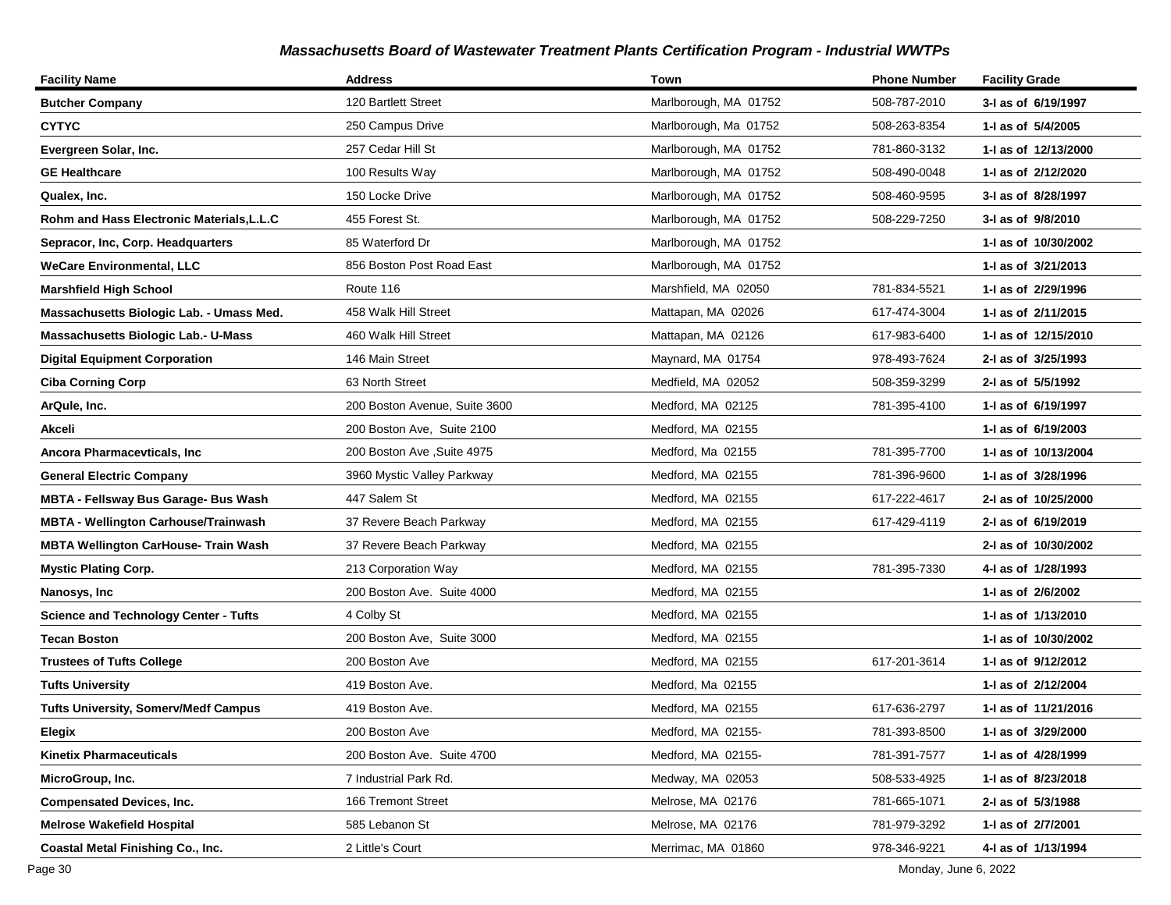| <b>Facility Name</b>                         | <b>Address</b>                | Town                  | <b>Phone Number</b> | <b>Facility Grade</b> |
|----------------------------------------------|-------------------------------|-----------------------|---------------------|-----------------------|
| <b>Butcher Company</b>                       | 120 Bartlett Street           | Marlborough, MA 01752 | 508-787-2010        | 3-I as of 6/19/1997   |
| <b>CYTYC</b>                                 | 250 Campus Drive              | Marlborough, Ma 01752 | 508-263-8354        | 1-I as of 5/4/2005    |
| Evergreen Solar, Inc.                        | 257 Cedar Hill St             | Marlborough, MA 01752 | 781-860-3132        | 1- as of 12/13/2000   |
| <b>GE Healthcare</b>                         | 100 Results Way               | Marlborough, MA 01752 | 508-490-0048        | 1-I as of 2/12/2020   |
| Qualex, Inc.                                 | 150 Locke Drive               | Marlborough, MA 01752 | 508-460-9595        | 3-I as of 8/28/1997   |
| Rohm and Hass Electronic Materials,L.L.C     | 455 Forest St.                | Marlborough, MA 01752 | 508-229-7250        | 3-I as of 9/8/2010    |
| Sepracor, Inc. Corp. Headquarters            | 85 Waterford Dr               | Marlborough, MA 01752 |                     | 1- as of 10/30/2002   |
| <b>WeCare Environmental, LLC</b>             | 856 Boston Post Road East     | Marlborough, MA 01752 |                     | 1-I as of 3/21/2013   |
| <b>Marshfield High School</b>                | Route 116                     | Marshfield, MA 02050  | 781-834-5521        | 1-I as of 2/29/1996   |
| Massachusetts Biologic Lab. - Umass Med.     | 458 Walk Hill Street          | Mattapan, MA 02026    | 617-474-3004        | 1- as of 2/11/2015    |
| <b>Massachusetts Biologic Lab.- U-Mass</b>   | 460 Walk Hill Street          | Mattapan, MA 02126    | 617-983-6400        | 1- as of 12/15/2010   |
| <b>Digital Equipment Corporation</b>         | 146 Main Street               | Maynard, MA 01754     | 978-493-7624        | 2-I as of 3/25/1993   |
| <b>Ciba Corning Corp</b>                     | 63 North Street               | Medfield, MA 02052    | 508-359-3299        | 2-I as of 5/5/1992    |
| ArQule, Inc.                                 | 200 Boston Avenue, Suite 3600 | Medford, MA 02125     | 781-395-4100        | 1-I as of 6/19/1997   |
| Akceli                                       | 200 Boston Ave. Suite 2100    | Medford, MA 02155     |                     | 1-I as of 6/19/2003   |
| Ancora Pharmacevticals, Inc                  | 200 Boston Ave , Suite 4975   | Medford, Ma 02155     | 781-395-7700        | 1-I as of 10/13/2004  |
| <b>General Electric Company</b>              | 3960 Mystic Valley Parkway    | Medford, MA 02155     | 781-396-9600        | 1-I as of 3/28/1996   |
| <b>MBTA - Fellsway Bus Garage- Bus Wash</b>  | 447 Salem St                  | Medford, MA 02155     | 617-222-4617        | 2-I as of 10/25/2000  |
| <b>MBTA - Wellington Carhouse/Trainwash</b>  | 37 Revere Beach Parkway       | Medford, MA 02155     | 617-429-4119        | 2-I as of 6/19/2019   |
| <b>MBTA Wellington CarHouse- Train Wash</b>  | 37 Revere Beach Parkway       | Medford, MA 02155     |                     | 2-I as of 10/30/2002  |
| <b>Mystic Plating Corp.</b>                  | 213 Corporation Way           | Medford, MA 02155     | 781-395-7330        | 4-I as of 1/28/1993   |
| Nanosys, Inc                                 | 200 Boston Ave. Suite 4000    | Medford, MA 02155     |                     | 1-I as of 2/6/2002    |
| <b>Science and Technology Center - Tufts</b> | 4 Colby St                    | Medford, MA 02155     |                     | 1- as of 1/13/2010    |
| <b>Tecan Boston</b>                          | 200 Boston Ave, Suite 3000    | Medford, MA 02155     |                     | 1-1 as of 10/30/2002  |
| <b>Trustees of Tufts College</b>             | 200 Boston Ave                | Medford, MA 02155     | 617-201-3614        | 1-I as of 9/12/2012   |
| <b>Tufts University</b>                      | 419 Boston Ave.               | Medford, Ma 02155     |                     | 1-I as of 2/12/2004   |
| <b>Tufts University, Somerv/Medf Campus</b>  | 419 Boston Ave.               | Medford, MA 02155     | 617-636-2797        | 1- as of 11/21/2016   |
| Elegix                                       | 200 Boston Ave                | Medford, MA 02155-    | 781-393-8500        | 1-I as of 3/29/2000   |
| <b>Kinetix Pharmaceuticals</b>               | 200 Boston Ave. Suite 4700    | Medford, MA 02155-    | 781-391-7577        | 1-I as of 4/28/1999   |
| MicroGroup, Inc.                             | 7 Industrial Park Rd.         | Medway, MA 02053      | 508-533-4925        | 1- as of 8/23/2018    |
| <b>Compensated Devices, Inc.</b>             | 166 Tremont Street            | Melrose, MA 02176     | 781-665-1071        | 2-I as of 5/3/1988    |
| <b>Melrose Wakefield Hospital</b>            | 585 Lebanon St                | Melrose, MA 02176     | 781-979-3292        | 1-I as of 2/7/2001    |
| Coastal Metal Finishing Co., Inc.            | 2 Little's Court              | Merrimac, MA 01860    | 978-346-9221        | 4-I as of 1/13/1994   |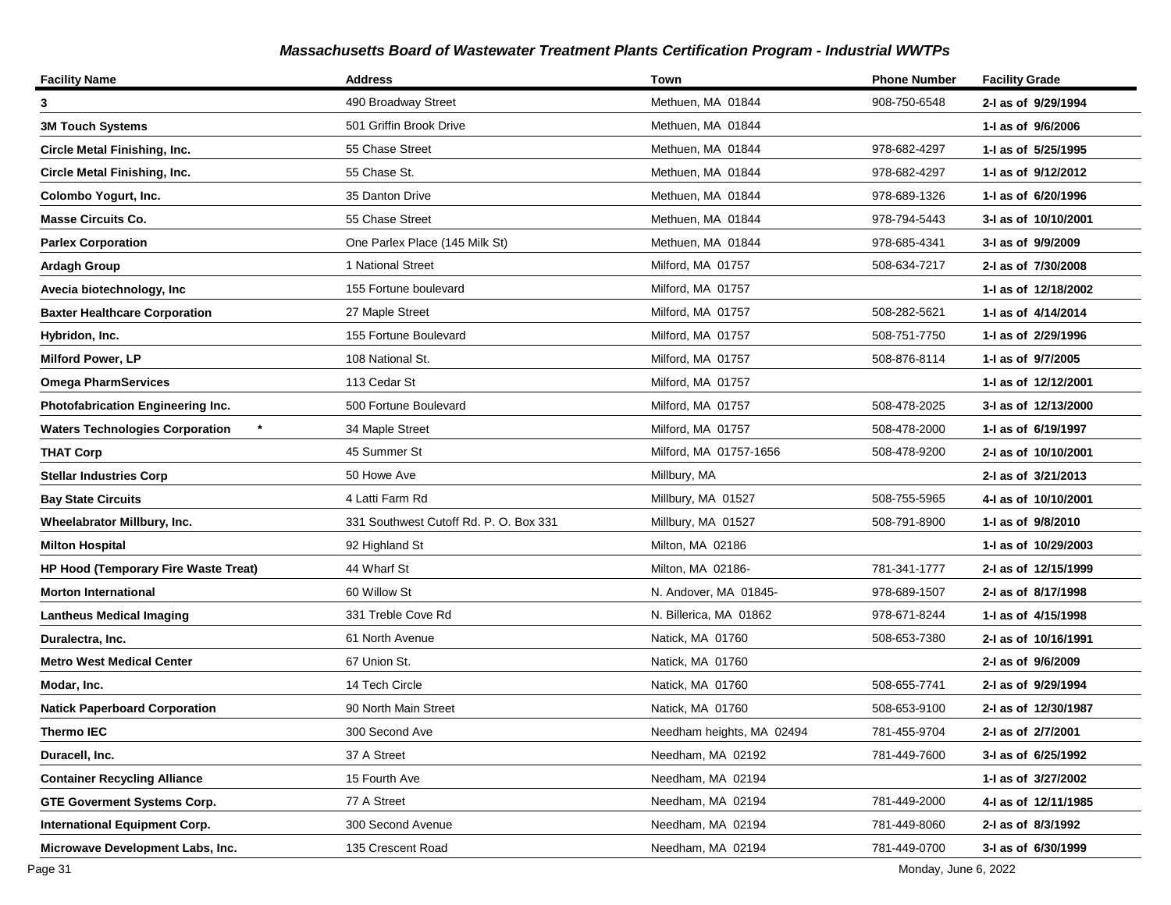| <b>Facility Name</b>                              | <b>Address</b>                         | Town                      | <b>Phone Number</b> | <b>Facility Grade</b> |
|---------------------------------------------------|----------------------------------------|---------------------------|---------------------|-----------------------|
| 3                                                 | 490 Broadway Street                    | Methuen, MA 01844         | 908-750-6548        | 2-I as of 9/29/1994   |
| <b>3M Touch Systems</b>                           | 501 Griffin Brook Drive                | Methuen, MA 01844         |                     | 1-I as of 9/6/2006    |
| Circle Metal Finishing, Inc.                      | 55 Chase Street                        | Methuen, MA 01844         | 978-682-4297        | 1-I as of 5/25/1995   |
| <b>Circle Metal Finishing, Inc.</b>               | 55 Chase St.                           | Methuen, MA 01844         | 978-682-4297        | 1-I as of 9/12/2012   |
| Colombo Yogurt, Inc.                              | 35 Danton Drive                        | Methuen, MA 01844         | 978-689-1326        | 1-I as of 6/20/1996   |
| <b>Masse Circuits Co.</b>                         | 55 Chase Street                        | Methuen, MA 01844         | 978-794-5443        | 3-I as of 10/10/2001  |
| <b>Parlex Corporation</b>                         | One Parlex Place (145 Milk St)         | Methuen, MA 01844         | 978-685-4341        | 3-I as of 9/9/2009    |
| <b>Ardagh Group</b>                               | 1 National Street                      | Milford, MA 01757         | 508-634-7217        | 2-I as of 7/30/2008   |
| Avecia biotechnology, Inc                         | 155 Fortune boulevard                  | Milford, MA 01757         |                     | 1- as of 12/18/2002   |
| <b>Baxter Healthcare Corporation</b>              | 27 Maple Street                        | Milford, MA 01757         | 508-282-5621        | 1-I as of 4/14/2014   |
| Hybridon, Inc.                                    | 155 Fortune Boulevard                  | Milford, MA 01757         | 508-751-7750        | 1-I as of 2/29/1996   |
| <b>Milford Power, LP</b>                          | 108 National St.                       | Milford, MA 01757         | 508-876-8114        | 1-I as of 9/7/2005    |
| <b>Omega PharmServices</b>                        | 113 Cedar St                           | Milford, MA 01757         |                     | 1- as of 12/12/2001   |
| Photofabrication Engineering Inc.                 | 500 Fortune Boulevard                  | Milford, MA 01757         | 508-478-2025        | 3-I as of 12/13/2000  |
| $\star$<br><b>Waters Technologies Corporation</b> | 34 Maple Street                        | Milford, MA 01757         | 508-478-2000        | 1- as of 6/19/1997    |
| <b>THAT Corp</b>                                  | 45 Summer St                           | Milford, MA 01757-1656    | 508-478-9200        | 2-I as of 10/10/2001  |
| <b>Stellar Industries Corp</b>                    | 50 Howe Ave                            | Millbury, MA              |                     | 2-I as of 3/21/2013   |
| <b>Bay State Circuits</b>                         | 4 Latti Farm Rd                        | Millbury, MA 01527        | 508-755-5965        | 4-I as of 10/10/2001  |
| Wheelabrator Millbury, Inc.                       | 331 Southwest Cutoff Rd. P. O. Box 331 | Millbury, MA 01527        | 508-791-8900        | 1-I as of 9/8/2010    |
| <b>Milton Hospital</b>                            | 92 Highland St                         | Milton, MA 02186          |                     | 1-I as of 10/29/2003  |
| <b>HP Hood (Temporary Fire Waste Treat)</b>       | 44 Wharf St                            | Milton, MA 02186-         | 781-341-1777        | 2-I as of 12/15/1999  |
| <b>Morton International</b>                       | 60 Willow St                           | N. Andover, MA 01845-     | 978-689-1507        | 2-I as of 8/17/1998   |
| <b>Lantheus Medical Imaging</b>                   | 331 Treble Cove Rd                     | N. Billerica, MA 01862    | 978-671-8244        | 1- as of 4/15/1998    |
| Duralectra, Inc.                                  | 61 North Avenue                        | Natick, MA 01760          | 508-653-7380        | 2-I as of 10/16/1991  |
| <b>Metro West Medical Center</b>                  | 67 Union St.                           | Natick, MA 01760          |                     | 2-I as of 9/6/2009    |
| Modar, Inc.                                       | 14 Tech Circle                         | Natick, MA 01760          | 508-655-7741        | 2-I as of 9/29/1994   |
| <b>Natick Paperboard Corporation</b>              | 90 North Main Street                   | Natick, MA 01760          | 508-653-9100        | 2-I as of 12/30/1987  |
| <b>Thermo IEC</b>                                 | 300 Second Ave                         | Needham heights, MA 02494 | 781-455-9704        | 2-I as of 2/7/2001    |
| Duracell, Inc.                                    | 37 A Street                            | Needham, MA 02192         | 781-449-7600        | 3-I as of 6/25/1992   |
| <b>Container Recycling Alliance</b>               | 15 Fourth Ave                          | Needham, MA 02194         |                     | 1- as of 3/27/2002    |
| <b>GTE Goverment Systems Corp.</b>                | 77 A Street                            | Needham, MA 02194         | 781-449-2000        | 4-I as of 12/11/1985  |
| <b>International Equipment Corp.</b>              | 300 Second Avenue                      | Needham, MA 02194         | 781-449-8060        | 2-I as of 8/3/1992    |
| Microwave Development Labs, Inc.                  | 135 Crescent Road                      | Needham, MA 02194         | 781-449-0700        | 3-I as of 6/30/1999   |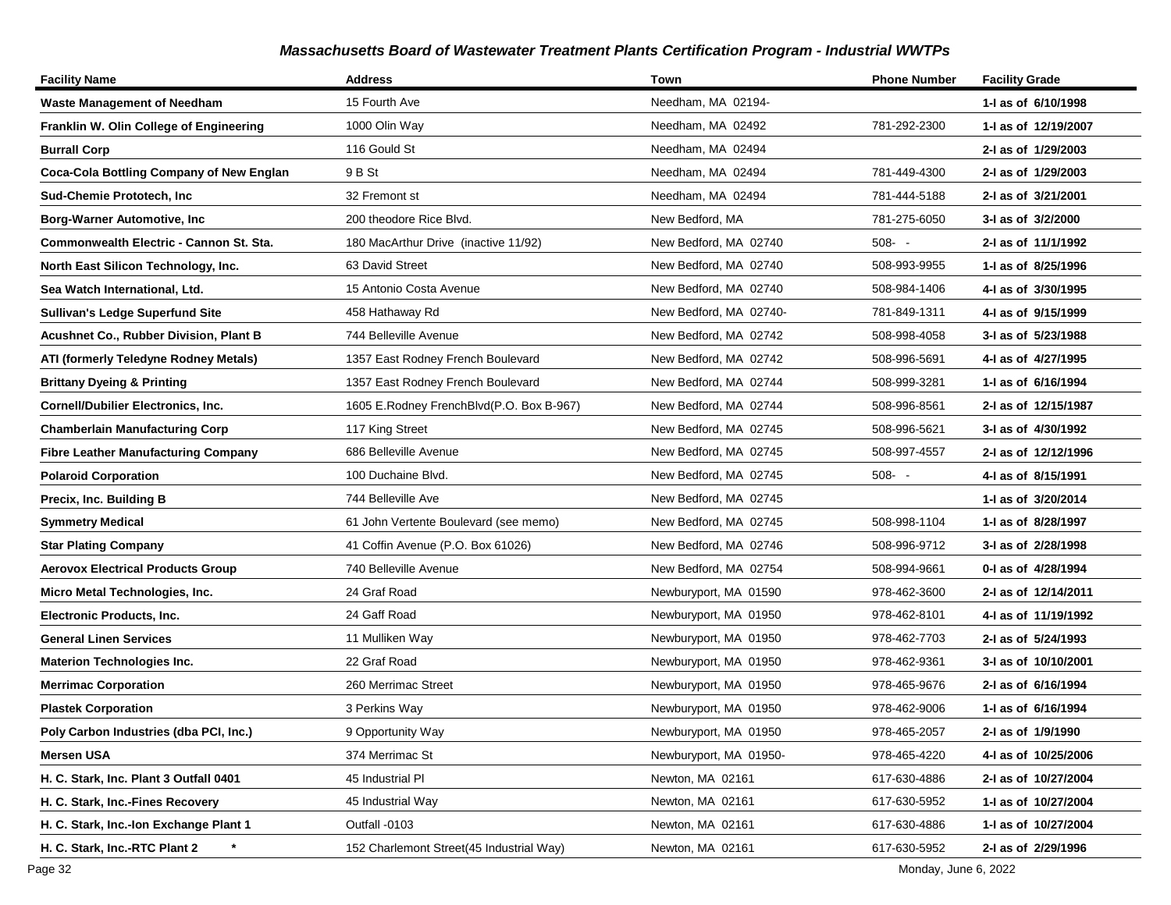| <b>Facility Name</b>                          | <b>Address</b>                           | Town                   | <b>Phone Number</b> | <b>Facility Grade</b> |
|-----------------------------------------------|------------------------------------------|------------------------|---------------------|-----------------------|
| <b>Waste Management of Needham</b>            | 15 Fourth Ave                            | Needham, MA 02194-     |                     | 1-1 as of 6/10/1998   |
| Franklin W. Olin College of Engineering       | 1000 Olin Way                            | Needham, MA 02492      | 781-292-2300        | 1-J as of 12/19/2007  |
| <b>Burrall Corp</b>                           | 116 Gould St                             | Needham, MA 02494      |                     | 2-I as of 1/29/2003   |
| Coca-Cola Bottling Company of New Englan      | 9 B St                                   | Needham, MA 02494      | 781-449-4300        | 2-I as of 1/29/2003   |
| Sud-Chemie Prototech, Inc.                    | 32 Fremont st                            | Needham, MA 02494      | 781-444-5188        | 2-I as of 3/21/2001   |
| <b>Borg-Warner Automotive, Inc</b>            | 200 theodore Rice Blvd.                  | New Bedford, MA        | 781-275-6050        | 3-I as of 3/2/2000    |
| Commonwealth Electric - Cannon St. Sta.       | 180 MacArthur Drive (inactive 11/92)     | New Bedford, MA 02740  | $508 - -$           | 2-I as of 11/1/1992   |
| North East Silicon Technology, Inc.           | 63 David Street                          | New Bedford, MA 02740  | 508-993-9955        | 1-1 as of 8/25/1996   |
| Sea Watch International, Ltd.                 | 15 Antonio Costa Avenue                  | New Bedford, MA 02740  | 508-984-1406        | 4-I as of 3/30/1995   |
| <b>Sullivan's Ledge Superfund Site</b>        | 458 Hathaway Rd                          | New Bedford, MA 02740- | 781-849-1311        | 4-1 as of 9/15/1999   |
| <b>Acushnet Co., Rubber Division, Plant B</b> | 744 Belleville Avenue                    | New Bedford, MA 02742  | 508-998-4058        | 3-I as of 5/23/1988   |
| ATI (formerly Teledyne Rodney Metals)         | 1357 East Rodney French Boulevard        | New Bedford, MA 02742  | 508-996-5691        | 4-I as of 4/27/1995   |
| <b>Brittany Dyeing &amp; Printing</b>         | 1357 East Rodney French Boulevard        | New Bedford, MA 02744  | 508-999-3281        | 1-I as of 6/16/1994   |
| Cornell/Dubilier Electronics, Inc.            | 1605 E.Rodney FrenchBlvd(P.O. Box B-967) | New Bedford, MA 02744  | 508-996-8561        | 2-I as of 12/15/1987  |
| <b>Chamberlain Manufacturing Corp</b>         | 117 King Street                          | New Bedford, MA 02745  | 508-996-5621        | 3-I as of 4/30/1992   |
| <b>Fibre Leather Manufacturing Company</b>    | 686 Belleville Avenue                    | New Bedford, MA 02745  | 508-997-4557        | 2-I as of 12/12/1996  |
| <b>Polaroid Corporation</b>                   | 100 Duchaine Blvd.                       | New Bedford, MA 02745  | $508 - -$           | 4-I as of 8/15/1991   |
| Precix, Inc. Building B                       | 744 Belleville Ave                       | New Bedford, MA 02745  |                     | 1-I as of 3/20/2014   |
| <b>Symmetry Medical</b>                       | 61 John Vertente Boulevard (see memo)    | New Bedford, MA 02745  | 508-998-1104        | 1-J as of 8/28/1997   |
| <b>Star Plating Company</b>                   | 41 Coffin Avenue (P.O. Box 61026)        | New Bedford, MA 02746  | 508-996-9712        | 3-I as of 2/28/1998   |
| <b>Aerovox Electrical Products Group</b>      | 740 Belleville Avenue                    | New Bedford, MA 02754  | 508-994-9661        | 0-1 as of 4/28/1994   |
| Micro Metal Technologies, Inc.                | 24 Graf Road                             | Newburyport, MA 01590  | 978-462-3600        | 2-1 as of 12/14/2011  |
| Electronic Products, Inc.                     | 24 Gaff Road                             | Newburyport, MA 01950  | 978-462-8101        | 4-1 as of 11/19/1992  |
| General Linen Services                        | 11 Mulliken Way                          | Newburyport, MA 01950  | 978-462-7703        | 2-I as of 5/24/1993   |
| <b>Materion Technologies Inc.</b>             | 22 Graf Road                             | Newburyport, MA 01950  | 978-462-9361        | 3-I as of 10/10/2001  |
| <b>Merrimac Corporation</b>                   | 260 Merrimac Street                      | Newburyport, MA 01950  | 978-465-9676        | 2-I as of 6/16/1994   |
| <b>Plastek Corporation</b>                    | 3 Perkins Way                            | Newburyport, MA 01950  | 978-462-9006        | 1-I as of 6/16/1994   |
| Poly Carbon Industries (dba PCI, Inc.)        | 9 Opportunity Way                        | Newburyport, MA 01950  | 978-465-2057        | 2-I as of 1/9/1990    |
| Mersen USA                                    | 374 Merrimac St                          | Newburyport, MA 01950- | 978-465-4220        | 4-I as of 10/25/2006  |
| H. C. Stark, Inc. Plant 3 Outfall 0401        | 45 Industrial PI                         | Newton, MA 02161       | 617-630-4886        | 2-I as of 10/27/2004  |
| H. C. Stark, Inc.-Fines Recovery              | 45 Industrial Way                        | Newton, MA 02161       | 617-630-5952        | 1-I as of 10/27/2004  |
| H. C. Stark, Inc.-Ion Exchange Plant 1        | Outfall -0103                            | Newton, MA 02161       | 617-630-4886        | 1-I as of 10/27/2004  |
| H. C. Stark, Inc.-RTC Plant 2                 | 152 Charlemont Street(45 Industrial Way) | Newton, MA 02161       | 617-630-5952        | 2-I as of 2/29/1996   |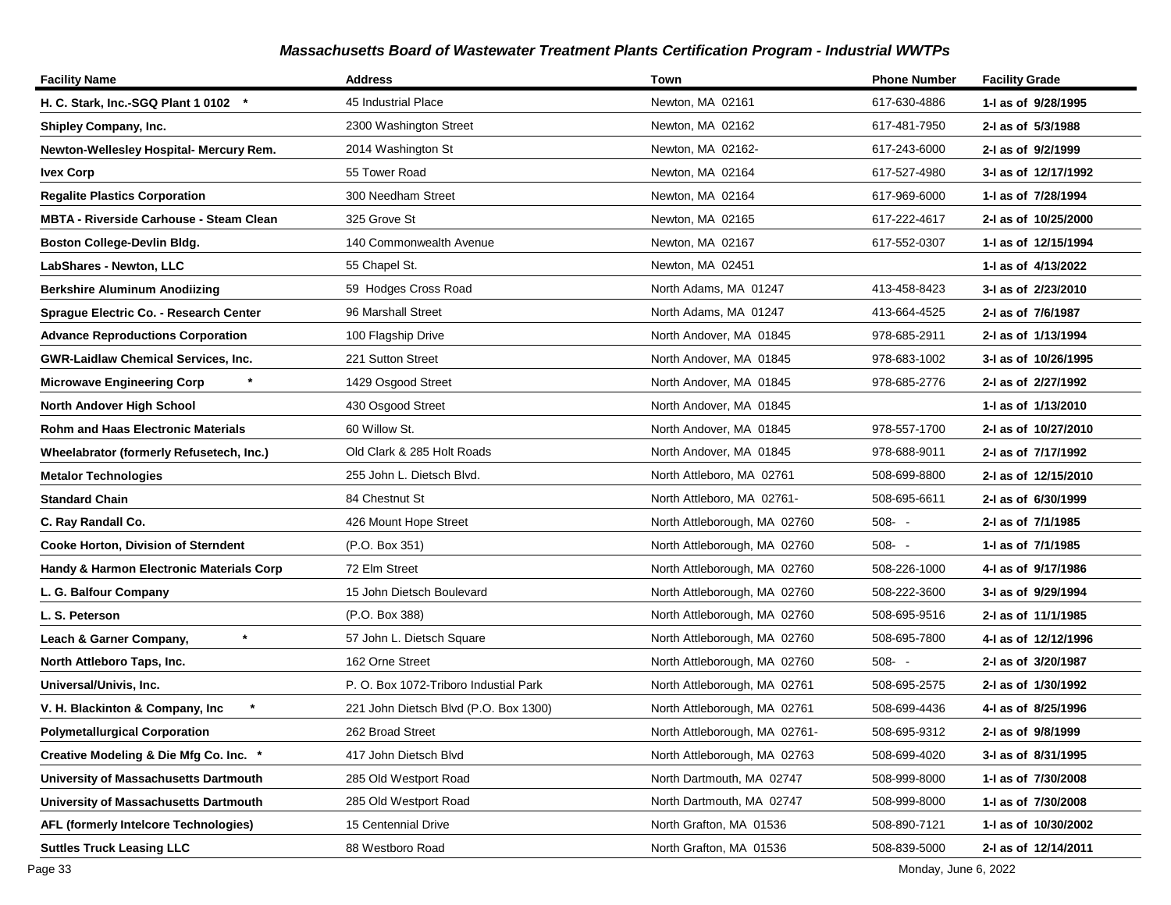| <b>Facility Name</b>                           | <b>Address</b>                        | Town                          | <b>Phone Number</b> | <b>Facility Grade</b> |
|------------------------------------------------|---------------------------------------|-------------------------------|---------------------|-----------------------|
| H. C. Stark, Inc.-SGQ Plant 1 0102 *           | 45 Industrial Place                   | Newton, MA 02161              | 617-630-4886        | 1-I as of 9/28/1995   |
| Shipley Company, Inc.                          | 2300 Washington Street                | Newton, MA 02162              | 617-481-7950        | 2-I as of 5/3/1988    |
| Newton-Wellesley Hospital- Mercury Rem.        | 2014 Washington St                    | Newton, MA 02162-             | 617-243-6000        | 2-I as of 9/2/1999    |
| <b>Ivex Corp</b>                               | 55 Tower Road                         | Newton, MA 02164              | 617-527-4980        | 3-I as of 12/17/1992  |
| <b>Regalite Plastics Corporation</b>           | 300 Needham Street                    | Newton, MA 02164              | 617-969-6000        | 1-I as of 7/28/1994   |
| <b>MBTA - Riverside Carhouse - Steam Clean</b> | 325 Grove St                          | Newton, MA 02165              | 617-222-4617        | 2-I as of 10/25/2000  |
| <b>Boston College-Devlin Bldg.</b>             | 140 Commonwealth Avenue               | Newton, MA 02167              | 617-552-0307        | 1-J as of 12/15/1994  |
| LabShares - Newton, LLC                        | 55 Chapel St.                         | Newton, MA 02451              |                     | 1-I as of 4/13/2022   |
| <b>Berkshire Aluminum Anodiizing</b>           | 59 Hodges Cross Road                  | North Adams, MA 01247         | 413-458-8423        | 3-I as of 2/23/2010   |
| Sprague Electric Co. - Research Center         | 96 Marshall Street                    | North Adams, MA 01247         | 413-664-4525        | 2-I as of 7/6/1987    |
| <b>Advance Reproductions Corporation</b>       | 100 Flagship Drive                    | North Andover, MA 01845       | 978-685-2911        | 2-I as of 1/13/1994   |
| <b>GWR-Laidlaw Chemical Services, Inc.</b>     | 221 Sutton Street                     | North Andover, MA 01845       | 978-683-1002        | 3-I as of 10/26/1995  |
| <b>Microwave Engineering Corp</b>              | 1429 Osgood Street                    | North Andover, MA 01845       | 978-685-2776        | 2-I as of 2/27/1992   |
| North Andover High School                      | 430 Osgood Street                     | North Andover, MA 01845       |                     | 1-1 as of 1/13/2010   |
| <b>Rohm and Haas Electronic Materials</b>      | 60 Willow St.                         | North Andover, MA 01845       | 978-557-1700        | 2-I as of 10/27/2010  |
| Wheelabrator (formerly Refusetech, Inc.)       | Old Clark & 285 Holt Roads            | North Andover, MA 01845       | 978-688-9011        | 2-I as of 7/17/1992   |
| <b>Metalor Technologies</b>                    | 255 John L. Dietsch Blvd.             | North Attleboro, MA 02761     | 508-699-8800        | 2-I as of 12/15/2010  |
| <b>Standard Chain</b>                          | 84 Chestnut St                        | North Attleboro, MA 02761-    | 508-695-6611        | 2-I as of 6/30/1999   |
| C. Ray Randall Co.                             | 426 Mount Hope Street                 | North Attleborough, MA 02760  | $508 - -$           | 2-I as of 7/1/1985    |
| Cooke Horton, Division of Sterndent            | (P.O. Box 351)                        | North Attleborough, MA 02760  | $508 - -$           | 1-I as of 7/1/1985    |
| Handy & Harmon Electronic Materials Corp       | 72 Elm Street                         | North Attleborough, MA 02760  | 508-226-1000        | 4-I as of 9/17/1986   |
| L. G. Balfour Company                          | 15 John Dietsch Boulevard             | North Attleborough, MA 02760  | 508-222-3600        | 3-I as of 9/29/1994   |
| L. S. Peterson                                 | (P.O. Box 388)                        | North Attleborough, MA 02760  | 508-695-9516        | 2-I as of 11/1/1985   |
| Leach & Garner Company,                        | 57 John L. Dietsch Square             | North Attleborough, MA 02760  | 508-695-7800        | 4-1 as of 12/12/1996  |
| North Attleboro Taps, Inc.                     | 162 Orne Street                       | North Attleborough, MA 02760  | $508 - -$           | 2-I as of 3/20/1987   |
| Universal/Univis, Inc.                         | P. O. Box 1072-Triboro Industial Park | North Attleborough, MA 02761  | 508-695-2575        | 2-I as of 1/30/1992   |
| V. H. Blackinton & Company, Inc.               | 221 John Dietsch Blvd (P.O. Box 1300) | North Attleborough, MA 02761  | 508-699-4436        | 4-I as of 8/25/1996   |
| <b>Polymetallurgical Corporation</b>           | 262 Broad Street                      | North Attleborough, MA 02761- | 508-695-9312        | 2-I as of 9/8/1999    |
| Creative Modeling & Die Mfg Co. Inc. *         | 417 John Dietsch Blvd                 | North Attleborough, MA 02763  | 508-699-4020        | 3-I as of 8/31/1995   |
| University of Massachusetts Dartmouth          | 285 Old Westport Road                 | North Dartmouth, MA 02747     | 508-999-8000        | 1- as of 7/30/2008    |
| University of Massachusetts Dartmouth          | 285 Old Westport Road                 | North Dartmouth, MA 02747     | 508-999-8000        | 1-I as of 7/30/2008   |
| AFL (formerly Intelcore Technologies)          | 15 Centennial Drive                   | North Grafton, MA 01536       | 508-890-7121        | 1-I as of 10/30/2002  |
| <b>Suttles Truck Leasing LLC</b>               | 88 Westboro Road                      | North Grafton, MA 01536       | 508-839-5000        | 2-I as of 12/14/2011  |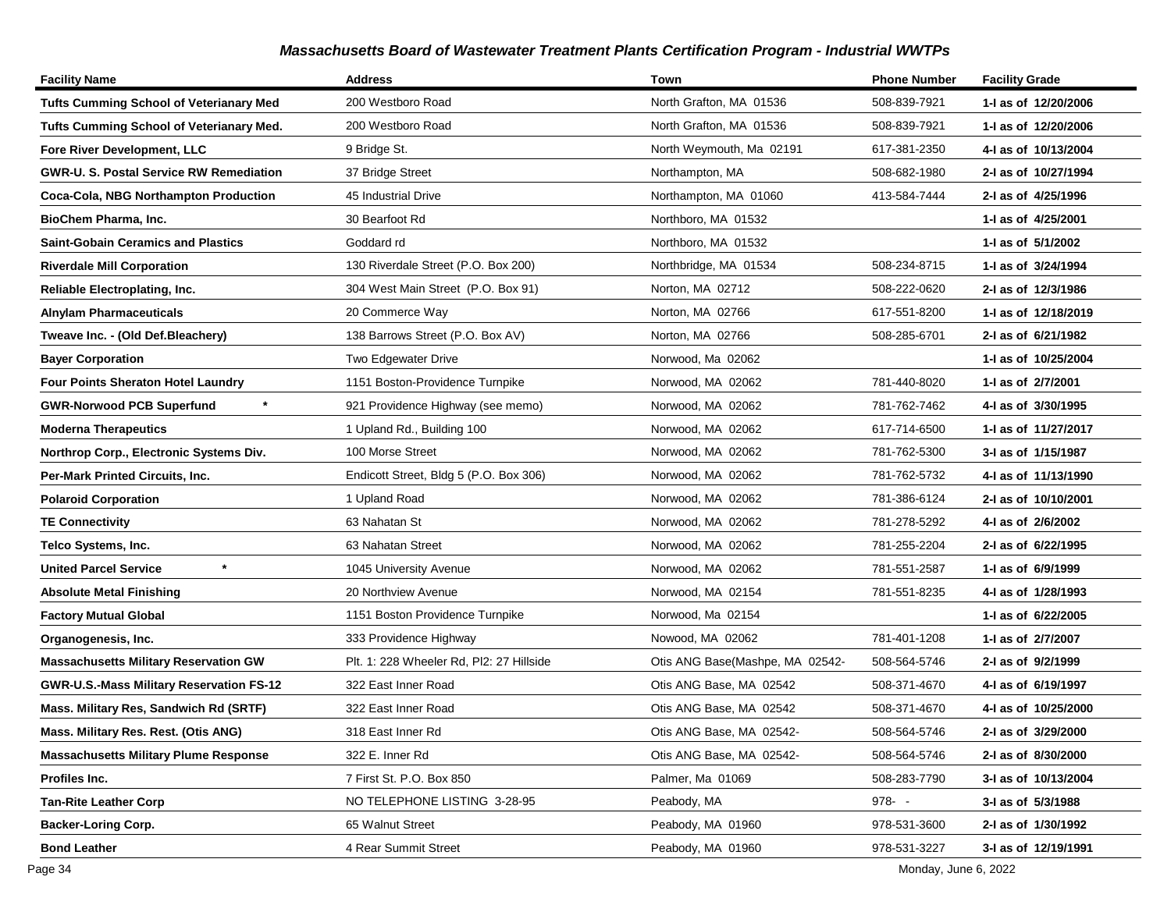| <b>Facility Name</b>                            | Address                                  | Town                            | <b>Phone Number</b> | <b>Facility Grade</b> |
|-------------------------------------------------|------------------------------------------|---------------------------------|---------------------|-----------------------|
| <b>Tufts Cumming School of Veterianary Med</b>  | 200 Westboro Road                        | North Grafton, MA 01536         | 508-839-7921        | 1-I as of 12/20/2006  |
| <b>Tufts Cumming School of Veterianary Med.</b> | 200 Westboro Road                        | North Grafton, MA 01536         | 508-839-7921        | 1-1 as of 12/20/2006  |
| Fore River Development, LLC                     | 9 Bridge St.                             | North Weymouth, Ma 02191        | 617-381-2350        | 4-I as of 10/13/2004  |
| <b>GWR-U. S. Postal Service RW Remediation</b>  | 37 Bridge Street                         | Northampton, MA                 | 508-682-1980        | 2-I as of 10/27/1994  |
| Coca-Cola, NBG Northampton Production           | 45 Industrial Drive                      | Northampton, MA 01060           | 413-584-7444        | 2-I as of 4/25/1996   |
| BioChem Pharma, Inc.                            | 30 Bearfoot Rd                           | Northboro, MA 01532             |                     | 1-I as of 4/25/2001   |
| <b>Saint-Gobain Ceramics and Plastics</b>       | Goddard rd                               | Northboro, MA 01532             |                     | 1-I as of 5/1/2002    |
| <b>Riverdale Mill Corporation</b>               | 130 Riverdale Street (P.O. Box 200)      | Northbridge, MA 01534           | 508-234-8715        | 1-I as of 3/24/1994   |
| Reliable Electroplating, Inc.                   | 304 West Main Street (P.O. Box 91)       | Norton, MA 02712                | 508-222-0620        | 2-I as of 12/3/1986   |
| <b>Alnylam Pharmaceuticals</b>                  | 20 Commerce Way                          | Norton, MA 02766                | 617-551-8200        | 1- as of 12/18/2019   |
| Tweave Inc. - (Old Def.Bleachery)               | 138 Barrows Street (P.O. Box AV)         | Norton, MA 02766                | 508-285-6701        | 2-I as of 6/21/1982   |
| <b>Bayer Corporation</b>                        | Two Edgewater Drive                      | Norwood, Ma 02062               |                     | 1-I as of 10/25/2004  |
| <b>Four Points Sheraton Hotel Laundry</b>       | 1151 Boston-Providence Turnpike          | Norwood, MA 02062               | 781-440-8020        | 1-I as of 2/7/2001    |
| <b>GWR-Norwood PCB Superfund</b>                | 921 Providence Highway (see memo)        | Norwood, MA 02062               | 781-762-7462        | 4-I as of 3/30/1995   |
| <b>Moderna Therapeutics</b>                     | 1 Upland Rd., Building 100               | Norwood, MA 02062               | 617-714-6500        | 1- as of 11/27/2017   |
| Northrop Corp., Electronic Systems Div.         | 100 Morse Street                         | Norwood, MA 02062               | 781-762-5300        | 3-I as of 1/15/1987   |
| <b>Per-Mark Printed Circuits, Inc.</b>          | Endicott Street, Bldg 5 (P.O. Box 306)   | Norwood, MA 02062               | 781-762-5732        | 4-I as of 11/13/1990  |
| <b>Polaroid Corporation</b>                     | 1 Upland Road                            | Norwood, MA 02062               | 781-386-6124        | 2-I as of 10/10/2001  |
| <b>TE Connectivity</b>                          | 63 Nahatan St                            | Norwood, MA 02062               | 781-278-5292        | 4-1 as of 2/6/2002    |
| Telco Systems, Inc.                             | 63 Nahatan Street                        | Norwood, MA 02062               | 781-255-2204        | 2-I as of 6/22/1995   |
| <b>United Parcel Service</b>                    | 1045 University Avenue                   | Norwood, MA 02062               | 781-551-2587        | 1-I as of 6/9/1999    |
| <b>Absolute Metal Finishing</b>                 | 20 Northview Avenue                      | Norwood, MA 02154               | 781-551-8235        | 4-1 as of 1/28/1993   |
| <b>Factory Mutual Global</b>                    | 1151 Boston Providence Turnpike          | Norwood, Ma 02154               |                     | 1-I as of 6/22/2005   |
| Organogenesis, Inc.                             | 333 Providence Highway                   | Nowood, MA 02062                | 781-401-1208        | 1-I as of 2/7/2007    |
| <b>Massachusetts Military Reservation GW</b>    | Plt. 1: 228 Wheeler Rd, Pl2: 27 Hillside | Otis ANG Base(Mashpe, MA 02542- | 508-564-5746        | 2-I as of 9/2/1999    |
| GWR-U.S.-Mass Military Reservation FS-12        | 322 East Inner Road                      | Otis ANG Base, MA 02542         | 508-371-4670        | 4-I as of 6/19/1997   |
| Mass. Military Res, Sandwich Rd (SRTF)          | 322 East Inner Road                      | Otis ANG Base, MA 02542         | 508-371-4670        | 4-I as of 10/25/2000  |
| Mass. Military Res. Rest. (Otis ANG)            | 318 East Inner Rd                        | Otis ANG Base, MA 02542-        | 508-564-5746        | 2-I as of 3/29/2000   |
| <b>Massachusetts Military Plume Response</b>    | 322 E. Inner Rd                          | Otis ANG Base, MA 02542-        | 508-564-5746        | 2-1 as of 8/30/2000   |
| Profiles Inc.                                   | 7 First St. P.O. Box 850                 | Palmer, Ma 01069                | 508-283-7790        | 3-I as of 10/13/2004  |
| <b>Tan-Rite Leather Corp</b>                    | NO TELEPHONE LISTING 3-28-95             | Peabody, MA                     | 978--               | 3-I as of 5/3/1988    |
| <b>Backer-Loring Corp.</b>                      | 65 Walnut Street                         | Peabody, MA 01960               | 978-531-3600        | 2-I as of 1/30/1992   |
| <b>Bond Leather</b>                             | 4 Rear Summit Street                     | Peabody, MA 01960               | 978-531-3227        | 3-I as of 12/19/1991  |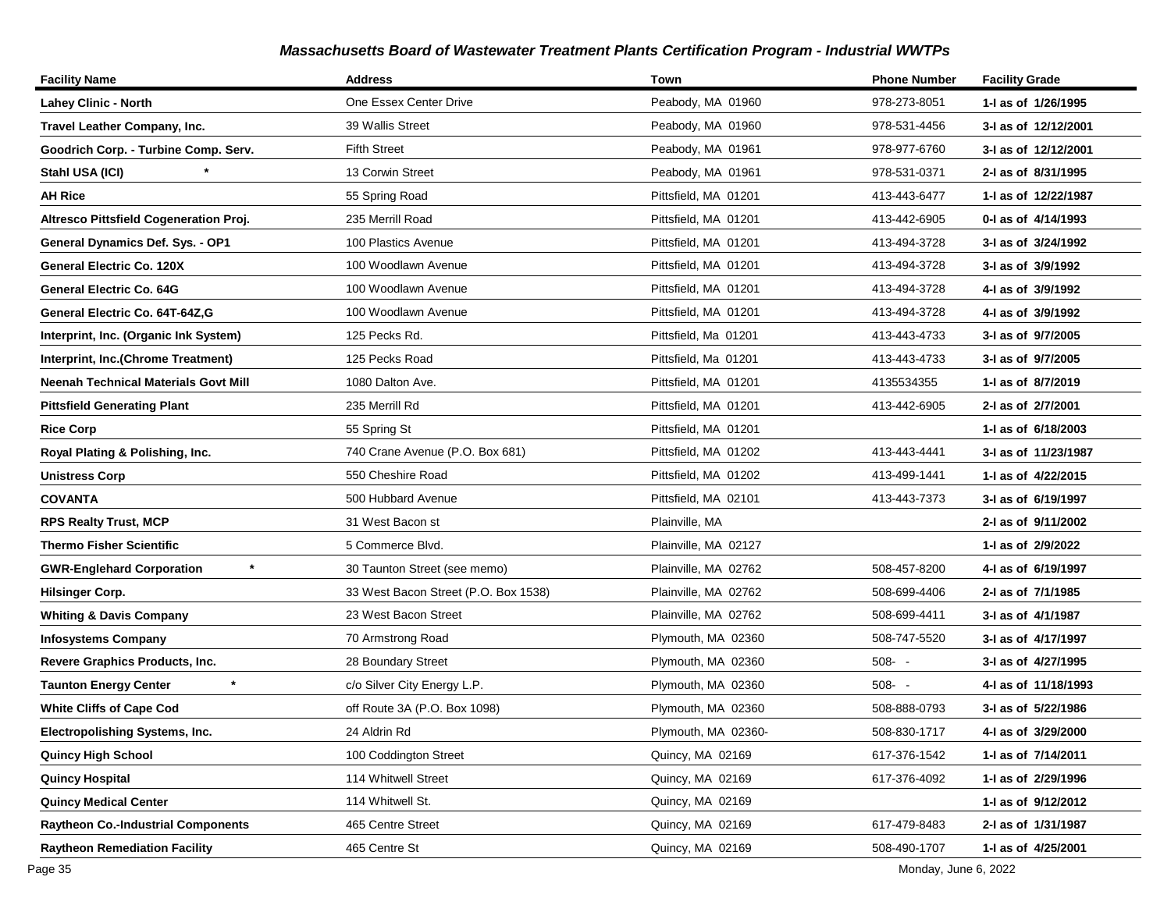| <b>Facility Name</b>                        | <b>Address</b>                       | Town                 | <b>Phone Number</b> | <b>Facility Grade</b> |
|---------------------------------------------|--------------------------------------|----------------------|---------------------|-----------------------|
| <b>Lahey Clinic - North</b>                 | One Essex Center Drive               | Peabody, MA 01960    | 978-273-8051        | 1-I as of 1/26/1995   |
| Travel Leather Company, Inc.                | 39 Wallis Street                     | Peabody, MA 01960    | 978-531-4456        | 3-I as of 12/12/2001  |
| Goodrich Corp. - Turbine Comp. Serv.        | <b>Fifth Street</b>                  | Peabody, MA 01961    | 978-977-6760        | 3-I as of 12/12/2001  |
| Stahl USA (ICI)                             | 13 Corwin Street                     | Peabody, MA 01961    | 978-531-0371        | 2-I as of 8/31/1995   |
| <b>AH Rice</b>                              | 55 Spring Road                       | Pittsfield, MA 01201 | 413-443-6477        | 1-I as of 12/22/1987  |
| Altresco Pittsfield Cogeneration Proj.      | 235 Merrill Road                     | Pittsfield, MA 01201 | 413-442-6905        | 0-I as of 4/14/1993   |
| General Dynamics Def. Sys. - OP1            | 100 Plastics Avenue                  | Pittsfield, MA 01201 | 413-494-3728        | 3-I as of 3/24/1992   |
| General Electric Co. 120X                   | 100 Woodlawn Avenue                  | Pittsfield, MA 01201 | 413-494-3728        | 3-I as of 3/9/1992    |
| <b>General Electric Co. 64G</b>             | 100 Woodlawn Avenue                  | Pittsfield, MA 01201 | 413-494-3728        | 4-I as of 3/9/1992    |
| General Electric Co. 64T-64Z,G              | 100 Woodlawn Avenue                  | Pittsfield, MA 01201 | 413-494-3728        | 4-I as of 3/9/1992    |
| Interprint, Inc. (Organic Ink System)       | 125 Pecks Rd.                        | Pittsfield, Ma 01201 | 413-443-4733        | 3-I as of 9/7/2005    |
| Interprint, Inc.(Chrome Treatment)          | 125 Pecks Road                       | Pittsfield, Ma 01201 | 413-443-4733        | 3-I as of 9/7/2005    |
| <b>Neenah Technical Materials Govt Mill</b> | 1080 Dalton Ave.                     | Pittsfield, MA 01201 | 4135534355          | 1-I as of 8/7/2019    |
| <b>Pittsfield Generating Plant</b>          | 235 Merrill Rd                       | Pittsfield, MA 01201 | 413-442-6905        | 2-I as of 2/7/2001    |
| <b>Rice Corp</b>                            | 55 Spring St                         | Pittsfield, MA 01201 |                     | 1-I as of 6/18/2003   |
| Royal Plating & Polishing, Inc.             | 740 Crane Avenue (P.O. Box 681)      | Pittsfield, MA 01202 | 413-443-4441        | 3-I as of 11/23/1987  |
| <b>Unistress Corp</b>                       | 550 Cheshire Road                    | Pittsfield, MA 01202 | 413-499-1441        | 1-1 as of 4/22/2015   |
| <b>COVANTA</b>                              | 500 Hubbard Avenue                   | Pittsfield, MA 02101 | 413-443-7373        | 3-I as of 6/19/1997   |
| <b>RPS Realty Trust, MCP</b>                | 31 West Bacon st                     | Plainville, MA       |                     | 2-I as of 9/11/2002   |
| <b>Thermo Fisher Scientific</b>             | 5 Commerce Blvd.                     | Plainville, MA 02127 |                     | 1-I as of 2/9/2022    |
| $\star$<br><b>GWR-Englehard Corporation</b> | 30 Taunton Street (see memo)         | Plainville, MA 02762 | 508-457-8200        | 4-I as of 6/19/1997   |
| <b>Hilsinger Corp.</b>                      | 33 West Bacon Street (P.O. Box 1538) | Plainville, MA 02762 | 508-699-4406        | 2-I as of 7/1/1985    |
| <b>Whiting &amp; Davis Company</b>          | 23 West Bacon Street                 | Plainville, MA 02762 | 508-699-4411        | 3-I as of 4/1/1987    |
| <b>Infosystems Company</b>                  | 70 Armstrong Road                    | Plymouth, MA 02360   | 508-747-5520        | 3-I as of 4/17/1997   |
| <b>Revere Graphics Products, Inc.</b>       | 28 Boundary Street                   | Plymouth, MA 02360   | $508 - -$           | 3-I as of 4/27/1995   |
| $\star$<br><b>Taunton Energy Center</b>     | c/o Silver City Energy L.P.          | Plymouth, MA 02360   | $508 - -$           | 4-I as of 11/18/1993  |
| <b>White Cliffs of Cape Cod</b>             | off Route 3A (P.O. Box 1098)         | Plymouth, MA 02360   | 508-888-0793        | 3-I as of 5/22/1986   |
| Electropolishing Systems, Inc.              | 24 Aldrin Rd                         | Plymouth, MA 02360-  | 508-830-1717        | 4-I as of 3/29/2000   |
| <b>Quincy High School</b>                   | 100 Coddington Street                | Quincy, MA 02169     | 617-376-1542        | 1- as of 7/14/2011    |
| <b>Quincy Hospital</b>                      | 114 Whitwell Street                  | Quincy, MA 02169     | 617-376-4092        | 1- as of 2/29/1996    |
| <b>Quincy Medical Center</b>                | 114 Whitwell St.                     | Quincy, MA 02169     |                     | 1-I as of 9/12/2012   |
| <b>Raytheon Co.-Industrial Components</b>   | 465 Centre Street                    | Quincy, MA 02169     | 617-479-8483        | 2-I as of 1/31/1987   |
| <b>Raytheon Remediation Facility</b>        | 465 Centre St                        | Quincy, MA 02169     | 508-490-1707        | 1-I as of 4/25/2001   |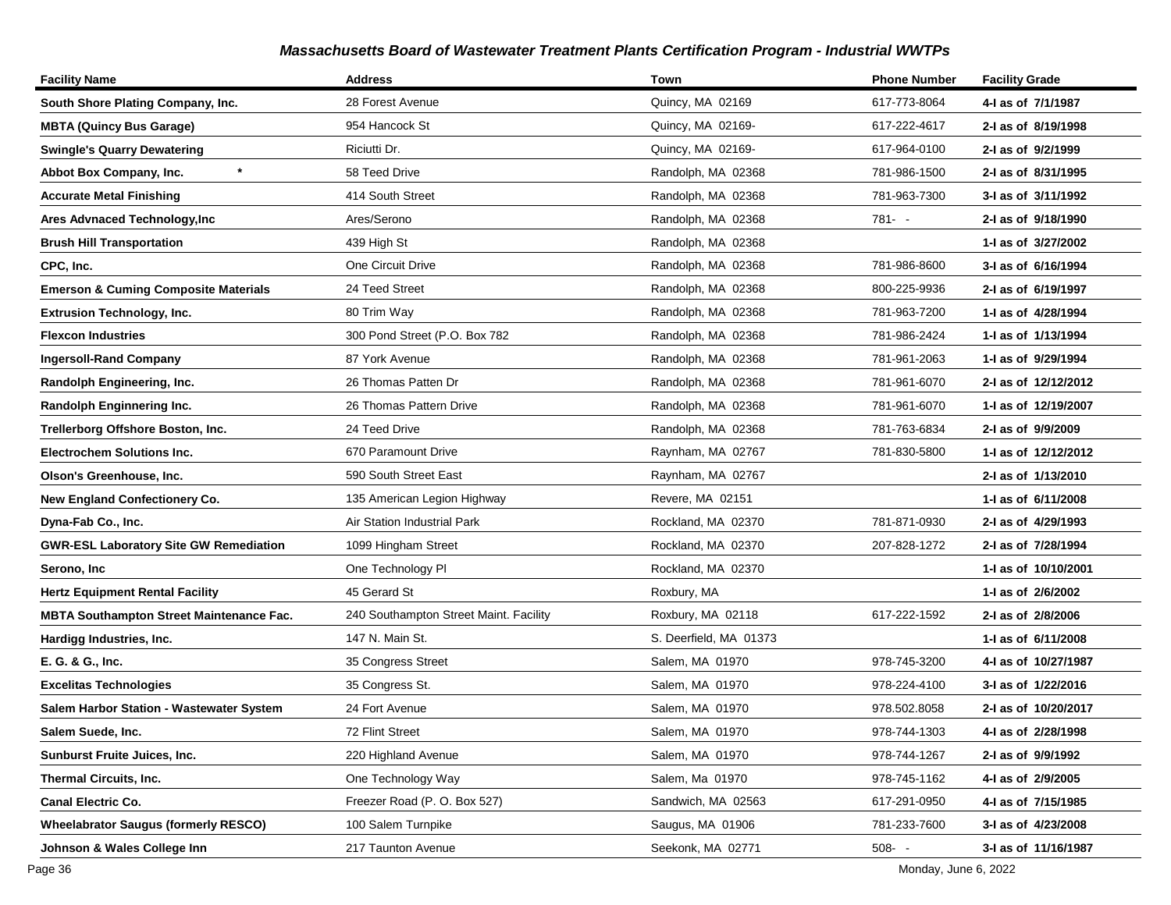| <b>Facility Name</b>                            | <b>Address</b>                         | Town                   | <b>Phone Number</b> | <b>Facility Grade</b> |
|-------------------------------------------------|----------------------------------------|------------------------|---------------------|-----------------------|
| South Shore Plating Company, Inc.               | 28 Forest Avenue                       | Quincy, MA 02169       | 617-773-8064        | 4-I as of 7/1/1987    |
| <b>MBTA (Quincy Bus Garage)</b>                 | 954 Hancock St                         | Quincy, MA 02169-      | 617-222-4617        | 2-I as of 8/19/1998   |
| <b>Swingle's Quarry Dewatering</b>              | Riciutti Dr.                           | Quincy, MA 02169-      | 617-964-0100        | 2-I as of 9/2/1999    |
| $\star$<br>Abbot Box Company, Inc.              | 58 Teed Drive                          | Randolph, MA 02368     | 781-986-1500        | 2-I as of 8/31/1995   |
| <b>Accurate Metal Finishing</b>                 | 414 South Street                       | Randolph, MA 02368     | 781-963-7300        | 3-I as of 3/11/1992   |
| Ares Advnaced Technology, Inc                   | Ares/Serono                            | Randolph, MA 02368     | 781- -              | 2-I as of 9/18/1990   |
| <b>Brush Hill Transportation</b>                | 439 High St                            | Randolph, MA 02368     |                     | 1-I as of 3/27/2002   |
| CPC, Inc.                                       | One Circuit Drive                      | Randolph, MA 02368     | 781-986-8600        | 3-I as of 6/16/1994   |
| <b>Emerson &amp; Cuming Composite Materials</b> | 24 Teed Street                         | Randolph, MA 02368     | 800-225-9936        | 2-I as of 6/19/1997   |
| <b>Extrusion Technology, Inc.</b>               | 80 Trim Way                            | Randolph, MA 02368     | 781-963-7200        | 1-I as of 4/28/1994   |
| <b>Flexcon Industries</b>                       | 300 Pond Street (P.O. Box 782          | Randolph, MA 02368     | 781-986-2424        | 1-I as of 1/13/1994   |
| <b>Ingersoll-Rand Company</b>                   | 87 York Avenue                         | Randolph, MA 02368     | 781-961-2063        | 1-I as of 9/29/1994   |
| Randolph Engineering, Inc.                      | 26 Thomas Patten Dr                    | Randolph, MA 02368     | 781-961-6070        | 2-I as of 12/12/2012  |
| Randolph Enginnering Inc.                       | 26 Thomas Pattern Drive                | Randolph, MA 02368     | 781-961-6070        | 1- as of 12/19/2007   |
| Trellerborg Offshore Boston, Inc.               | 24 Teed Drive                          | Randolph, MA 02368     | 781-763-6834        | 2-I as of 9/9/2009    |
| <b>Electrochem Solutions Inc.</b>               | 670 Paramount Drive                    | Raynham, MA 02767      | 781-830-5800        | 1-I as of 12/12/2012  |
| Olson's Greenhouse, Inc.                        | 590 South Street East                  | Raynham, MA 02767      |                     | 2-I as of 1/13/2010   |
| <b>New England Confectionery Co.</b>            | 135 American Legion Highway            | Revere, MA 02151       |                     | 1- as of 6/11/2008    |
| Dyna-Fab Co., Inc.                              | Air Station Industrial Park            | Rockland, MA 02370     | 781-871-0930        | 2-I as of 4/29/1993   |
| <b>GWR-ESL Laboratory Site GW Remediation</b>   | 1099 Hingham Street                    | Rockland, MA 02370     | 207-828-1272        | 2-I as of 7/28/1994   |
| Serono, Inc                                     | One Technology PI                      | Rockland, MA 02370     |                     | 1-I as of 10/10/2001  |
| <b>Hertz Equipment Rental Facility</b>          | 45 Gerard St                           | Roxbury, MA            |                     | 1-I as of 2/6/2002    |
| <b>MBTA Southampton Street Maintenance Fac.</b> | 240 Southampton Street Maint. Facility | Roxbury, MA 02118      | 617-222-1592        | 2-I as of 2/8/2006    |
| Hardigg Industries, Inc.                        | 147 N. Main St.                        | S. Deerfield, MA 01373 |                     | 1-1 as of 6/11/2008   |
| E. G. & G., Inc.                                | 35 Congress Street                     | Salem, MA 01970        | 978-745-3200        | 4-I as of 10/27/1987  |
| <b>Excelitas Technologies</b>                   | 35 Congress St.                        | Salem, MA 01970        | 978-224-4100        | 3-I as of 1/22/2016   |
| Salem Harbor Station - Wastewater System        | 24 Fort Avenue                         | Salem, MA 01970        | 978.502.8058        | 2-I as of 10/20/2017  |
| Salem Suede, Inc.                               | 72 Flint Street                        | Salem, MA 01970        | 978-744-1303        | 4-I as of 2/28/1998   |
| <b>Sunburst Fruite Juices, Inc.</b>             | 220 Highland Avenue                    | Salem, MA 01970        | 978-744-1267        | 2-I as of 9/9/1992    |
| <b>Thermal Circuits, Inc.</b>                   | One Technology Way                     | Salem, Ma 01970        | 978-745-1162        | 4-I as of 2/9/2005    |
| <b>Canal Electric Co.</b>                       | Freezer Road (P. O. Box 527)           | Sandwich, MA 02563     | 617-291-0950        | 4-I as of 7/15/1985   |
| <b>Wheelabrator Saugus (formerly RESCO)</b>     | 100 Salem Turnpike                     | Saugus, MA 01906       | 781-233-7600        | 3-I as of 4/23/2008   |
| Johnson & Wales College Inn                     | 217 Taunton Avenue                     | Seekonk, MA 02771      | $508 - -$           | 3-I as of 11/16/1987  |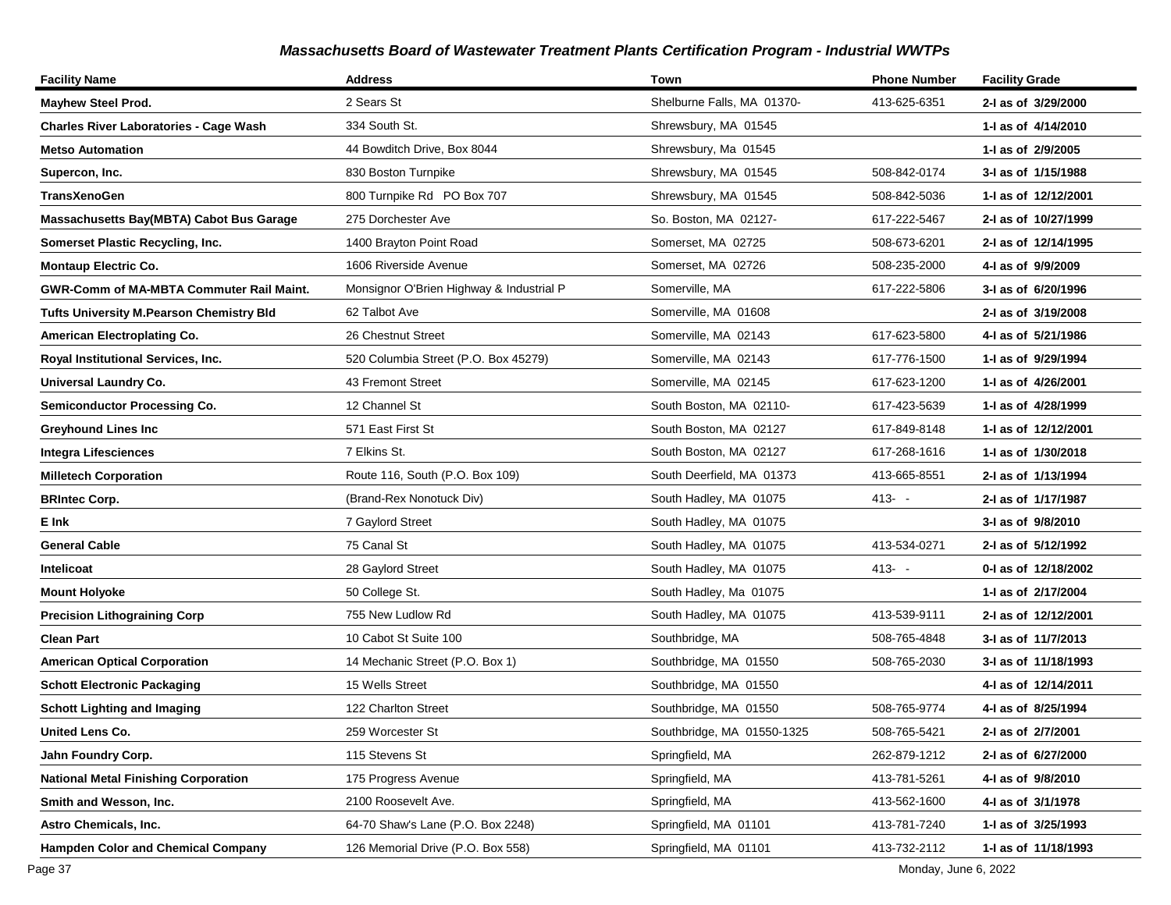| <b>Facility Name</b>                            | <b>Address</b>                           | Town                       | <b>Phone Number</b> | <b>Facility Grade</b> |
|-------------------------------------------------|------------------------------------------|----------------------------|---------------------|-----------------------|
| <b>Mayhew Steel Prod.</b>                       | 2 Sears St                               | Shelburne Falls, MA 01370- | 413-625-6351        | 2-I as of 3/29/2000   |
| <b>Charles River Laboratories - Cage Wash</b>   | 334 South St.                            | Shrewsbury, MA 01545       |                     | 1-I as of 4/14/2010   |
| <b>Metso Automation</b>                         | 44 Bowditch Drive, Box 8044              | Shrewsbury, Ma 01545       |                     | 1-I as of 2/9/2005    |
| Supercon, Inc.                                  | 830 Boston Turnpike                      | Shrewsbury, MA 01545       | 508-842-0174        | 3-I as of 1/15/1988   |
| <b>TransXenoGen</b>                             | 800 Turnpike Rd PO Box 707               | Shrewsbury, MA 01545       | 508-842-5036        | 1-I as of 12/12/2001  |
| Massachusetts Bay(MBTA) Cabot Bus Garage        | 275 Dorchester Ave                       | So. Boston, MA 02127-      | 617-222-5467        | 2-I as of 10/27/1999  |
| Somerset Plastic Recycling, Inc.                | 1400 Brayton Point Road                  | Somerset. MA 02725         | 508-673-6201        | 2-I as of 12/14/1995  |
| <b>Montaup Electric Co.</b>                     | 1606 Riverside Avenue                    | Somerset, MA 02726         | 508-235-2000        | 4-I as of 9/9/2009    |
| <b>GWR-Comm of MA-MBTA Commuter Rail Maint.</b> | Monsignor O'Brien Highway & Industrial P | Somerville, MA             | 617-222-5806        | 3-I as of 6/20/1996   |
| <b>Tufts University M.Pearson Chemistry Bld</b> | 62 Talbot Ave                            | Somerville, MA 01608       |                     | 2-I as of 3/19/2008   |
| American Electroplating Co.                     | 26 Chestnut Street                       | Somerville, MA 02143       | 617-623-5800        | 4-I as of 5/21/1986   |
| Royal Institutional Services, Inc.              | 520 Columbia Street (P.O. Box 45279)     | Somerville, MA 02143       | 617-776-1500        | 1-I as of 9/29/1994   |
| Universal Laundry Co.                           | 43 Fremont Street                        | Somerville, MA 02145       | 617-623-1200        | 1-I as of 4/26/2001   |
| <b>Semiconductor Processing Co.</b>             | 12 Channel St                            | South Boston, MA 02110-    | 617-423-5639        | 1-I as of 4/28/1999   |
| <b>Greyhound Lines Inc</b>                      | 571 East First St                        | South Boston, MA 02127     | 617-849-8148        | 1-1 as of 12/12/2001  |
| <b>Integra Lifesciences</b>                     | 7 Elkins St.                             | South Boston, MA 02127     | 617-268-1616        | 1-I as of 1/30/2018   |
| <b>Milletech Corporation</b>                    | Route 116, South (P.O. Box 109)          | South Deerfield, MA 01373  | 413-665-8551        | 2-I as of 1/13/1994   |
| <b>BRIntec Corp.</b>                            | (Brand-Rex Nonotuck Div)                 | South Hadley, MA 01075     | $413 - -$           | 2-I as of 1/17/1987   |
| E Ink                                           | 7 Gaylord Street                         | South Hadley, MA 01075     |                     | 3-I as of 9/8/2010    |
| <b>General Cable</b>                            | 75 Canal St                              | South Hadley, MA 01075     | 413-534-0271        | 2-I as of 5/12/1992   |
| Intelicoat                                      | 28 Gaylord Street                        | South Hadley, MA 01075     | $413 - -$           | 0-I as of 12/18/2002  |
| <b>Mount Holyoke</b>                            | 50 College St.                           | South Hadley, Ma 01075     |                     | 1-I as of 2/17/2004   |
| <b>Precision Lithograining Corp</b>             | 755 New Ludlow Rd                        | South Hadley, MA 01075     | 413-539-9111        | 2-I as of 12/12/2001  |
| <b>Clean Part</b>                               | 10 Cabot St Suite 100                    | Southbridge, MA            | 508-765-4848        | 3-I as of 11/7/2013   |
| <b>American Optical Corporation</b>             | 14 Mechanic Street (P.O. Box 1)          | Southbridge, MA 01550      | 508-765-2030        | 3-I as of 11/18/1993  |
| <b>Schott Electronic Packaging</b>              | 15 Wells Street                          | Southbridge, MA 01550      |                     | 4-I as of 12/14/2011  |
| <b>Schott Lighting and Imaging</b>              | 122 Charlton Street                      | Southbridge, MA 01550      | 508-765-9774        | 4-I as of 8/25/1994   |
| United Lens Co.                                 | 259 Worcester St                         | Southbridge, MA 01550-1325 | 508-765-5421        | 2-I as of 2/7/2001    |
| Jahn Foundry Corp.                              | 115 Stevens St                           | Springfield, MA            | 262-879-1212        | 2-I as of 6/27/2000   |
| <b>National Metal Finishing Corporation</b>     | 175 Progress Avenue                      | Springfield, MA            | 413-781-5261        | 4-I as of 9/8/2010    |
| Smith and Wesson, Inc.                          | 2100 Roosevelt Ave.                      | Springfield, MA            | 413-562-1600        | 4-I as of 3/1/1978    |
| Astro Chemicals, Inc.                           | 64-70 Shaw's Lane (P.O. Box 2248)        | Springfield, MA 01101      | 413-781-7240        | 1-I as of 3/25/1993   |
| <b>Hampden Color and Chemical Company</b>       | 126 Memorial Drive (P.O. Box 558)        | Springfield, MA 01101      | 413-732-2112        | 1-I as of 11/18/1993  |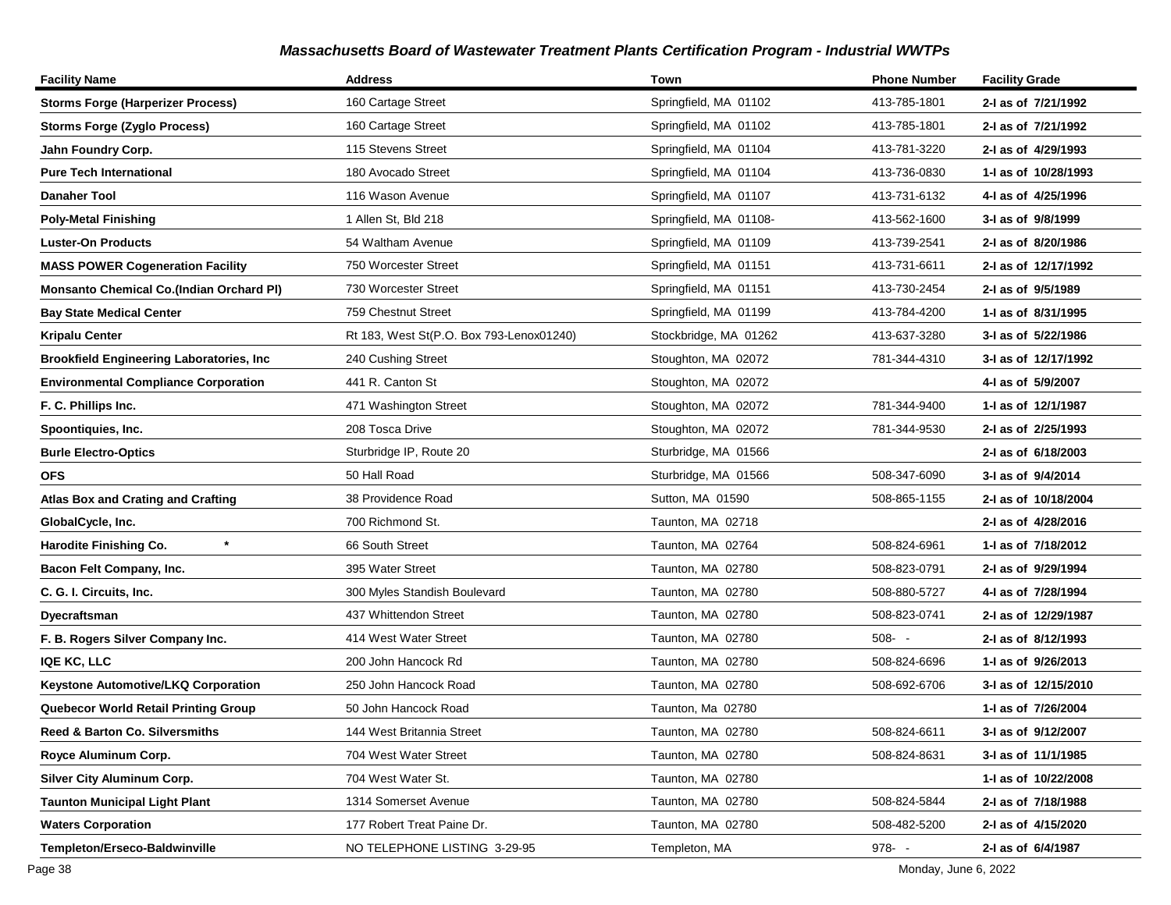| <b>Facility Name</b>                            | <b>Address</b>                           | Town                   | <b>Phone Number</b> | <b>Facility Grade</b> |
|-------------------------------------------------|------------------------------------------|------------------------|---------------------|-----------------------|
| <b>Storms Forge (Harperizer Process)</b>        | 160 Cartage Street                       | Springfield, MA 01102  | 413-785-1801        | 2-I as of 7/21/1992   |
| <b>Storms Forge (Zyglo Process)</b>             | 160 Cartage Street                       | Springfield, MA 01102  | 413-785-1801        | 2-I as of 7/21/1992   |
| Jahn Foundry Corp.                              | 115 Stevens Street                       | Springfield, MA 01104  | 413-781-3220        | 2-I as of 4/29/1993   |
| Pure Tech International                         | 180 Avocado Street                       | Springfield, MA 01104  | 413-736-0830        | 1-I as of 10/28/1993  |
| Danaher Tool                                    | 116 Wason Avenue                         | Springfield, MA 01107  | 413-731-6132        | 4-1 as of 4/25/1996   |
| <b>Poly-Metal Finishing</b>                     | 1 Allen St, Bld 218                      | Springfield, MA 01108- | 413-562-1600        | 3-I as of 9/8/1999    |
| <b>Luster-On Products</b>                       | 54 Waltham Avenue                        | Springfield, MA 01109  | 413-739-2541        | 2-I as of 8/20/1986   |
| <b>MASS POWER Cogeneration Facility</b>         | 750 Worcester Street                     | Springfield, MA 01151  | 413-731-6611        | 2-I as of 12/17/1992  |
| <b>Monsanto Chemical Co.(Indian Orchard PI)</b> | 730 Worcester Street                     | Springfield, MA 01151  | 413-730-2454        | 2-I as of 9/5/1989    |
| <b>Bay State Medical Center</b>                 | 759 Chestnut Street                      | Springfield, MA 01199  | 413-784-4200        | 1-I as of 8/31/1995   |
| <b>Kripalu Center</b>                           | Rt 183, West St(P.O. Box 793-Lenox01240) | Stockbridge, MA 01262  | 413-637-3280        | 3-I as of 5/22/1986   |
| <b>Brookfield Engineering Laboratories, Inc</b> | 240 Cushing Street                       | Stoughton, MA 02072    | 781-344-4310        | 3-I as of 12/17/1992  |
| <b>Environmental Compliance Corporation</b>     | 441 R. Canton St                         | Stoughton, MA 02072    |                     | 4-I as of 5/9/2007    |
| F. C. Phillips Inc.                             | 471 Washington Street                    | Stoughton, MA 02072    | 781-344-9400        | 1- as of 12/1/1987    |
| Spoontiquies, Inc.                              | 208 Tosca Drive                          | Stoughton, MA 02072    | 781-344-9530        | 2-I as of 2/25/1993   |
| <b>Burle Electro-Optics</b>                     | Sturbridge IP, Route 20                  | Sturbridge, MA 01566   |                     | 2-I as of 6/18/2003   |
| <b>OFS</b>                                      | 50 Hall Road                             | Sturbridge, MA 01566   | 508-347-6090        | 3-I as of 9/4/2014    |
| <b>Atlas Box and Crating and Crafting</b>       | 38 Providence Road                       | Sutton, MA 01590       | 508-865-1155        | 2-I as of 10/18/2004  |
| GlobalCycle, Inc.                               | 700 Richmond St.                         | Taunton, MA 02718      |                     | 2-I as of 4/28/2016   |
| $\star$<br>Harodite Finishing Co.               | 66 South Street                          | Taunton, MA 02764      | 508-824-6961        | 1-1 as of 7/18/2012   |
| Bacon Felt Company, Inc.                        | 395 Water Street                         | Taunton, MA 02780      | 508-823-0791        | 2-I as of 9/29/1994   |
| C. G. I. Circuits, Inc.                         | 300 Myles Standish Boulevard             | Taunton, MA 02780      | 508-880-5727        | 4-I as of 7/28/1994   |
| Dyecraftsman                                    | 437 Whittendon Street                    | Taunton, MA 02780      | 508-823-0741        | 2-I as of 12/29/1987  |
| F. B. Rogers Silver Company Inc.                | 414 West Water Street                    | Taunton, MA 02780      | $508 - -$           | 2-I as of 8/12/1993   |
| <b>IQE KC, LLC</b>                              | 200 John Hancock Rd                      | Taunton, MA 02780      | 508-824-6696        | 1-1 as of 9/26/2013   |
| Keystone Automotive/LKQ Corporation             | 250 John Hancock Road                    | Taunton, MA 02780      | 508-692-6706        | 3-I as of 12/15/2010  |
| Quebecor World Retail Printing Group            | 50 John Hancock Road                     | Taunton, Ma 02780      |                     | 1-I as of 7/26/2004   |
| Reed & Barton Co. Silversmiths                  | 144 West Britannia Street                | Taunton, MA 02780      | 508-824-6611        | 3-I as of 9/12/2007   |
| Royce Aluminum Corp.                            | 704 West Water Street                    | Taunton, MA 02780      | 508-824-8631        | 3-I as of 11/1/1985   |
| <b>Silver City Aluminum Corp.</b>               | 704 West Water St.                       | Taunton, MA 02780      |                     | 1-1 as of 10/22/2008  |
| <b>Taunton Municipal Light Plant</b>            | 1314 Somerset Avenue                     | Taunton, MA 02780      | 508-824-5844        | 2-I as of 7/18/1988   |
| <b>Waters Corporation</b>                       | 177 Robert Treat Paine Dr.               | Taunton, MA 02780      | 508-482-5200        | 2-I as of 4/15/2020   |
| Templeton/Erseco-Baldwinville                   | NO TELEPHONE LISTING 3-29-95             | Templeton, MA          | 978- -              | 2-I as of 6/4/1987    |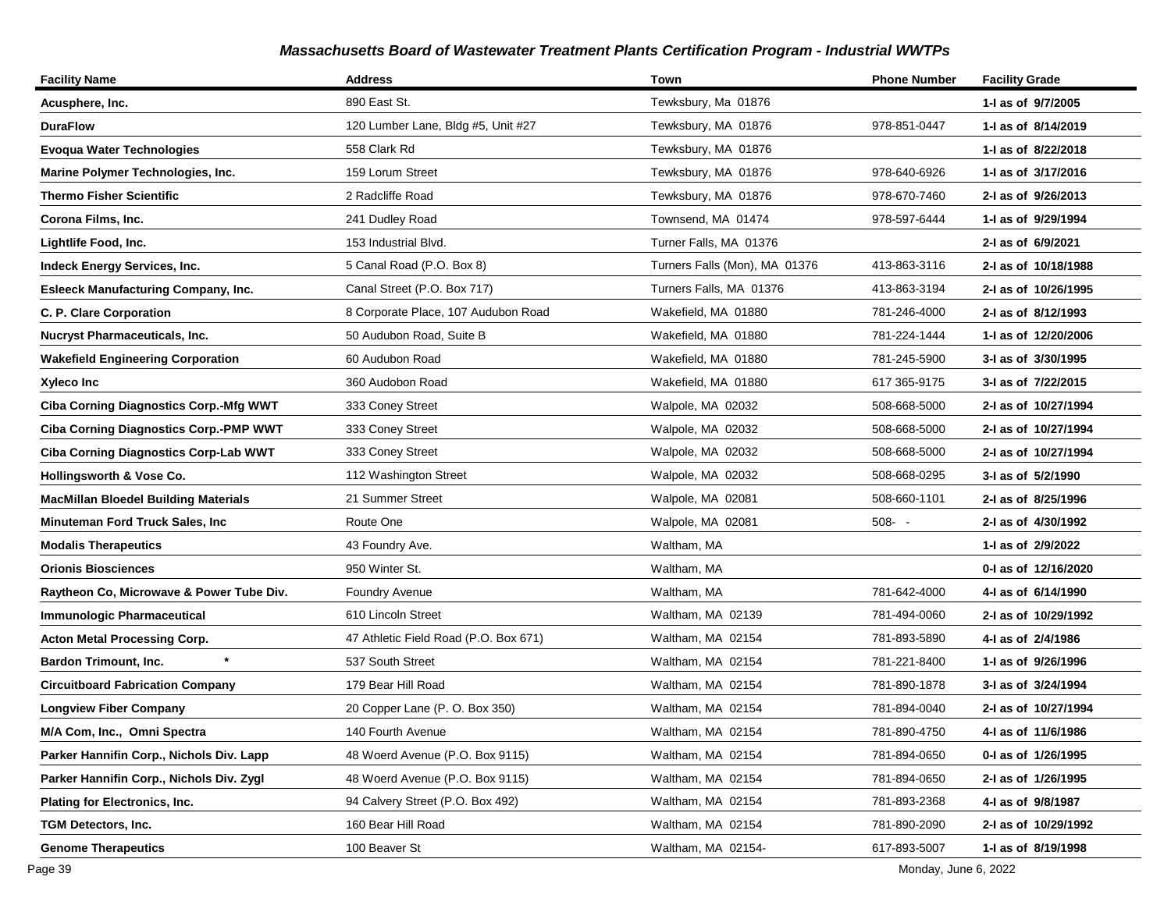| <b>Facility Name</b>                          | <b>Address</b>                        | Town                          | <b>Phone Number</b> | <b>Facility Grade</b> |
|-----------------------------------------------|---------------------------------------|-------------------------------|---------------------|-----------------------|
| Acusphere, Inc.                               | 890 East St.                          | Tewksbury, Ma 01876           |                     | 1-I as of 9/7/2005    |
| <b>DuraFlow</b>                               | 120 Lumber Lane, Bldg #5, Unit #27    | Tewksbury, MA 01876           | 978-851-0447        | 1-1 as of 8/14/2019   |
| <b>Evoqua Water Technologies</b>              | 558 Clark Rd                          | Tewksbury, MA 01876           |                     | 1-1 as of 8/22/2018   |
| Marine Polymer Technologies, Inc.             | 159 Lorum Street                      | Tewksbury, MA 01876           | 978-640-6926        | 1-1 as of 3/17/2016   |
| <b>Thermo Fisher Scientific</b>               | 2 Radcliffe Road                      | Tewksbury, MA 01876           | 978-670-7460        | 2-I as of 9/26/2013   |
| Corona Films, Inc.                            | 241 Dudley Road                       | Townsend, MA 01474            | 978-597-6444        | 1-I as of 9/29/1994   |
| Lightlife Food, Inc.                          | 153 Industrial Blvd.                  | Turner Falls, MA 01376        |                     | 2-I as of 6/9/2021    |
| Indeck Energy Services, Inc.                  | 5 Canal Road (P.O. Box 8)             | Turners Falls (Mon), MA 01376 | 413-863-3116        | 2-I as of 10/18/1988  |
| <b>Esleeck Manufacturing Company, Inc.</b>    | Canal Street (P.O. Box 717)           | Turners Falls, MA 01376       | 413-863-3194        | 2-I as of 10/26/1995  |
| C. P. Clare Corporation                       | 8 Corporate Place, 107 Audubon Road   | Wakefield, MA 01880           | 781-246-4000        | 2-I as of 8/12/1993   |
| <b>Nucryst Pharmaceuticals, Inc.</b>          | 50 Audubon Road, Suite B              | Wakefield, MA 01880           | 781-224-1444        | 1-I as of 12/20/2006  |
| <b>Wakefield Engineering Corporation</b>      | 60 Audubon Road                       | Wakefield, MA 01880           | 781-245-5900        | 3-I as of 3/30/1995   |
| Xyleco Inc                                    | 360 Audobon Road                      | Wakefield, MA 01880           | 617 365-9175        | 3-I as of 7/22/2015   |
| <b>Ciba Corning Diagnostics Corp.-Mfg WWT</b> | 333 Coney Street                      | Walpole, MA 02032             | 508-668-5000        | 2-I as of 10/27/1994  |
| Ciba Corning Diagnostics Corp.-PMP WWT        | 333 Coney Street                      | Walpole, MA 02032             | 508-668-5000        | 2-I as of 10/27/1994  |
| <b>Ciba Corning Diagnostics Corp-Lab WWT</b>  | 333 Coney Street                      | Walpole, MA 02032             | 508-668-5000        | 2-I as of 10/27/1994  |
| Hollingsworth & Vose Co.                      | 112 Washington Street                 | Walpole, MA 02032             | 508-668-0295        | 3-I as of 5/2/1990    |
| <b>MacMillan Bloedel Building Materials</b>   | 21 Summer Street                      | Walpole, MA 02081             | 508-660-1101        | 2-I as of 8/25/1996   |
| <b>Minuteman Ford Truck Sales, Inc</b>        | Route One                             | Walpole, MA 02081             | $508 - -$           | 2-I as of 4/30/1992   |
| <b>Modalis Therapeutics</b>                   | 43 Foundry Ave.                       | Waltham, MA                   |                     | 1-I as of 2/9/2022    |
| <b>Orionis Biosciences</b>                    | 950 Winter St.                        | Waltham, MA                   |                     | 0-I as of 12/16/2020  |
| Raytheon Co, Microwave & Power Tube Div.      | <b>Foundry Avenue</b>                 | Waltham, MA                   | 781-642-4000        | 4-1 as of 6/14/1990   |
| <b>Immunologic Pharmaceutical</b>             | 610 Lincoln Street                    | Waltham, MA 02139             | 781-494-0060        | 2-I as of 10/29/1992  |
| <b>Acton Metal Processing Corp.</b>           | 47 Athletic Field Road (P.O. Box 671) | Waltham, MA 02154             | 781-893-5890        | 4-I as of 2/4/1986    |
| <b>Bardon Trimount, Inc.</b>                  | 537 South Street                      | Waltham, MA 02154             | 781-221-8400        | 1-I as of 9/26/1996   |
| <b>Circuitboard Fabrication Company</b>       | 179 Bear Hill Road                    | Waltham, MA 02154             | 781-890-1878        | 3-I as of 3/24/1994   |
| <b>Longview Fiber Company</b>                 | 20 Copper Lane (P. O. Box 350)        | Waltham, MA 02154             | 781-894-0040        | 2-I as of 10/27/1994  |
| M/A Com, Inc., Omni Spectra                   | 140 Fourth Avenue                     | Waltham, MA 02154             | 781-890-4750        | 4-I as of 11/6/1986   |
| Parker Hannifin Corp., Nichols Div. Lapp      | 48 Woerd Avenue (P.O. Box 9115)       | Waltham, MA 02154             | 781-894-0650        | 0-1 as of 1/26/1995   |
| Parker Hannifin Corp., Nichols Div. Zygl      | 48 Woerd Avenue (P.O. Box 9115)       | Waltham, MA 02154             | 781-894-0650        | 2-1 as of 1/26/1995   |
| <b>Plating for Electronics, Inc.</b>          | 94 Calvery Street (P.O. Box 492)      | Waltham, MA 02154             | 781-893-2368        | 4-I as of 9/8/1987    |
| TGM Detectors, Inc.                           | 160 Bear Hill Road                    | Waltham, MA 02154             | 781-890-2090        | 2-I as of 10/29/1992  |
| <b>Genome Therapeutics</b>                    | 100 Beaver St                         | Waltham, MA 02154-            | 617-893-5007        | 1-I as of 8/19/1998   |

Page 39 Monday, June 6, 2022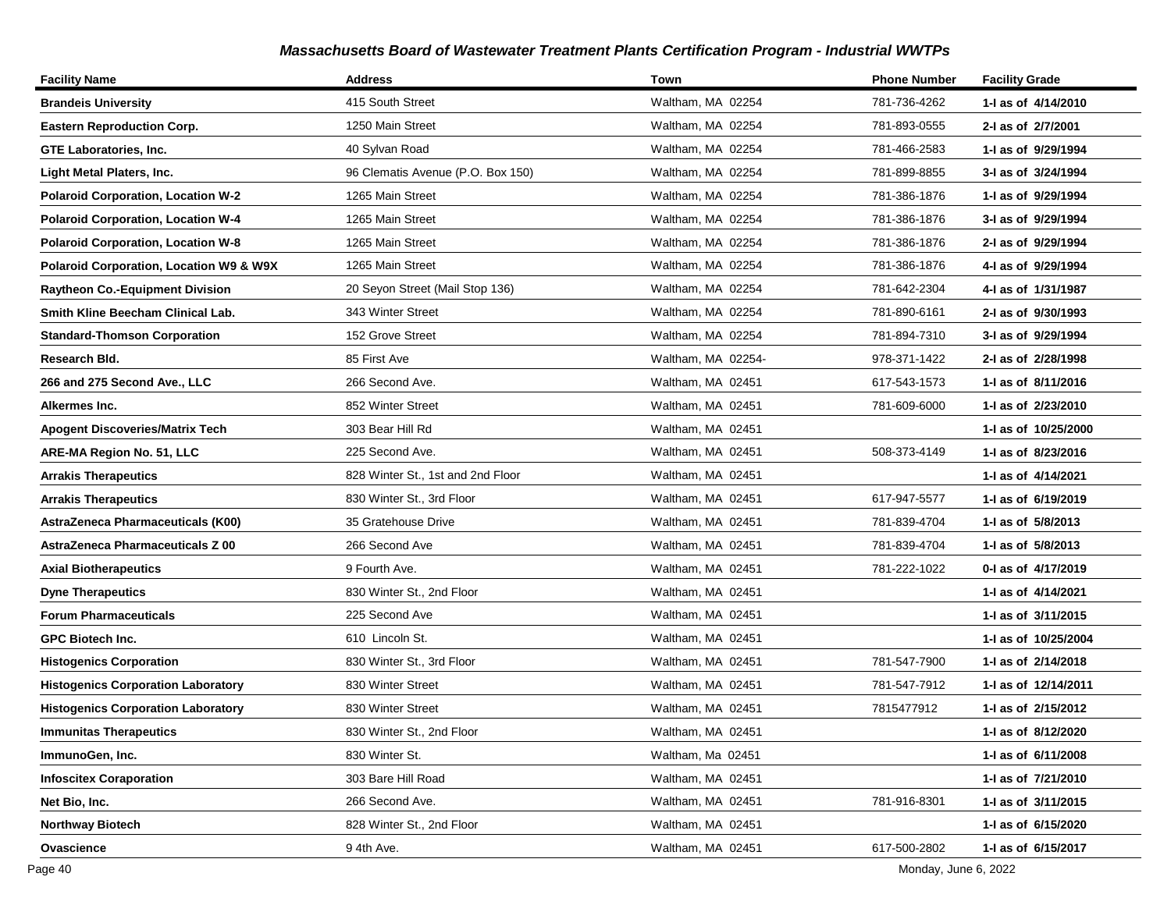| <b>Facility Name</b>                      | <b>Address</b>                    | <b>Town</b>        | <b>Phone Number</b> | <b>Facility Grade</b> |
|-------------------------------------------|-----------------------------------|--------------------|---------------------|-----------------------|
| <b>Brandeis University</b>                | 415 South Street                  | Waltham, MA 02254  | 781-736-4262        | 1- as of 4/14/2010    |
| <b>Eastern Reproduction Corp.</b>         | 1250 Main Street                  | Waltham, MA 02254  | 781-893-0555        | 2-I as of 2/7/2001    |
| <b>GTE Laboratories, Inc.</b>             | 40 Sylvan Road                    | Waltham, MA 02254  | 781-466-2583        | 1-J as of 9/29/1994   |
| Light Metal Platers, Inc.                 | 96 Clematis Avenue (P.O. Box 150) | Waltham, MA 02254  | 781-899-8855        | 3-I as of 3/24/1994   |
| <b>Polaroid Corporation, Location W-2</b> | 1265 Main Street                  | Waltham, MA 02254  | 781-386-1876        | 1-I as of 9/29/1994   |
| <b>Polaroid Corporation, Location W-4</b> | 1265 Main Street                  | Waltham, MA 02254  | 781-386-1876        | 3-I as of 9/29/1994   |
| <b>Polaroid Corporation, Location W-8</b> | 1265 Main Street                  | Waltham, MA 02254  | 781-386-1876        | 2-I as of 9/29/1994   |
| Polaroid Corporation, Location W9 & W9X   | 1265 Main Street                  | Waltham, MA 02254  | 781-386-1876        | 4-I as of 9/29/1994   |
| <b>Raytheon Co.-Equipment Division</b>    | 20 Seyon Street (Mail Stop 136)   | Waltham, MA 02254  | 781-642-2304        | 4-I as of 1/31/1987   |
| Smith Kline Beecham Clinical Lab.         | 343 Winter Street                 | Waltham, MA 02254  | 781-890-6161        | 2-I as of 9/30/1993   |
| <b>Standard-Thomson Corporation</b>       | 152 Grove Street                  | Waltham, MA 02254  | 781-894-7310        | 3-I as of 9/29/1994   |
| Research Bld.                             | 85 First Ave                      | Waltham, MA 02254- | 978-371-1422        | 2-I as of 2/28/1998   |
| 266 and 275 Second Ave., LLC              | 266 Second Ave.                   | Waltham, MA 02451  | 617-543-1573        | 1-1 as of 8/11/2016   |
| Alkermes Inc.                             | 852 Winter Street                 | Waltham, MA 02451  | 781-609-6000        | 1-I as of 2/23/2010   |
| <b>Apogent Discoveries/Matrix Tech</b>    | 303 Bear Hill Rd                  | Waltham, MA 02451  |                     | 1-1 as of 10/25/2000  |
| ARE-MA Region No. 51, LLC                 | 225 Second Ave.                   | Waltham, MA 02451  | 508-373-4149        | 1-1 as of 8/23/2016   |
| <b>Arrakis Therapeutics</b>               | 828 Winter St., 1st and 2nd Floor | Waltham, MA 02451  |                     | 1-I as of 4/14/2021   |
| <b>Arrakis Therapeutics</b>               | 830 Winter St., 3rd Floor         | Waltham, MA 02451  | 617-947-5577        | 1-J as of 6/19/2019   |
| <b>AstraZeneca Pharmaceuticals (K00)</b>  | 35 Gratehouse Drive               | Waltham, MA 02451  | 781-839-4704        | 1-I as of 5/8/2013    |
| <b>AstraZeneca Pharmaceuticals Z 00</b>   | 266 Second Ave                    | Waltham, MA 02451  | 781-839-4704        | 1-I as of 5/8/2013    |
| <b>Axial Biotherapeutics</b>              | 9 Fourth Ave.                     | Waltham, MA 02451  | 781-222-1022        | 0-1 as of 4/17/2019   |
| <b>Dyne Therapeutics</b>                  | 830 Winter St., 2nd Floor         | Waltham, MA 02451  |                     | 1-I as of 4/14/2021   |
| <b>Forum Pharmaceuticals</b>              | 225 Second Ave                    | Waltham, MA 02451  |                     | 1-I as of 3/11/2015   |
| GPC Biotech Inc.                          | 610 Lincoln St.                   | Waltham, MA 02451  |                     | 1-1 as of 10/25/2004  |
| <b>Histogenics Corporation</b>            | 830 Winter St., 3rd Floor         | Waltham, MA 02451  | 781-547-7900        | 1-1 as of 2/14/2018   |
| <b>Histogenics Corporation Laboratory</b> | 830 Winter Street                 | Waltham, MA 02451  | 781-547-7912        | 1- as of 12/14/2011   |
| <b>Histogenics Corporation Laboratory</b> | 830 Winter Street                 | Waltham, MA 02451  | 7815477912          | 1-I as of 2/15/2012   |
| <b>Immunitas Therapeutics</b>             | 830 Winter St., 2nd Floor         | Waltham, MA 02451  |                     | 1-1 as of 8/12/2020   |
| ImmunoGen, Inc.                           | 830 Winter St.                    | Waltham, Ma 02451  |                     | 1- as of 6/11/2008    |
| <b>Infoscitex Coraporation</b>            | 303 Bare Hill Road                | Waltham, MA 02451  |                     | 1-I as of 7/21/2010   |
| Net Bio, Inc.                             | 266 Second Ave.                   | Waltham, MA 02451  | 781-916-8301        | 1-I as of 3/11/2015   |
| <b>Northway Biotech</b>                   | 828 Winter St., 2nd Floor         | Waltham, MA 02451  |                     | 1-I as of 6/15/2020   |
| Ovascience                                | 9 4th Ave.                        | Waltham, MA 02451  | 617-500-2802        | 1-I as of 6/15/2017   |

Page 40 Monday, June 6, 2022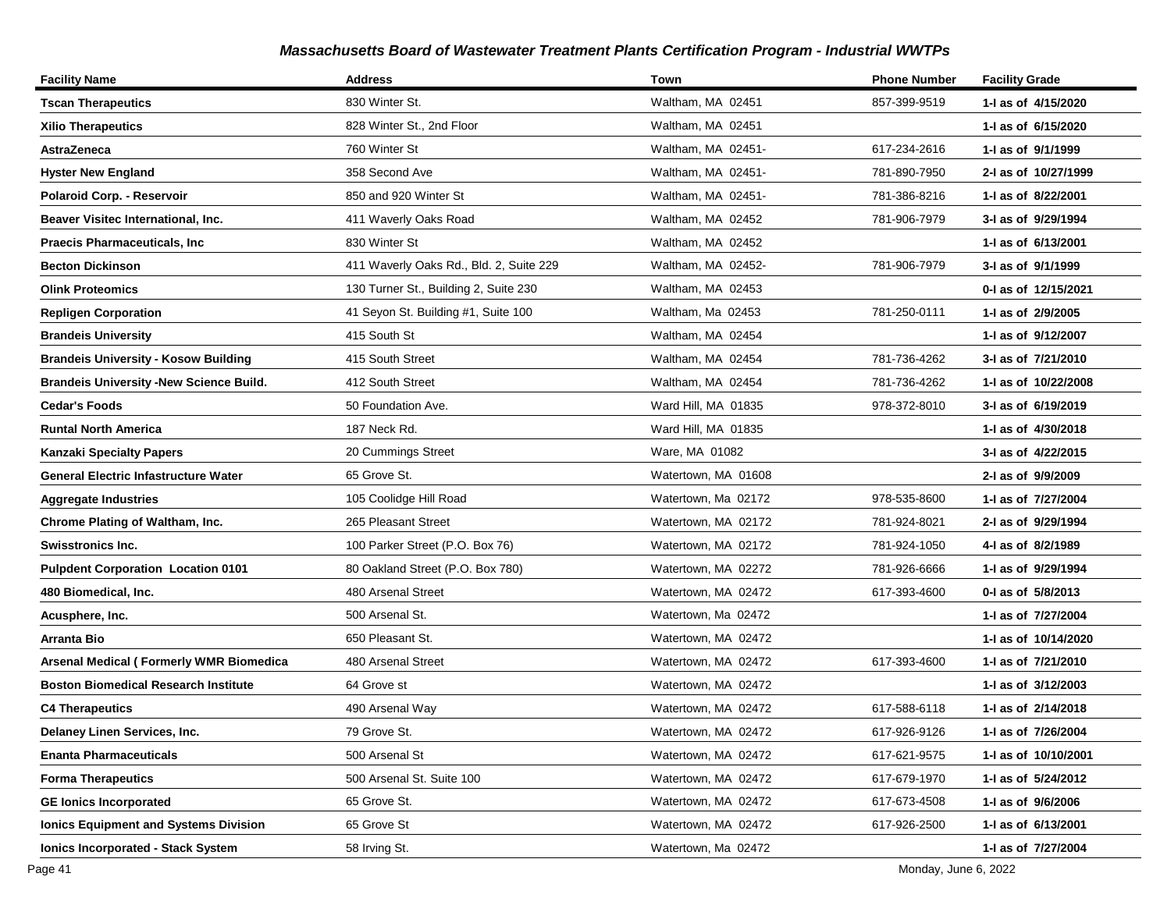| <b>Facility Name</b>                           | <b>Address</b>                          | Town                | <b>Phone Number</b> | <b>Facility Grade</b> |
|------------------------------------------------|-----------------------------------------|---------------------|---------------------|-----------------------|
| <b>Tscan Therapeutics</b>                      | 830 Winter St.                          | Waltham, MA 02451   | 857-399-9519        | 1-I as of 4/15/2020   |
| <b>Xilio Therapeutics</b>                      | 828 Winter St., 2nd Floor               | Waltham, MA 02451   |                     | 1- as of 6/15/2020    |
| <b>AstraZeneca</b>                             | 760 Winter St                           | Waltham, MA 02451-  | 617-234-2616        | 1-I as of 9/1/1999    |
| <b>Hyster New England</b>                      | 358 Second Ave                          | Waltham, MA 02451-  | 781-890-7950        | 2-I as of 10/27/1999  |
| Polaroid Corp. - Reservoir                     | 850 and 920 Winter St                   | Waltham, MA 02451-  | 781-386-8216        | 1-I as of 8/22/2001   |
| Beaver Visitec International, Inc.             | 411 Waverly Oaks Road                   | Waltham, MA 02452   | 781-906-7979        | 3-I as of 9/29/1994   |
| <b>Praecis Pharmaceuticals, Inc.</b>           | 830 Winter St                           | Waltham, MA 02452   |                     | 1-I as of 6/13/2001   |
| <b>Becton Dickinson</b>                        | 411 Waverly Oaks Rd., Bld. 2, Suite 229 | Waltham, MA 02452-  | 781-906-7979        | 3-I as of 9/1/1999    |
| <b>Olink Proteomics</b>                        | 130 Turner St., Building 2, Suite 230   | Waltham, MA 02453   |                     | 0-1 as of 12/15/2021  |
| <b>Repligen Corporation</b>                    | 41 Seyon St. Building #1, Suite 100     | Waltham, Ma 02453   | 781-250-0111        | 1-I as of 2/9/2005    |
| <b>Brandeis University</b>                     | 415 South St                            | Waltham, MA 02454   |                     | 1-I as of 9/12/2007   |
| <b>Brandeis University - Kosow Building</b>    | 415 South Street                        | Waltham, MA 02454   | 781-736-4262        | 3-I as of 7/21/2010   |
| <b>Brandeis University -New Science Build.</b> | 412 South Street                        | Waltham, MA 02454   | 781-736-4262        | 1-I as of 10/22/2008  |
| <b>Cedar's Foods</b>                           | 50 Foundation Ave.                      | Ward Hill, MA 01835 | 978-372-8010        | 3-I as of 6/19/2019   |
| <b>Runtal North America</b>                    | 187 Neck Rd.                            | Ward Hill, MA 01835 |                     | 1- as of 4/30/2018    |
| Kanzaki Specialty Papers                       | 20 Cummings Street                      | Ware, MA 01082      |                     | 3-I as of 4/22/2015   |
| <b>General Electric Infastructure Water</b>    | 65 Grove St.                            | Watertown, MA 01608 |                     | 2-I as of 9/9/2009    |
| <b>Aggregate Industries</b>                    | 105 Coolidge Hill Road                  | Watertown, Ma 02172 | 978-535-8600        | 1-I as of 7/27/2004   |
| Chrome Plating of Waltham, Inc.                | 265 Pleasant Street                     | Watertown, MA 02172 | 781-924-8021        | 2-I as of 9/29/1994   |
| <b>Swisstronics Inc.</b>                       | 100 Parker Street (P.O. Box 76)         | Watertown, MA 02172 | 781-924-1050        | 4-I as of 8/2/1989    |
| <b>Pulpdent Corporation Location 0101</b>      | 80 Oakland Street (P.O. Box 780)        | Watertown, MA 02272 | 781-926-6666        | 1-I as of 9/29/1994   |
| 480 Biomedical, Inc.                           | 480 Arsenal Street                      | Watertown, MA 02472 | 617-393-4600        | 0-I as of 5/8/2013    |
| Acusphere, Inc.                                | 500 Arsenal St.                         | Watertown, Ma 02472 |                     | 1-I as of 7/27/2004   |
| Arranta Bio                                    | 650 Pleasant St.                        | Watertown, MA 02472 |                     | 1-I as of 10/14/2020  |
| <b>Arsenal Medical (Formerly WMR Biomedica</b> | 480 Arsenal Street                      | Watertown, MA 02472 | 617-393-4600        | 1-I as of 7/21/2010   |
| <b>Boston Biomedical Research Institute</b>    | 64 Grove st                             | Watertown, MA 02472 |                     | 1-I as of 3/12/2003   |
| <b>C4 Therapeutics</b>                         | 490 Arsenal Way                         | Watertown, MA 02472 | 617-588-6118        | 1-I as of 2/14/2018   |
| Delaney Linen Services, Inc.                   | 79 Grove St.                            | Watertown, MA 02472 | 617-926-9126        | 1-I as of 7/26/2004   |
| <b>Enanta Pharmaceuticals</b>                  | 500 Arsenal St                          | Watertown, MA 02472 | 617-621-9575        | 1- as of 10/10/2001   |
| <b>Forma Therapeutics</b>                      | 500 Arsenal St. Suite 100               | Watertown, MA 02472 | 617-679-1970        | 1- as of 5/24/2012    |
| <b>GE lonics Incorporated</b>                  | 65 Grove St.                            | Watertown, MA 02472 | 617-673-4508        | 1-I as of 9/6/2006    |
| <b>Ionics Equipment and Systems Division</b>   | 65 Grove St                             | Watertown, MA 02472 | 617-926-2500        | 1-I as of 6/13/2001   |
| <b>Ionics Incorporated - Stack System</b>      | 58 Irving St.                           | Watertown, Ma 02472 |                     | 1-I as of 7/27/2004   |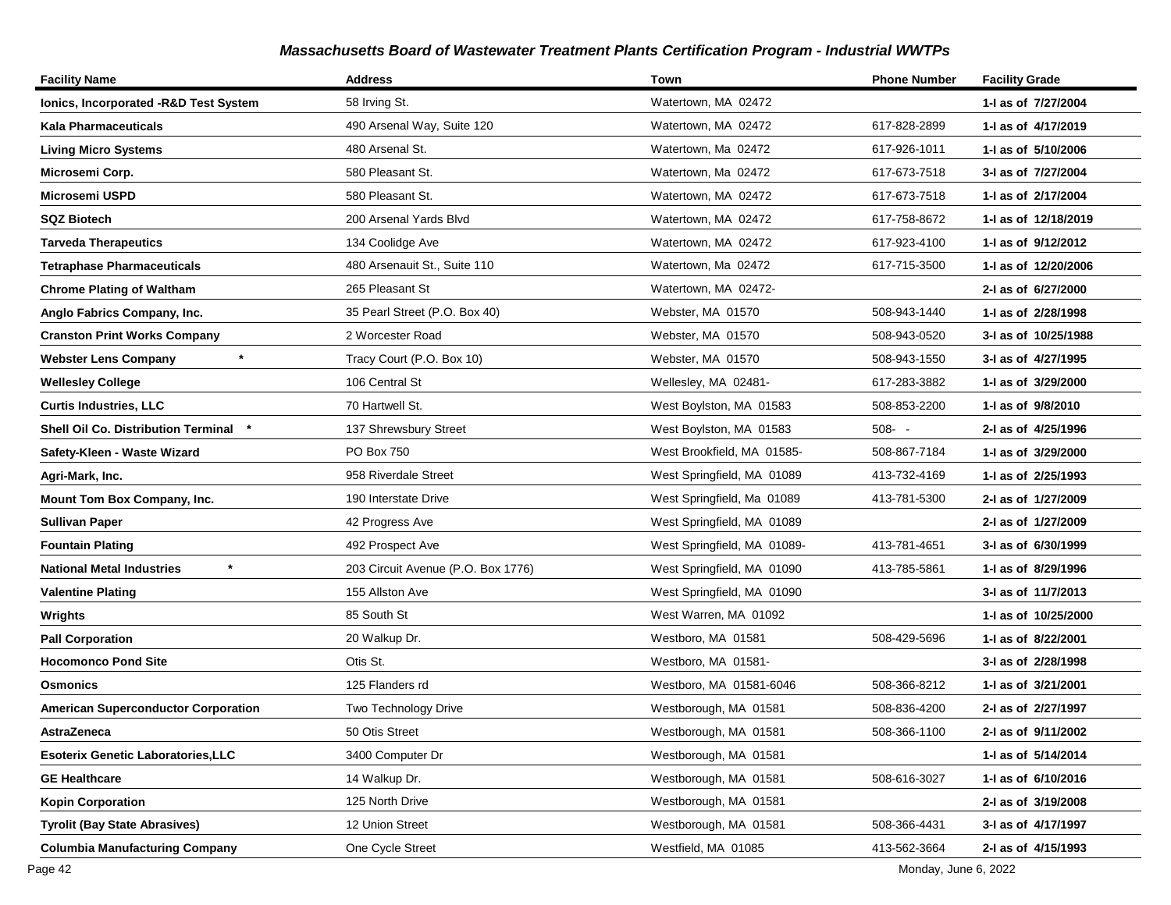| <b>Facility Name</b>                       | <b>Address</b>                     | Town                        | <b>Phone Number</b> | <b>Facility Grade</b> |
|--------------------------------------------|------------------------------------|-----------------------------|---------------------|-----------------------|
| Ionics, Incorporated -R&D Test System      | 58 Irving St.                      | Watertown, MA 02472         |                     | 1-I as of 7/27/2004   |
| Kala Pharmaceuticals                       | 490 Arsenal Way, Suite 120         | Watertown, MA 02472         | 617-828-2899        | 1-1 as of 4/17/2019   |
| <b>Living Micro Systems</b>                | 480 Arsenal St.                    | Watertown, Ma 02472         | 617-926-1011        | 1-1 as of 5/10/2006   |
| Microsemi Corp.                            | 580 Pleasant St.                   | Watertown, Ma 02472         | 617-673-7518        | 3-I as of 7/27/2004   |
| Microsemi USPD                             | 580 Pleasant St.                   | Watertown, MA 02472         | 617-673-7518        | 1-I as of 2/17/2004   |
| <b>SQZ Biotech</b>                         | 200 Arsenal Yards Blvd             | Watertown, MA 02472         | 617-758-8672        | 1- as of 12/18/2019   |
| <b>Tarveda Therapeutics</b>                | 134 Coolidge Ave                   | Watertown, MA 02472         | 617-923-4100        | 1-1 as of 9/12/2012   |
| <b>Tetraphase Pharmaceuticals</b>          | 480 Arsenauit St., Suite 110       | Watertown, Ma 02472         | 617-715-3500        | 1-1 as of 12/20/2006  |
| <b>Chrome Plating of Waltham</b>           | 265 Pleasant St                    | Watertown, MA 02472-        |                     | 2-I as of 6/27/2000   |
| Anglo Fabrics Company, Inc.                | 35 Pearl Street (P.O. Box 40)      | Webster, MA 01570           | 508-943-1440        | 1-I as of 2/28/1998   |
| <b>Cranston Print Works Company</b>        | 2 Worcester Road                   | Webster, MA 01570           | 508-943-0520        | 3-I as of 10/25/1988  |
| $\star$<br><b>Webster Lens Company</b>     | Tracy Court (P.O. Box 10)          | Webster, MA 01570           | 508-943-1550        | 3-I as of 4/27/1995   |
| <b>Wellesley College</b>                   | 106 Central St                     | Wellesley, MA 02481-        | 617-283-3882        | 1-I as of 3/29/2000   |
| <b>Curtis Industries, LLC</b>              | 70 Hartwell St.                    | West Boylston, MA 01583     | 508-853-2200        | 1-I as of 9/8/2010    |
| Shell Oil Co. Distribution Terminal *      | 137 Shrewsbury Street              | West Boylston, MA 01583     | $508 - -$           | 2-I as of 4/25/1996   |
| Safety-Kleen - Waste Wizard                | PO Box 750                         | West Brookfield, MA 01585-  | 508-867-7184        | 1-I as of 3/29/2000   |
| Agri-Mark, Inc.                            | 958 Riverdale Street               | West Springfield, MA 01089  | 413-732-4169        | 1-1 as of 2/25/1993   |
| Mount Tom Box Company, Inc.                | 190 Interstate Drive               | West Springfield, Ma 01089  | 413-781-5300        | 2-I as of 1/27/2009   |
| Sullivan Paper                             | 42 Progress Ave                    | West Springfield, MA 01089  |                     | 2-I as of 1/27/2009   |
| <b>Fountain Plating</b>                    | 492 Prospect Ave                   | West Springfield, MA 01089- | 413-781-4651        | 3-I as of 6/30/1999   |
| National Metal Industries                  | 203 Circuit Avenue (P.O. Box 1776) | West Springfield, MA 01090  | 413-785-5861        | 1-I as of 8/29/1996   |
| <b>Valentine Plating</b>                   | 155 Allston Ave                    | West Springfield, MA 01090  |                     | 3-I as of 11/7/2013   |
| Wrights                                    | 85 South St                        | West Warren, MA 01092       |                     | 1-1 as of 10/25/2000  |
| <b>Pall Corporation</b>                    | 20 Walkup Dr.                      | Westboro, MA 01581          | 508-429-5696        | 1-I as of 8/22/2001   |
| <b>Hocomonco Pond Site</b>                 | Otis St.                           | Westboro, MA 01581-         |                     | 3-I as of 2/28/1998   |
| Osmonics                                   | 125 Flanders rd                    | Westboro, MA 01581-6046     | 508-366-8212        | 1-I as of 3/21/2001   |
| <b>American Superconductor Corporation</b> | Two Technology Drive               | Westborough, MA 01581       | 508-836-4200        | 2-I as of 2/27/1997   |
| AstraZeneca                                | 50 Otis Street                     | Westborough, MA 01581       | 508-366-1100        | 2-I as of 9/11/2002   |
| Esoterix Genetic Laboratories,LLC          | 3400 Computer Dr                   | Westborough, MA 01581       |                     | 1-I as of 5/14/2014   |
| <b>GE Healthcare</b>                       | 14 Walkup Dr.                      | Westborough, MA 01581       | 508-616-3027        | 1-I as of 6/10/2016   |
| <b>Kopin Corporation</b>                   | 125 North Drive                    | Westborough, MA 01581       |                     | 2-I as of 3/19/2008   |
| <b>Tyrolit (Bay State Abrasives)</b>       | 12 Union Street                    | Westborough, MA 01581       | 508-366-4431        | 3-I as of 4/17/1997   |
| <b>Columbia Manufacturing Company</b>      | One Cycle Street                   | Westfield, MA 01085         | 413-562-3664        | 2-I as of 4/15/1993   |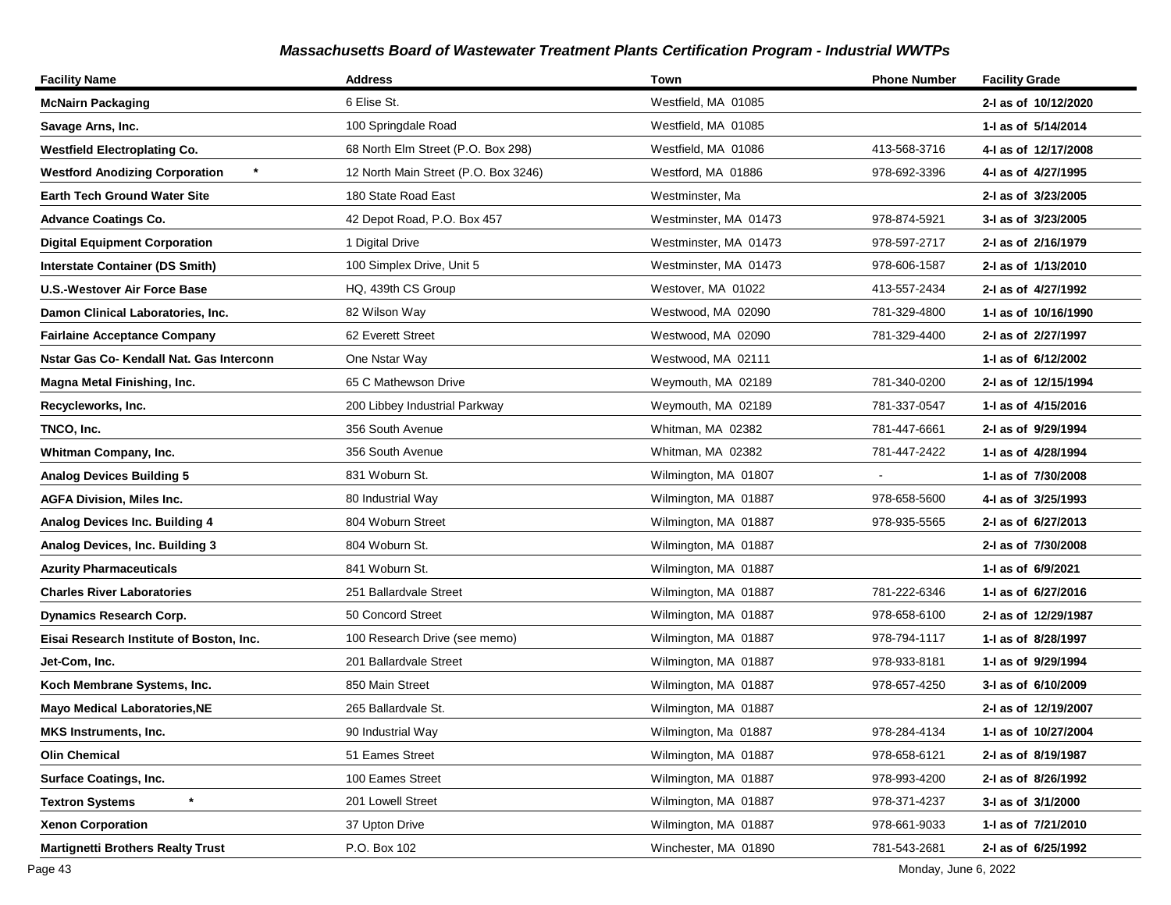| <b>Facility Name</b>                     | <b>Address</b>                       | Town                  | <b>Phone Number</b> | <b>Facility Grade</b> |
|------------------------------------------|--------------------------------------|-----------------------|---------------------|-----------------------|
| <b>McNairn Packaging</b>                 | 6 Elise St.                          | Westfield, MA 01085   |                     | 2-I as of 10/12/2020  |
| Savage Arns, Inc.                        | 100 Springdale Road                  | Westfield, MA 01085   |                     | 1-I as of 5/14/2014   |
| <b>Westfield Electroplating Co.</b>      | 68 North Elm Street (P.O. Box 298)   | Westfield, MA 01086   | 413-568-3716        | 4-I as of 12/17/2008  |
| <b>Westford Anodizing Corporation</b>    | 12 North Main Street (P.O. Box 3246) | Westford, MA 01886    | 978-692-3396        | 4-I as of 4/27/1995   |
| Earth Tech Ground Water Site             | 180 State Road East                  | Westminster, Ma       |                     | 2-I as of 3/23/2005   |
| <b>Advance Coatings Co.</b>              | 42 Depot Road, P.O. Box 457          | Westminster, MA 01473 | 978-874-5921        | 3-I as of 3/23/2005   |
| <b>Digital Equipment Corporation</b>     | 1 Digital Drive                      | Westminster, MA 01473 | 978-597-2717        | 2-I as of 2/16/1979   |
| <b>Interstate Container (DS Smith)</b>   | 100 Simplex Drive, Unit 5            | Westminster, MA 01473 | 978-606-1587        | 2-I as of 1/13/2010   |
| <b>U.S.-Westover Air Force Base</b>      | HQ, 439th CS Group                   | Westover, MA 01022    | 413-557-2434        | 2-I as of 4/27/1992   |
| Damon Clinical Laboratories, Inc.        | 82 Wilson Way                        | Westwood, MA 02090    | 781-329-4800        | 1- as of 10/16/1990   |
| <b>Fairlaine Acceptance Company</b>      | 62 Everett Street                    | Westwood, MA 02090    | 781-329-4400        | 2-I as of 2/27/1997   |
| Nstar Gas Co- Kendall Nat. Gas Interconn | One Nstar Way                        | Westwood, MA 02111    |                     | 1-I as of 6/12/2002   |
| Magna Metal Finishing, Inc.              | 65 C Mathewson Drive                 | Weymouth, MA 02189    | 781-340-0200        | 2-I as of 12/15/1994  |
| Recycleworks, Inc.                       | 200 Libbey Industrial Parkway        | Weymouth, MA 02189    | 781-337-0547        | 1-I as of 4/15/2016   |
| TNCO, Inc.                               | 356 South Avenue                     | Whitman, MA 02382     | 781-447-6661        | 2-I as of 9/29/1994   |
| Whitman Company, Inc.                    | 356 South Avenue                     | Whitman, MA 02382     | 781-447-2422        | 1-I as of 4/28/1994   |
| <b>Analog Devices Building 5</b>         | 831 Woburn St.                       | Wilmington, MA 01807  |                     | 1-1 as of 7/30/2008   |
| <b>AGFA Division, Miles Inc.</b>         | 80 Industrial Way                    | Wilmington, MA 01887  | 978-658-5600        | 4-I as of 3/25/1993   |
| <b>Analog Devices Inc. Building 4</b>    | 804 Woburn Street                    | Wilmington, MA 01887  | 978-935-5565        | 2-I as of 6/27/2013   |
| Analog Devices, Inc. Building 3          | 804 Woburn St.                       | Wilmington, MA 01887  |                     | 2-I as of 7/30/2008   |
| Azurity Pharmaceuticals                  | 841 Woburn St.                       | Wilmington, MA 01887  |                     | 1-I as of 6/9/2021    |
| <b>Charles River Laboratories</b>        | 251 Ballardvale Street               | Wilmington, MA 01887  | 781-222-6346        | 1-1 as of 6/27/2016   |
| <b>Dynamics Research Corp.</b>           | 50 Concord Street                    | Wilmington, MA 01887  | 978-658-6100        | 2-I as of 12/29/1987  |
| Eisai Research Institute of Boston, Inc. | 100 Research Drive (see memo)        | Wilmington, MA 01887  | 978-794-1117        | 1-I as of 8/28/1997   |
| Jet-Com, Inc.                            | 201 Ballardvale Street               | Wilmington, MA 01887  | 978-933-8181        | 1-I as of 9/29/1994   |
| Koch Membrane Systems, Inc.              | 850 Main Street                      | Wilmington, MA 01887  | 978-657-4250        | 3-I as of 6/10/2009   |
| <b>Mayo Medical Laboratories, NE</b>     | 265 Ballardvale St.                  | Wilmington, MA 01887  |                     | 2-I as of 12/19/2007  |
| MKS Instruments, Inc.                    | 90 Industrial Way                    | Wilmington, Ma 01887  | 978-284-4134        | 1-I as of 10/27/2004  |
| Olin Chemical                            | 51 Eames Street                      | Wilmington, MA 01887  | 978-658-6121        | 2-1 as of 8/19/1987   |
| <b>Surface Coatings, Inc.</b>            | 100 Eames Street                     | Wilmington, MA 01887  | 978-993-4200        | 2-I as of 8/26/1992   |
| $\star$<br><b>Textron Systems</b>        | 201 Lowell Street                    | Wilmington, MA 01887  | 978-371-4237        | 3-I as of 3/1/2000    |
| <b>Xenon Corporation</b>                 | 37 Upton Drive                       | Wilmington, MA 01887  | 978-661-9033        | 1-I as of 7/21/2010   |
| <b>Martignetti Brothers Realty Trust</b> | P.O. Box 102                         | Winchester, MA 01890  | 781-543-2681        | 2-I as of 6/25/1992   |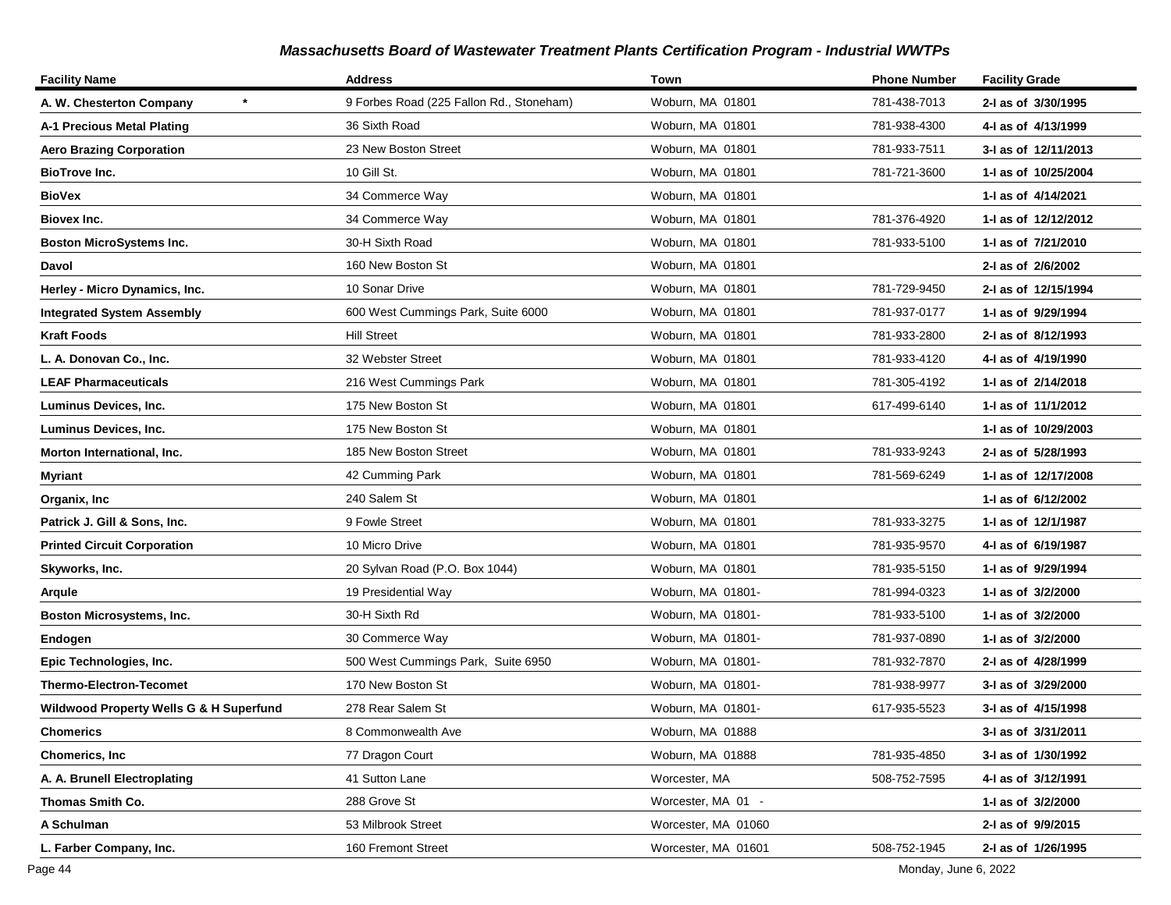| <b>Facility Name</b>                    | <b>Address</b>                           | Town                | <b>Phone Number</b> | <b>Facility Grade</b> |
|-----------------------------------------|------------------------------------------|---------------------|---------------------|-----------------------|
| A. W. Chesterton Company                | 9 Forbes Road (225 Fallon Rd., Stoneham) | Woburn, MA 01801    | 781-438-7013        | 2-I as of 3/30/1995   |
| A-1 Precious Metal Plating              | 36 Sixth Road                            | Woburn, MA 01801    | 781-938-4300        | 4-I as of 4/13/1999   |
| <b>Aero Brazing Corporation</b>         | 23 New Boston Street                     | Woburn, MA 01801    | 781-933-7511        | 3-I as of 12/11/2013  |
| <b>BioTrove Inc.</b>                    | 10 Gill St.                              | Woburn, MA 01801    | 781-721-3600        | 1-I as of 10/25/2004  |
| <b>BioVex</b>                           | 34 Commerce Way                          | Woburn, MA 01801    |                     | 1-I as of 4/14/2021   |
| Biovex Inc.                             | 34 Commerce Way                          | Woburn, MA 01801    | 781-376-4920        | 1- as of 12/12/2012   |
| <b>Boston MicroSystems Inc.</b>         | 30-H Sixth Road                          | Woburn, MA 01801    | 781-933-5100        | 1- as of 7/21/2010    |
| Davol                                   | 160 New Boston St                        | Woburn, MA 01801    |                     | 2-I as of 2/6/2002    |
| Herley - Micro Dynamics, Inc.           | 10 Sonar Drive                           | Woburn, MA 01801    | 781-729-9450        | 2-I as of 12/15/1994  |
| <b>Integrated System Assembly</b>       | 600 West Cummings Park, Suite 6000       | Woburn, MA 01801    | 781-937-0177        | 1-I as of 9/29/1994   |
| <b>Kraft Foods</b>                      | <b>Hill Street</b>                       | Woburn, MA 01801    | 781-933-2800        | 2-I as of 8/12/1993   |
| L. A. Donovan Co., Inc.                 | 32 Webster Street                        | Woburn, MA 01801    | 781-933-4120        | 4-I as of 4/19/1990   |
| <b>LEAF Pharmaceuticals</b>             | 216 West Cummings Park                   | Woburn, MA 01801    | 781-305-4192        | 1-1 as of 2/14/2018   |
| Luminus Devices, Inc.                   | 175 New Boston St                        | Woburn, MA 01801    | 617-499-6140        | 1-I as of 11/1/2012   |
| Luminus Devices, Inc.                   | 175 New Boston St                        | Woburn, MA 01801    |                     | 1-1 as of 10/29/2003  |
| Morton International, Inc.              | 185 New Boston Street                    | Woburn, MA 01801    | 781-933-9243        | 2-I as of 5/28/1993   |
| Myriant                                 | 42 Cumming Park                          | Woburn, MA 01801    | 781-569-6249        | 1-I as of 12/17/2008  |
| Organix, Inc                            | 240 Salem St                             | Woburn, MA 01801    |                     | 1-1 as of 6/12/2002   |
| Patrick J. Gill & Sons, Inc.            | 9 Fowle Street                           | Woburn, MA 01801    | 781-933-3275        | 1-I as of 12/1/1987   |
| <b>Printed Circuit Corporation</b>      | 10 Micro Drive                           | Woburn, MA 01801    | 781-935-9570        | 4-I as of 6/19/1987   |
| Skyworks, Inc.                          | 20 Sylvan Road (P.O. Box 1044)           | Woburn, MA 01801    | 781-935-5150        | 1-I as of 9/29/1994   |
| Arqule                                  | 19 Presidential Way                      | Woburn, MA 01801-   | 781-994-0323        | 1-I as of 3/2/2000    |
| Boston Microsystems, Inc.               | 30-H Sixth Rd                            | Woburn, MA 01801-   | 781-933-5100        | 1-I as of 3/2/2000    |
| Endogen                                 | 30 Commerce Way                          | Woburn, MA 01801-   | 781-937-0890        | 1-I as of 3/2/2000    |
| Epic Technologies, Inc.                 | 500 West Cummings Park, Suite 6950       | Woburn, MA 01801-   | 781-932-7870        | 2-I as of 4/28/1999   |
| <b>Thermo-Electron-Tecomet</b>          | 170 New Boston St                        | Woburn, MA 01801-   | 781-938-9977        | 3-I as of 3/29/2000   |
| Wildwood Property Wells G & H Superfund | 278 Rear Salem St                        | Woburn, MA 01801-   | 617-935-5523        | 3-I as of 4/15/1998   |
| <b>Chomerics</b>                        | 8 Commonwealth Ave                       | Woburn, MA 01888    |                     | 3-I as of 3/31/2011   |
| <b>Chomerics, Inc</b>                   | 77 Dragon Court                          | Woburn, MA 01888    | 781-935-4850        | 3-I as of 1/30/1992   |
| A. A. Brunell Electroplating            | 41 Sutton Lane                           | Worcester, MA       | 508-752-7595        | 4-1 as of 3/12/1991   |
| Thomas Smith Co.                        | 288 Grove St                             | Worcester, MA 01 -  |                     | 1-I as of 3/2/2000    |
| A Schulman                              | 53 Milbrook Street                       | Worcester, MA 01060 |                     | 2-I as of 9/9/2015    |
| L. Farber Company, Inc.                 | 160 Fremont Street                       | Worcester, MA 01601 | 508-752-1945        | 2-I as of 1/26/1995   |